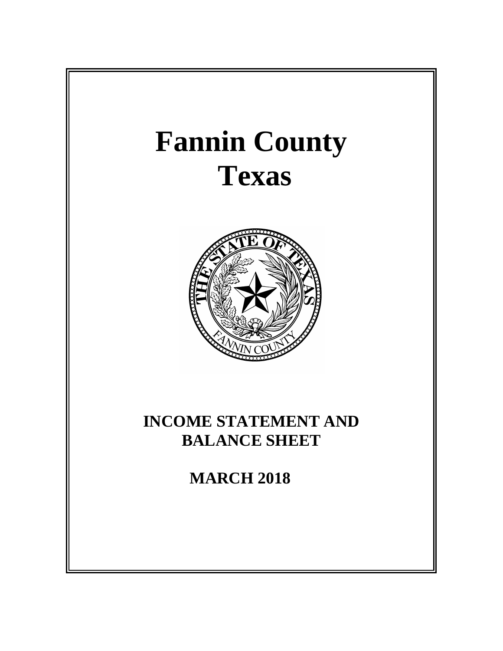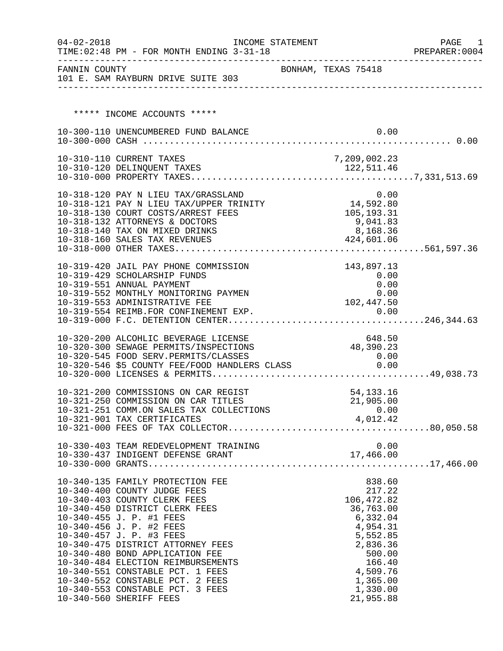| $04 - 02 - 2018$ | INCOME STATEMENT<br>TIME: 02:48 PM - FOR MONTH ENDING 3-31-18                                                                           |                       | PAGE<br>1<br>PREPARER: 0004 |
|------------------|-----------------------------------------------------------------------------------------------------------------------------------------|-----------------------|-----------------------------|
|                  | FANNIN COUNTY<br>101 E. SAM RAYBURN DRIVE SUITE 303                                                                                     | BONHAM, TEXAS 75418   |                             |
|                  |                                                                                                                                         |                       |                             |
|                  |                                                                                                                                         |                       |                             |
|                  | ***** INCOME ACCOUNTS *****                                                                                                             |                       |                             |
|                  | 10-300-110 UNENCUMBERED FUND BALANCE                                                                                                    | 0.00                  |                             |
|                  |                                                                                                                                         |                       |                             |
|                  | 10-310-110 CURRENT TAXES                                                                                                                | 7,209,002.23          |                             |
|                  |                                                                                                                                         |                       |                             |
|                  |                                                                                                                                         |                       |                             |
|                  | 10-318-120 PAY N LIEU TAX/GRASSLAND                                                                                                     | 0.00                  |                             |
|                  | 10-318-121 PAY N LIEU TAX/UPPER TRINITY 14,592.80                                                                                       |                       |                             |
|                  | 10-318-130 COURT COSTS/ARREST FEES                                                                                                      | 105,193.31            |                             |
|                  | 10-318-132 ATTORNEYS & DOCTORS                                                                                                          | 9,041.83<br>8,168.36  |                             |
|                  | 10-318-140 TAX ON MIXED DRINKS<br>10-318-160 SALES TAX REVENUES                                                                         | 424,601.06            |                             |
|                  |                                                                                                                                         |                       |                             |
|                  |                                                                                                                                         |                       |                             |
|                  | 10-319-420 JAIL PAY PHONE COMMISSION                                                                                                    | 143,897.13            |                             |
|                  | 10-319-429 SCHOLARSHIP FUNDS<br>10-319-551 ANNUAL PAYMENT                                                                               | 0.00<br>0.00          |                             |
|                  | 10-319-552 MONTHLY MONITORING PAYMEN                                                                                                    | 0.00                  |                             |
|                  | 10-319-553 ADMINISTRATIVE FEE                                                                                                           | 102,447.50            |                             |
|                  |                                                                                                                                         |                       |                             |
|                  |                                                                                                                                         |                       |                             |
|                  | 10-320-200 ALCOHLIC BEVERAGE LICENSE                                                                                                    | 648.50                |                             |
|                  | 10-320-300 SEWAGE PERMITS/INSPECTIONS                                                                                                   | 48,390.23             |                             |
|                  | 10-320-545 FOOD SERV.PERMITS/CLASSES<br>10-320-545 FOOD SERV.PERMITS/CLASSES 0.00<br>10-320-546 \$5 COUNTY FEE/FOOD HANDLERS CLASS 0.00 | 0.00                  |                             |
|                  |                                                                                                                                         |                       |                             |
|                  |                                                                                                                                         |                       |                             |
|                  | 10-321-200 COMMISSIONS ON CAR REGIST                                                                                                    | 54, 133. 16           |                             |
|                  | 10-321-250 COMMISSION ON CAR TITLES                                                                                                     | 21,905.00             |                             |
|                  | 10-321-251 COMM.ON SALES TAX COLLECTIONS                                                                                                | 0.00                  |                             |
|                  | 10-321-901 TAX CERTIFICATES                                                                                                             | 4,012.42              |                             |
|                  |                                                                                                                                         |                       |                             |
|                  |                                                                                                                                         | 0.00                  |                             |
|                  |                                                                                                                                         |                       |                             |
|                  |                                                                                                                                         |                       |                             |
|                  | 10-340-135 FAMILY PROTECTION FEE                                                                                                        | 838.60                |                             |
|                  | 10-340-400 COUNTY JUDGE FEES                                                                                                            | 217.22                |                             |
|                  | 10-340-403 COUNTY CLERK FEES                                                                                                            | 106,472.82            |                             |
|                  | 10-340-450 DISTRICT CLERK FEES<br>10-340-455 J. P. #1 FEES                                                                              | 36,763.00<br>6,332.04 |                             |
|                  | 10-340-456 J. P. #2 FEES                                                                                                                | 4,954.31              |                             |
|                  | 10-340-457 J. P. #3 FEES                                                                                                                | 5,552.85              |                             |
|                  | 10-340-475 DISTRICT ATTORNEY FEES                                                                                                       | 2,836.36              |                             |
|                  | 10-340-480 BOND APPLICATION FEE                                                                                                         | 500.00                |                             |
|                  | 10-340-484 ELECTION REIMBURSEMENTS                                                                                                      | 166.40                |                             |
|                  | 10-340-551 CONSTABLE PCT. 1 FEES<br>10-340-552 CONSTABLE PCT. 2 FEES                                                                    | 4,509.76<br>1,365.00  |                             |
|                  | 10-340-553 CONSTABLE PCT. 3 FEES                                                                                                        | 1,330.00              |                             |
|                  | 10-340-560 SHERIFF FEES                                                                                                                 | 21,955.88             |                             |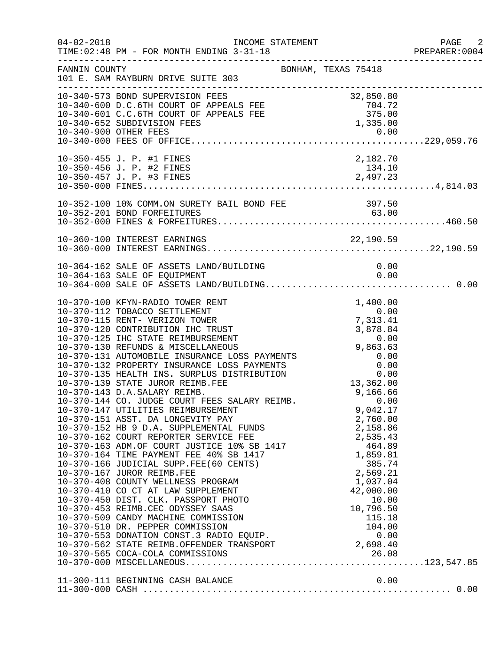| $04 - 02 - 2018$ | TIME: 02:48 PM - FOR MONTH ENDING 3-31-18<br>____________________________________                                                                                                                                                                                                                                                                                                                                                                                                                                                                                                                                                                                                                                                                                                      |                                                                  | PAGE 2<br>PREPARER: 0004 |
|------------------|----------------------------------------------------------------------------------------------------------------------------------------------------------------------------------------------------------------------------------------------------------------------------------------------------------------------------------------------------------------------------------------------------------------------------------------------------------------------------------------------------------------------------------------------------------------------------------------------------------------------------------------------------------------------------------------------------------------------------------------------------------------------------------------|------------------------------------------------------------------|--------------------------|
| FANNIN COUNTY    | BONHAM, TEXAS 75418<br>101 E. SAM RAYBURN DRIVE SUITE 303                                                                                                                                                                                                                                                                                                                                                                                                                                                                                                                                                                                                                                                                                                                              |                                                                  |                          |
|                  | 10-340-573 BOND SUPERVISION FEES<br>10-340-600 D.C.6TH COURT OF APPEALS FEE 704.72<br>10-340-601 C.C.6TH COURT OF APPEALS FEE 704.72<br>10-340-652 SUBDIVISION FEES 1,335.00<br>1,335.00<br>1,335.00<br>1,335.00<br>1,335.00                                                                                                                                                                                                                                                                                                                                                                                                                                                                                                                                                           |                                                                  |                          |
|                  | 10-350-455 J. P. #1 FINES                                                                                                                                                                                                                                                                                                                                                                                                                                                                                                                                                                                                                                                                                                                                                              | 2,182.70                                                         |                          |
|                  |                                                                                                                                                                                                                                                                                                                                                                                                                                                                                                                                                                                                                                                                                                                                                                                        |                                                                  |                          |
|                  |                                                                                                                                                                                                                                                                                                                                                                                                                                                                                                                                                                                                                                                                                                                                                                                        |                                                                  |                          |
|                  |                                                                                                                                                                                                                                                                                                                                                                                                                                                                                                                                                                                                                                                                                                                                                                                        |                                                                  |                          |
|                  | 9,166.66 9,166.66 MM NETWERT REES SALARY REIMB.<br>10-370-144 CO. JUDGE COURT FEES SALARY REIMB. 0.00<br>10-370-147 UTILITIES REIMBURSEMENT<br>10-370-151 ASST. DA LONGEVITY PAY<br>2,760.00<br>10-370-162 COURT REPORTER SERVICE FEE<br>10-370-163 ADM.OF COURT JUSTICE 10% SB 1417<br>10-370-164 TIME PAYMENT FEE 40% SB 1417<br>10-370-166 JUDICIAL SUPP.FEE(60 CENTS)<br>10-370-167 JUROR REIMB.FEE<br>10-370-167 JUROR RE<br>10-370-410 CO CT AT LAW SUPPLEMENT<br>10-370-450 DIST. CLK. PASSPORT PHOTO<br>10-370-453 REIMB.CEC ODYSSEY SAAS<br>10-370-509 CANDY MACHINE COMMISSION<br>10-370-510 DR. PEPPER COMMISSION<br>10-370-553 DONATION CONST.3 RADIO EQUIP. 0.00<br>10-370-562 STATE REIMB.OFFENDER TRANSPORT<br>2,698.40<br>2,698.40<br>10-370-565 COCA-COLA COMMISSIONS | 9,042.17<br>2,760.00<br>42,000.00<br>10.00<br>10,796.50<br>26.08 |                          |
|                  | 11-300-111 BEGINNING CASH BALANCE                                                                                                                                                                                                                                                                                                                                                                                                                                                                                                                                                                                                                                                                                                                                                      | 0.00                                                             |                          |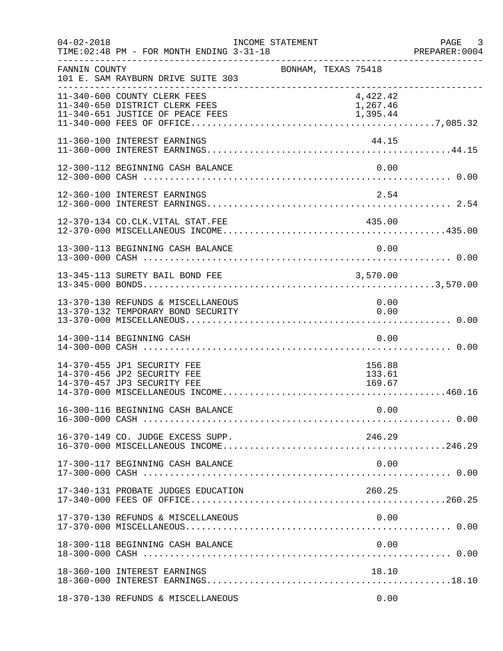| $04 - 02 - 2018$ | TIME: 02:48 PM - FOR MONTH ENDING 3-31-18                                                          | INCOME STATEMENT    |  |                                  | PAGE 3<br>PREPARER:0004 |
|------------------|----------------------------------------------------------------------------------------------------|---------------------|--|----------------------------------|-------------------------|
| FANNIN COUNTY    | 101 E. SAM RAYBURN DRIVE SUITE 303                                                                 | BONHAM, TEXAS 75418 |  |                                  |                         |
|                  | 11-340-600 COUNTY CLERK FEES<br>11-340-650 DISTRICT CLERK FEES<br>11-340-651 JUSTICE OF PEACE FEES |                     |  | 4,422.42<br>1,267.46<br>1,395.44 |                         |
|                  | 11-360-100 INTEREST EARNINGS                                                                       |                     |  | 44.15                            |                         |
|                  | 12-300-112 BEGINNING CASH BALANCE                                                                  |                     |  | 0.00                             |                         |
|                  | 12-360-100 INTEREST EARNINGS                                                                       |                     |  | 2.54                             |                         |
|                  | 12-370-134 CO.CLK.VITAL STAT.FEE                                                                   |                     |  | 435.00                           |                         |
|                  | 13-300-113 BEGINNING CASH BALANCE                                                                  |                     |  |                                  |                         |
|                  | 13-345-113 SURETY BAIL BOND FEE                                                                    |                     |  | 3,570.00                         |                         |
|                  | 13-370-130 REFUNDS & MISCELLANEOUS<br>13-370-132 TEMPORARY BOND SECURITY                           |                     |  | 0.00<br>0.00                     |                         |
|                  | 14-300-114 BEGINNING CASH                                                                          |                     |  | 0.00                             |                         |
|                  | 14-370-455 JP1 SECURITY FEE<br>14-370-456 JP2 SECURITY FEE<br>14-370-457 JP3 SECURITY FEE          |                     |  | 156.88<br>133.61<br>169.67       |                         |
|                  |                                                                                                    |                     |  | 0.00                             |                         |
|                  | 16-370-149 CO. JUDGE EXCESS SUPP.                                                                  |                     |  | 246.29                           |                         |
|                  | 17-300-117 BEGINNING CASH BALANCE                                                                  |                     |  | 0.00                             |                         |
|                  | 17-340-131 PROBATE JUDGES EDUCATION                                                                |                     |  | 260.25                           |                         |
|                  | 17-370-130 REFUNDS & MISCELLANEOUS                                                                 |                     |  | 0.00                             |                         |
|                  | 18-300-118 BEGINNING CASH BALANCE                                                                  |                     |  | 0.00                             |                         |
|                  | 18-360-100 INTEREST EARNINGS                                                                       |                     |  | 18.10                            |                         |
|                  | 18-370-130 REFUNDS & MISCELLANEOUS                                                                 |                     |  | 0.00                             |                         |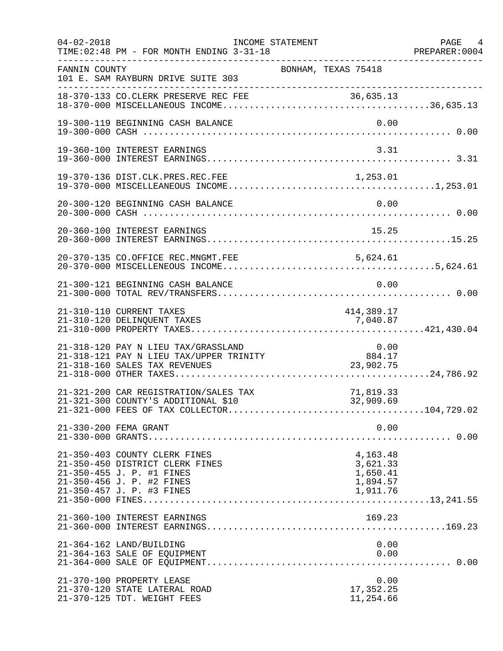| $04 - 02 - 2018$ | TIME: 02:48 PM - FOR MONTH ENDING 3-31-18                                                                                                               | INCOME STATEMENT |                                                          |              | PAGE 4<br>PREPARER: 0004 |
|------------------|---------------------------------------------------------------------------------------------------------------------------------------------------------|------------------|----------------------------------------------------------|--------------|--------------------------|
| FANNIN COUNTY    | 101 E. SAM RAYBURN DRIVE SUITE 303                                                                                                                      |                  | BONHAM, TEXAS 75418                                      |              |                          |
|                  |                                                                                                                                                         |                  |                                                          |              |                          |
|                  | 19-300-119 BEGINNING CASH BALANCE                                                                                                                       |                  |                                                          | 0.00         |                          |
|                  | 19-360-100 INTEREST EARNINGS                                                                                                                            |                  |                                                          | 3.31         |                          |
|                  |                                                                                                                                                         |                  |                                                          |              |                          |
|                  |                                                                                                                                                         |                  |                                                          |              |                          |
|                  | 20-360-100 INTEREST EARNINGS                                                                                                                            |                  | 15.25                                                    |              |                          |
|                  | 20-370-135 CO.OFFICE REC.MNGMT.FEE                                                                                                                      |                  |                                                          |              |                          |
|                  | 21-300-121 BEGINNING CASH BALANCE                                                                                                                       |                  |                                                          | 0.00         |                          |
|                  | 21-310-110 CURRENT TAXES<br>21-310-120 DELINQUENT TAXES                                                                                                 |                  | 414,389.17<br>7,040.87                                   |              |                          |
|                  | 21-318-120 PAY N LIEU TAX/GRASSLAND<br>21-318-121 PAY N LIEU TAX/UPPER TRINITY<br>21-318-160 SALES TAX REVENUES                                         |                  |                                                          | 0.00         |                          |
|                  | 21-321-200 CAR REGISTRATION/SALES TAX<br>21-321-300 COUNTY'S ADDITIONAL \$10                                                                            |                  | 71,819.33<br>32,909.69                                   |              |                          |
|                  | 21-330-200 FEMA GRANT                                                                                                                                   |                  |                                                          | 0.00         |                          |
|                  | 21-350-403 COUNTY CLERK FINES<br>21-350-450 DISTRICT CLERK FINES<br>21-350-455 J. P. #1 FINES<br>21-350-456 J. P. #2 FINES<br>21-350-457 J. P. #3 FINES |                  | 4,163.48<br>3,621.33<br>1,650.41<br>1,894.57<br>1,911.76 |              |                          |
|                  | 21-360-100 INTEREST EARNINGS                                                                                                                            |                  | 169.23                                                   |              |                          |
|                  | 21-364-162 LAND/BUILDING<br>21-364-163 SALE OF EQUIPMENT                                                                                                |                  |                                                          | 0.00<br>0.00 |                          |
|                  | 21-370-100 PROPERTY LEASE<br>21-370-120 STATE LATERAL ROAD<br>21-370-125 TDT. WEIGHT FEES                                                               |                  | 17,352.25<br>11,254.66                                   | 0.00         |                          |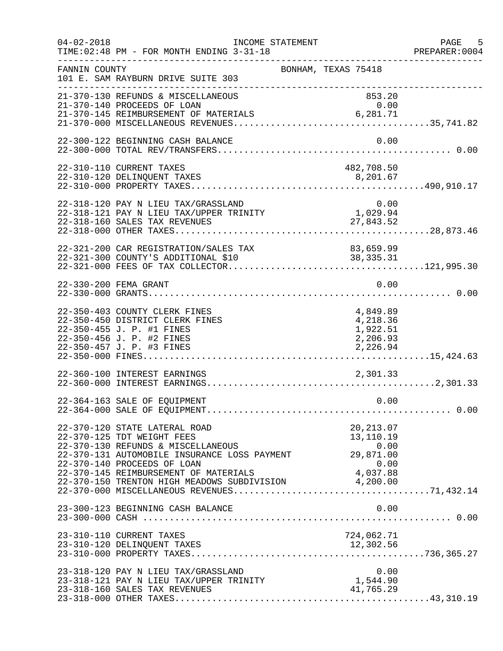| $04 - 02 - 2018$ | INCOME STATEMENT<br>TIME: 02:48 PM - FOR MONTH ENDING 3-31-18                                                                                                                                                                                                                              |                                                          | PAGE 5<br>PREPARER:0004 |
|------------------|--------------------------------------------------------------------------------------------------------------------------------------------------------------------------------------------------------------------------------------------------------------------------------------------|----------------------------------------------------------|-------------------------|
| FANNIN COUNTY    | 101 E. SAM RAYBURN DRIVE SUITE 303                                                                                                                                                                                                                                                         | BONHAM, TEXAS 75418                                      |                         |
|                  | 21-370-130 REFUNDS & MISCELLANEOUS<br>21-370-140 PROCEEDS OF LOAN                                                                                                                                                                                                                          | 853.20<br>0.00                                           |                         |
|                  | 22-300-122 BEGINNING CASH BALANCE                                                                                                                                                                                                                                                          | 0.00                                                     |                         |
|                  | 22-310-110 CURRENT TAXES                                                                                                                                                                                                                                                                   | 482,708.50                                               |                         |
|                  | 22-318-120 PAY N LIEU TAX/GRASSLAND<br>$22-318-121$ PAY N LIEU TAX/UPPER TRINITY<br>22-318-160 SALES TAX REVENUES                                                                                                                                                                          | $0.00$<br>$1,029.94$<br>27,843.52                        |                         |
|                  | 22-321-300 COUNTY'S ADDITIONAL \$10<br>22-321-300 COUNTY'S ADDITIONAL \$10                                                                                                                                                                                                                 | 83,659.99<br>38, 335. 31                                 |                         |
|                  | 22-330-200 FEMA GRANT                                                                                                                                                                                                                                                                      | 0.00                                                     |                         |
|                  | 22-350-403 COUNTY CLERK FINES<br>22-350-450 DISTRICT CLERK FINES<br>22-350-455 J. P. #1 FINES<br>22-350-456 J. P. #2 FINES<br>22-350-457 J. P. #3 FINES                                                                                                                                    | 4,849.89<br>4,218.36<br>1,922.51<br>2,206.93<br>2,226.94 |                         |
|                  | 22-360-100 INTEREST EARNINGS                                                                                                                                                                                                                                                               | 2,301.33                                                 |                         |
|                  | 22-364-163 SALE OF EQUIPMENT                                                                                                                                                                                                                                                               | 0.00                                                     |                         |
|                  | 22-370-120 STATE LATERAL ROAD<br>22-370-125 TDT WEIGHT FEES<br>22-370-130 REFUNDS & MISCELLANEOUS<br>22-370-131 AUTOMOBILE INSURANCE LOSS PAYMENT<br>22-370-140 PROCEEDS OF LOAN<br>22-370-145 REIMBURSEMENT OF MATERIALS 4,037.88<br>22-370-150 TRENTON HIGH MEADOWS SUBDIVISION 4,200.00 | 20, 213.07<br>13,110.19<br>0.00<br>29,871.00<br>0.00     |                         |
|                  | 23-300-123 BEGINNING CASH BALANCE                                                                                                                                                                                                                                                          | 0.00                                                     |                         |
|                  | 23-310-110 CURRENT TAXES                                                                                                                                                                                                                                                                   | 724,062.71                                               |                         |
|                  | 23-318-120 PAY N LIEU TAX/GRASSLAND<br>23-318-121 PAY N LIEU TAX/UPPER TRINITY<br>23-318-160 SALES TAX REVENUES                                                                                                                                                                            | 0.00<br>1,544.90<br>41,765.29                            |                         |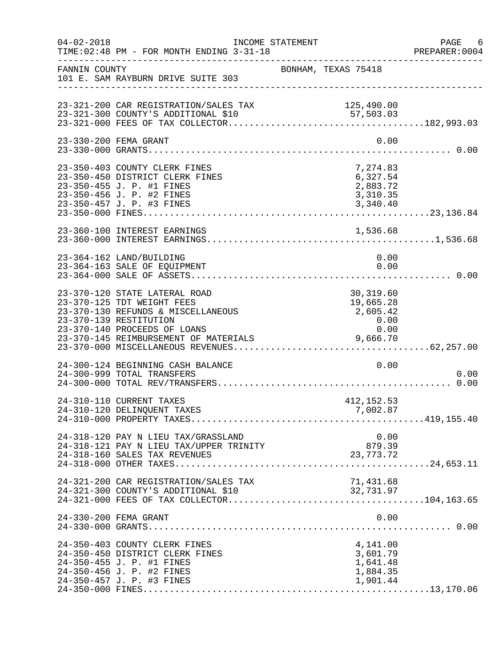| $04 - 02 - 2018$ | INCOME STATEMENT<br>TIME: 02:48 PM - FOR MONTH ENDING 3-31-18                                                                                                                                        |                     |                                                                                                    | PAGE 6<br>PREPARER: 0004 |
|------------------|------------------------------------------------------------------------------------------------------------------------------------------------------------------------------------------------------|---------------------|----------------------------------------------------------------------------------------------------|--------------------------|
| FANNIN COUNTY    | 101 E. SAM RAYBURN DRIVE SUITE 303                                                                                                                                                                   | BONHAM, TEXAS 75418 | ------------------------------------                                                               |                          |
|                  | 23-321-200 CAR REGISTRATION/SALES TAX<br>23-321-300 COUNTY'S ADDITIONAL \$10                                                                                                                         |                     | 125,490.00                                                                                         |                          |
|                  | 23-330-200 FEMA GRANT                                                                                                                                                                                |                     | 0.00                                                                                               |                          |
|                  | 23-350-403 COUNTY CLERK FINES<br>23-350-450 DISTRICT CLERK FINES<br>23-350-455 J. P. #1 FINES<br>23-350-456 J. P. #2 FINES                                                                           |                     | 7,274.83<br>6,327.54<br>2,883.72<br>3,310.35                                                       |                          |
|                  | 23-360-100 INTEREST EARNINGS                                                                                                                                                                         |                     |                                                                                                    |                          |
|                  | 23-364-162 LAND/BUILDING<br>23-364-163 SALE OF EQUIPMENT                                                                                                                                             |                     | 0.00<br>0.00                                                                                       |                          |
|                  | 23-370-120 STATE LATERAL ROAD<br>23-370-125 TDT WEIGHT FEES<br>23-370-130 REFUNDS & MISCELLANEOUS<br>23-370-139 RESTITUTION<br>23-370-140 PROCEEDS OF LOANS<br>23-370-145 REIMBURSEMENT OF MATERIALS |                     | 30,319.60<br>19,665.28<br>2,605.42<br>$\begin{array}{c} 0.00 \\ 0 \text{ on } \end{array}$<br>0.00 |                          |
|                  | 24-300-124 BEGINNING CASH BALANCE<br>24-300-999 TOTAL TRANSFERS                                                                                                                                      |                     | 0.00                                                                                               | 0.00                     |
|                  | 24-310-110 CURRENT TAXES<br>24-310-120 DELINQUENT TAXES                                                                                                                                              |                     | 412, 152.53<br>7,002.87                                                                            |                          |
|                  | 24-318-120 PAY N LIEU TAX/GRASSLAND<br>24-318-121 PAY N LIEU TAX/UPPER TRINITY<br>24-318-160 SALES TAX REVENUES                                                                                      |                     | 0.00<br>879.39<br>23, 773. 72                                                                      |                          |
|                  | 24-321-200 CAR REGISTRATION/SALES TAX<br>24-321-300 COUNTY'S ADDITIONAL \$10                                                                                                                         |                     | 71,431.68<br>32,731.97                                                                             |                          |
|                  | 24-330-200 FEMA GRANT                                                                                                                                                                                |                     | 0.00                                                                                               |                          |
|                  | 24-350-403 COUNTY CLERK FINES<br>24-350-450 DISTRICT CLERK FINES<br>24-350-455 J. P. #1 FINES<br>24-350-456 J. P. #2 FINES<br>24-350-457 J. P. #3 FINES                                              |                     | 4,141.00<br>3,601.79<br>1,641.48<br>1,884.35<br>1,901.44                                           |                          |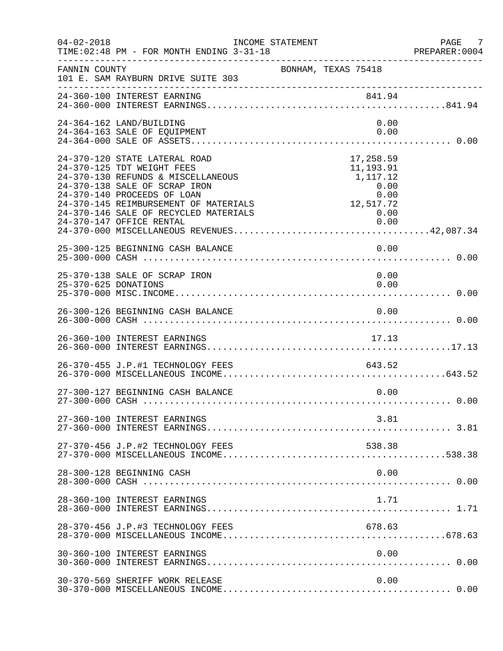| $04 - 02 - 2018$     | INCOME STATEMENT<br>TIME: 02:48 PM - FOR MONTH ENDING 3-31-18                                                                                                                                                                                                                   |                                                                                 | PAGE 7<br>PREPARER:0004 |
|----------------------|---------------------------------------------------------------------------------------------------------------------------------------------------------------------------------------------------------------------------------------------------------------------------------|---------------------------------------------------------------------------------|-------------------------|
| FANNIN COUNTY        | 101 E. SAM RAYBURN DRIVE SUITE 303                                                                                                                                                                                                                                              | BONHAM, TEXAS 75418                                                             |                         |
|                      |                                                                                                                                                                                                                                                                                 |                                                                                 |                         |
|                      | 24-364-162 LAND/BUILDING<br>24-364-163 SALE OF EQUIPMENT                                                                                                                                                                                                                        | 0.00<br>0.00                                                                    |                         |
|                      | 24-370-120 STATE LATERAL ROAD<br>24-370-125 TDT WEIGHT FEES<br>24-370-130 REFUNDS & MISCELLANEOUS<br>24-370-138 SALE OF SCRAP IRON<br>24-370-140 PROCEEDS OF LOAN<br>24-370-145 REIMBURSEMENT OF MATERIALS<br>24-370-146 SALE OF RECYCLED MATERIALS<br>24-370-147 OFFICE RENTAL | 17,258.59<br>11,193.91<br>1,117.12<br>0.00<br>0.00<br>12,517.72<br>0.00<br>0.00 |                         |
|                      | 25-300-125 BEGINNING CASH BALANCE                                                                                                                                                                                                                                               | 0.00                                                                            |                         |
| 25-370-625 DONATIONS | 25-370-138 SALE OF SCRAP IRON                                                                                                                                                                                                                                                   | 0.00<br>0.00                                                                    |                         |
|                      | 26-300-126 BEGINNING CASH BALANCE                                                                                                                                                                                                                                               | 0.00                                                                            |                         |
|                      | 26-360-100 INTEREST EARNINGS                                                                                                                                                                                                                                                    | 17.13                                                                           |                         |
|                      | 26-370-455 J.P.#1 TECHNOLOGY FEES                                                                                                                                                                                                                                               | 643.52                                                                          |                         |
|                      | 27-300-127 BEGINNING CASH BALANCE                                                                                                                                                                                                                                               | 0.00                                                                            |                         |
|                      | 27-360-100 INTEREST EARNINGS                                                                                                                                                                                                                                                    | 3.81                                                                            |                         |
|                      | 27-370-456 J.P.#2 TECHNOLOGY FEES                                                                                                                                                                                                                                               | 538.38                                                                          |                         |
|                      | 28-300-128 BEGINNING CASH                                                                                                                                                                                                                                                       | 0.00                                                                            |                         |
|                      | 28-360-100 INTEREST EARNINGS                                                                                                                                                                                                                                                    | 1.71                                                                            |                         |
|                      | 28-370-456 J.P.#3 TECHNOLOGY FEES                                                                                                                                                                                                                                               | 678.63                                                                          |                         |
|                      | 30-360-100 INTEREST EARNINGS                                                                                                                                                                                                                                                    | 0.00                                                                            |                         |
|                      | 30-370-569 SHERIFF WORK RELEASE                                                                                                                                                                                                                                                 | 0.00                                                                            |                         |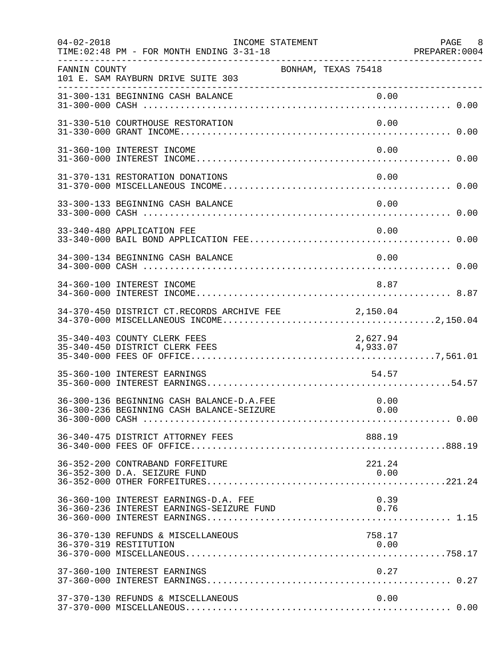| $04 - 02 - 2018$ | INCOME STATEMENT<br>TIME: 02:48 PM - FOR MONTH ENDING 3-31-18                      |                     |                      | PAGE 8<br>PREPARER:0004 |
|------------------|------------------------------------------------------------------------------------|---------------------|----------------------|-------------------------|
| FANNIN COUNTY    | 101 E. SAM RAYBURN DRIVE SUITE 303                                                 | BONHAM, TEXAS 75418 |                      |                         |
|                  | 31-300-131 BEGINNING CASH BALANCE                                                  |                     | 0.00                 |                         |
|                  | 31-330-510 COURTHOUSE RESTORATION                                                  |                     | 0.00                 |                         |
|                  | 31-360-100 INTEREST INCOME                                                         |                     | 0.00                 |                         |
|                  | 31-370-131 RESTORATION DONATIONS                                                   |                     | 0.00                 |                         |
|                  | 33-300-133 BEGINNING CASH BALANCE                                                  |                     | 0.00                 |                         |
|                  | 33-340-480 APPLICATION FEE                                                         |                     | 0.00                 |                         |
|                  | 34-300-134 BEGINNING CASH BALANCE                                                  |                     | 0.00                 |                         |
|                  | 34-360-100 INTEREST INCOME                                                         |                     | 8.87                 |                         |
|                  | 34-370-450 DISTRICT CT.RECORDS ARCHIVE FEE                                         | 2,150.04            |                      |                         |
|                  | 35-340-403 COUNTY CLERK FEES<br>35-340-450 DISTRICT CLERK FEES                     |                     | 2,627.94<br>4,933.07 |                         |
|                  | 35-360-100 INTEREST EARNINGS                                                       |                     | 54.57                |                         |
|                  | 36-300-136 BEGINNING CASH BALANCE-D.A.FEE                                          |                     | 0.00                 |                         |
|                  | 36-340-475 DISTRICT ATTORNEY FEES                                                  |                     | 888.19               |                         |
|                  | 36-352-200 CONTRABAND FORFEITURE<br>36-352-300 D.A. SEIZURE FUND                   |                     | 221.24<br>0.00       |                         |
|                  | 36-360-100 INTEREST EARNINGS-D.A. FEE<br>36-360-236 INTEREST EARNINGS-SEIZURE FUND |                     | 0.39<br>0.76         |                         |
|                  | 36-370-130 REFUNDS & MISCELLANEOUS<br>36-370-319 RESTITUTION                       |                     | 758.17<br>0.00       |                         |
|                  | 37-360-100 INTEREST EARNINGS                                                       |                     | 0.27                 |                         |
|                  | 37-370-130 REFUNDS & MISCELLANEOUS                                                 |                     | 0.00                 |                         |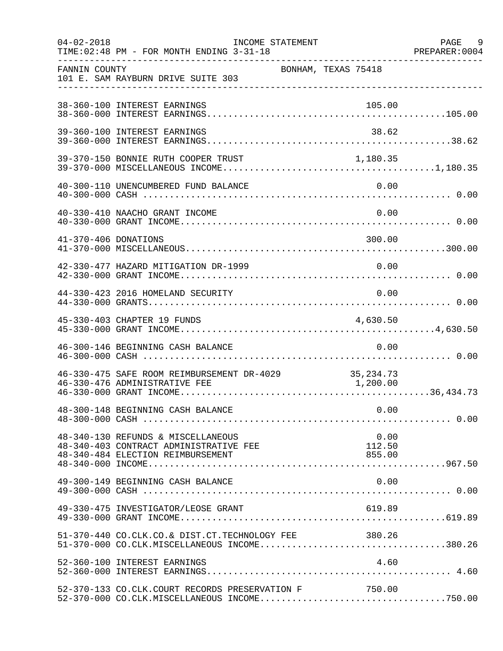| $04 - 02 - 2018$<br>__________________ | TIME: 02:48 PM - FOR MONTH ENDING 3-31-18                                                                         | INCOME STATEMENT |                          | PAGE 9<br>PREPARER: 0004 |
|----------------------------------------|-------------------------------------------------------------------------------------------------------------------|------------------|--------------------------|--------------------------|
| FANNIN COUNTY                          | 101 E. SAM RAYBURN DRIVE SUITE 303                                                                                |                  | BONHAM, TEXAS 75418      |                          |
|                                        | 38-360-100 INTEREST EARNINGS                                                                                      |                  | 105.00                   |                          |
|                                        | 39-360-100 INTEREST EARNINGS                                                                                      |                  | 38.62                    |                          |
|                                        | 39-370-150 BONNIE RUTH COOPER TRUST 1,180.35                                                                      |                  |                          |                          |
|                                        | 40-300-110 UNENCUMBERED FUND BALANCE                                                                              |                  | 0.00                     |                          |
|                                        | 40-330-410 NAACHO GRANT INCOME                                                                                    |                  | 0.00                     |                          |
| 41-370-406 DONATIONS                   |                                                                                                                   |                  | 300.00                   |                          |
|                                        | 42-330-477 HAZARD MITIGATION DR-1999                                                                              |                  | 0.00                     |                          |
|                                        | 44-330-423 2016 HOMELAND SECURITY                                                                                 |                  | 0.00                     |                          |
|                                        | 45-330-403 CHAPTER 19 FUNDS                                                                                       |                  | 4,630.50                 |                          |
|                                        | 46-300-146 BEGINNING CASH BALANCE                                                                                 |                  | 0.00                     |                          |
|                                        | 46-330-475 SAFE ROOM REIMBURSEMENT DR-4029 35,234.73<br>46-330-476 ADMINISTRATIVE FEE                             |                  | 1,200.00                 |                          |
|                                        | 48-300-148 BEGINNING CASH BALANCE                                                                                 |                  | 0.00                     |                          |
|                                        | 48-340-130 REFUNDS & MISCELLANEOUS<br>48-340-403 CONTRACT ADMINISTRATIVE FEE<br>48-340-484 ELECTION REIMBURSEMENT |                  | 0.00<br>112.50<br>855.00 |                          |
|                                        | 49-300-149 BEGINNING CASH BALANCE                                                                                 |                  | 0.00                     |                          |
|                                        | 49-330-475 INVESTIGATOR/LEOSE GRANT                                                                               |                  | 619.89                   |                          |
|                                        | 51-370-440 CO.CLK.CO.& DIST.CT.TECHNOLOGY FEE 380.26<br>51-370-000 CO.CLK.MISCELLANEOUS INCOME380.26              |                  |                          |                          |
|                                        | 52-360-100 INTEREST EARNINGS                                                                                      |                  | 4.60                     |                          |
|                                        | 52-370-133 CO.CLK.COURT RECORDS PRESERVATION F                                                                    |                  | 750.00                   |                          |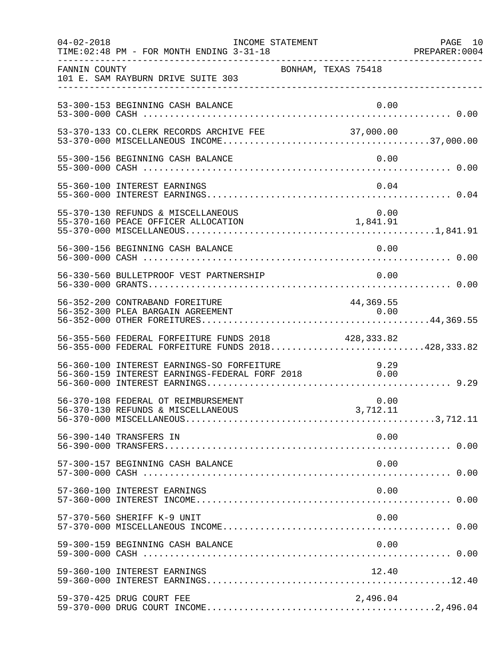| $04 - 02 - 2018$ | INCOME STATEMENT<br>TIME: 02:48 PM - FOR MONTH ENDING 3-31-18                                     |                     | PAGE 10<br>PREPARER: 0004 |
|------------------|---------------------------------------------------------------------------------------------------|---------------------|---------------------------|
| FANNIN COUNTY    | 101 E. SAM RAYBURN DRIVE SUITE 303                                                                | BONHAM, TEXAS 75418 |                           |
|                  | 53-300-153 BEGINNING CASH BALANCE                                                                 | 0.00                |                           |
|                  |                                                                                                   |                     |                           |
|                  | 55-300-156 BEGINNING CASH BALANCE                                                                 | 0.00                |                           |
|                  | 55-360-100 INTEREST EARNINGS                                                                      | 0.04                |                           |
|                  | 55-370-130 REFUNDS & MISCELLANEOUS                                                                |                     |                           |
|                  | 56-300-156 BEGINNING CASH BALANCE                                                                 | 0.00                |                           |
|                  | 56-330-560 BULLETPROOF VEST PARTNERSHIP                                                           | 0.00                |                           |
|                  | 56-352-200 CONTRABAND FOREITURE<br>56-352-300 PLEA BARGAIN AGREEMENT                              | 44,369.55<br>0.00   |                           |
|                  | 56-355-560 FEDERAL FORFEITURE FUNDS 2018<br>56-355-000 FEDERAL FORFEITURE FUNDS 2018428,333.82    | 428,333.82          |                           |
|                  | 56-360-100 INTEREST EARNINGS-SO FORFEITURE<br>56-360-159 INTEREST EARNINGS-FEDERAL FORF 2018 0.00 |                     |                           |
|                  | 56-370-108 FEDERAL OT REIMBURSEMENT                                                               | 0.00                |                           |
|                  | 56-390-140 TRANSFERS IN                                                                           | 0.00                |                           |
|                  | 57-300-157 BEGINNING CASH BALANCE                                                                 | 0.00                |                           |
|                  | 57-360-100 INTEREST EARNINGS                                                                      | 0.00                |                           |
|                  | 57-370-560 SHERIFF K-9 UNIT                                                                       | 0.00                |                           |
|                  | 59-300-159 BEGINNING CASH BALANCE                                                                 | 0.00                |                           |
|                  | 59-360-100 INTEREST EARNINGS                                                                      | 12.40               |                           |
|                  | 59-370-425 DRUG COURT FEE                                                                         | 2,496.04            |                           |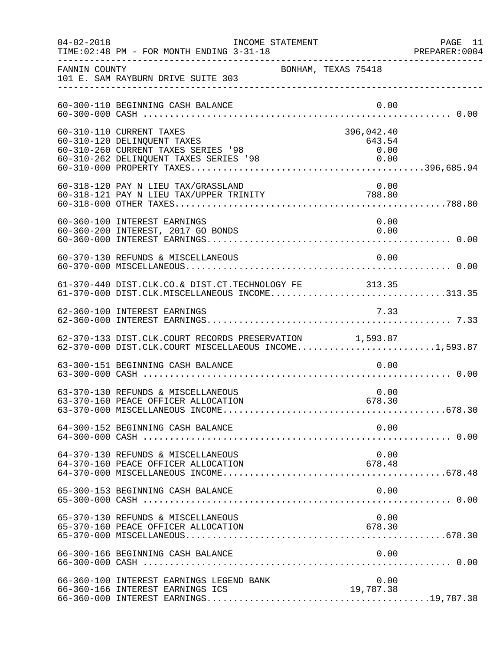| $04 - 02 - 2018$ | INCOME STATEMENT<br>TIME: 02:48 PM - FOR MONTH ENDING 3-31-18                                                                                 |                              | PAGE 11<br>PREPARER: 0004 |
|------------------|-----------------------------------------------------------------------------------------------------------------------------------------------|------------------------------|---------------------------|
| FANNIN COUNTY    | 101 E. SAM RAYBURN DRIVE SUITE 303                                                                                                            | BONHAM, TEXAS 75418          |                           |
|                  | 60-300-110 BEGINNING CASH BALANCE                                                                                                             | 0.00                         |                           |
|                  | 60-310-110 CURRENT TAXES<br>60-310-120 DELINQUENT TAXES<br>60-310-260 CURRENT TAXES SERIES '98<br>60-310-262 DELINQUENT TAXES SERIES '98 0.00 | 396,042.40<br>643.54<br>0.00 |                           |
|                  | 60-318-120 PAY N LIEU TAX/GRASSLAND                                                                                                           | 0.00                         |                           |
|                  | 60-360-100 INTEREST EARNINGS<br>60-360-200 INTEREST, 2017 GO BONDS                                                                            | 0.00<br>0.00                 |                           |
|                  | 60-370-130 REFUNDS & MISCELLANEOUS                                                                                                            | 0.00                         |                           |
|                  | 61-370-440 DIST.CLK.CO.& DIST.CT.TECHNOLOGY FE 313.35<br>61-370-000 DIST.CLK.MISCELLANEOUS INCOME313.35                                       |                              |                           |
|                  | 62-360-100 INTEREST EARNINGS                                                                                                                  | 7.33                         |                           |
|                  | 62-370-133 DIST.CLK.COURT RECORDS PRESERVATION 1,593.87<br>62-370-000 DIST.CLK.COURT MISCELLAEOUS INCOME1,593.87                              |                              |                           |
|                  | 63-300-151 BEGINNING CASH BALANCE                                                                                                             | 0.00                         |                           |
|                  | 63-370-130 REFUNDS & MISCELLANEOUS<br>63-370-160 PEACE OFFICER ALLOCATION                                                                     | 0.00<br>678.30               |                           |
|                  | 64-300-152 BEGINNING CASH BALANCE                                                                                                             | 0.00                         |                           |
|                  | 64-370-130 REFUNDS & MISCELLANEOUS<br>64-370-160 PEACE OFFICER ALLOCATION                                                                     | 0.00<br>678.48               |                           |
|                  |                                                                                                                                               |                              |                           |
|                  | 65-370-130 REFUNDS & MISCELLANEOUS<br>65-370-160 PEACE OFFICER ALLOCATION                                                                     | 0.00<br>678.30               |                           |
|                  | 66-300-166 BEGINNING CASH BALANCE                                                                                                             | 0.00                         |                           |
|                  | 66-360-100 INTEREST EARNINGS LEGEND BANK<br>66-360-166 INTEREST EARNINGS ICS                                                                  | 0.00<br>19,787.38            |                           |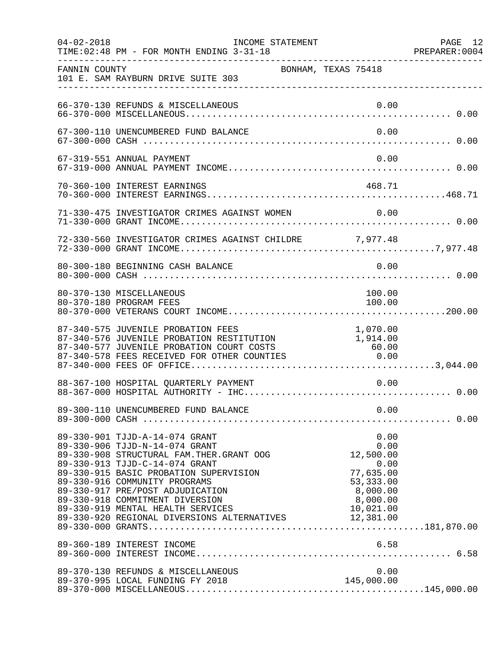| $04 - 02 - 2018$ | TIME: 02:48 PM - FOR MONTH ENDING 3-31-18                                                                                                                                                                                                                                                                                                                                           | INCOME STATEMENT    |                                                                  | PAGE 12<br>PREPARER: 0004 |
|------------------|-------------------------------------------------------------------------------------------------------------------------------------------------------------------------------------------------------------------------------------------------------------------------------------------------------------------------------------------------------------------------------------|---------------------|------------------------------------------------------------------|---------------------------|
| FANNIN COUNTY    | 101 E. SAM RAYBURN DRIVE SUITE 303                                                                                                                                                                                                                                                                                                                                                  | BONHAM, TEXAS 75418 |                                                                  |                           |
|                  | 66-370-130 REFUNDS & MISCELLANEOUS                                                                                                                                                                                                                                                                                                                                                  |                     | 0.00                                                             |                           |
|                  | 67-300-110 UNENCUMBERED FUND BALANCE                                                                                                                                                                                                                                                                                                                                                |                     | 0.00                                                             |                           |
|                  | 67-319-551 ANNUAL PAYMENT                                                                                                                                                                                                                                                                                                                                                           |                     | 0.00                                                             |                           |
|                  | 70-360-100 INTEREST EARNINGS                                                                                                                                                                                                                                                                                                                                                        |                     | 468.71                                                           |                           |
|                  |                                                                                                                                                                                                                                                                                                                                                                                     |                     |                                                                  |                           |
|                  | 72-330-560 INVESTIGATOR CRIMES AGAINST CHILDRE 7,977.48                                                                                                                                                                                                                                                                                                                             |                     |                                                                  |                           |
|                  | 80-300-180 BEGINNING CASH BALANCE                                                                                                                                                                                                                                                                                                                                                   |                     | 0.00                                                             |                           |
|                  | 80-370-130 MISCELLANEOUS<br>80-370-180 PROGRAM FEES                                                                                                                                                                                                                                                                                                                                 |                     | 100.00<br>100.00                                                 |                           |
|                  | 87-340-575 JUVENILE PROBATION FEES<br>87-340-576 JUVENILE PROBATION RESTITUTION<br>87-340-577 JUVENILE PROBATION COURT COSTS<br>87-340-578 FEES RECEIVED FOR OTHER COUNTIES                                                                                                                                                                                                         |                     | 1,070.00<br>$1,914.00$<br>$60.00$<br>S $0.00$<br>$60.00$<br>0.00 |                           |
|                  | 88-367-100 HOSPITAL QUARTERLY PAYMENT                                                                                                                                                                                                                                                                                                                                               |                     | 0.00                                                             |                           |
|                  |                                                                                                                                                                                                                                                                                                                                                                                     |                     |                                                                  |                           |
|                  | 89-330-901 TJJD-A-14-074 GRANT<br>89-330-913 TJJD-C-14-074 GRANT<br>89-330-915 BASIC PROBATION SUPERVISION<br>89-330-916 COMMUNITY PROGRAMS<br>89-330-916 COMMUNITY PROGRAMS<br>89-330-917 PRE/POST ADJUDICATION 89-330-918 COMMITMENT DIVERSION 89-330-919 MENTAL HEALTH SERVICES 10,021.00<br>89-330-920 REGIONAL DIVERSIONS ALTERNATIVES 10,021.00<br>89-330-920 REGIONAL DIVERS |                     | 0.00<br>0.00<br>77,635.00<br>53, 333.00                          |                           |
|                  | 89-360-189 INTEREST INCOME                                                                                                                                                                                                                                                                                                                                                          |                     | 6.58                                                             |                           |
|                  | 89-370-130 REFUNDS & MISCELLANEOUS                                                                                                                                                                                                                                                                                                                                                  |                     | 0.00<br>145,000.00                                               |                           |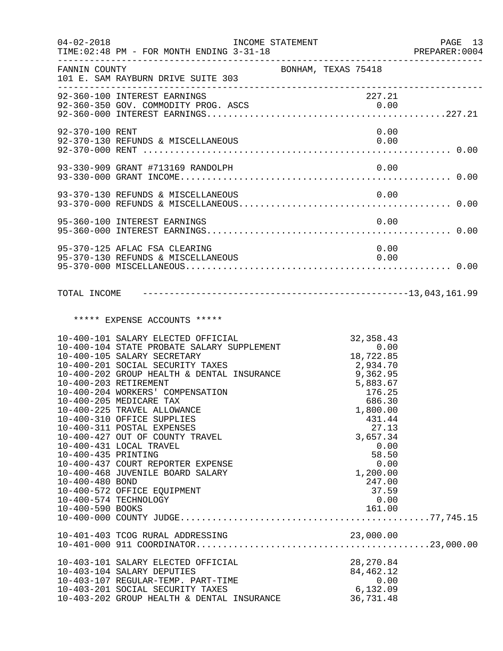| $04 - 02 - 2018$                                                                                             | INCOME STATEMENT<br>TIME: 02:48 PM - FOR MONTH ENDING 3-31-18                                                                                                                                                                                                                                                                                                                                                                                                                                                                     |                                                                                                                                                                                                              | PAGE 13<br>PREPARER: 0004 |
|--------------------------------------------------------------------------------------------------------------|-----------------------------------------------------------------------------------------------------------------------------------------------------------------------------------------------------------------------------------------------------------------------------------------------------------------------------------------------------------------------------------------------------------------------------------------------------------------------------------------------------------------------------------|--------------------------------------------------------------------------------------------------------------------------------------------------------------------------------------------------------------|---------------------------|
| FANNIN COUNTY                                                                                                | 101 E. SAM RAYBURN DRIVE SUITE 303                                                                                                                                                                                                                                                                                                                                                                                                                                                                                                | BONHAM, TEXAS 75418                                                                                                                                                                                          |                           |
|                                                                                                              | 92-360-100 INTEREST EARNINGS                                                                                                                                                                                                                                                                                                                                                                                                                                                                                                      | 227.21                                                                                                                                                                                                       |                           |
| 92-370-100 RENT                                                                                              | 92-370-130 REFUNDS & MISCELLANEOUS                                                                                                                                                                                                                                                                                                                                                                                                                                                                                                | 0.00<br>0.00                                                                                                                                                                                                 |                           |
|                                                                                                              | 93-330-909 GRANT #713169 RANDOLPH                                                                                                                                                                                                                                                                                                                                                                                                                                                                                                 | 0.00                                                                                                                                                                                                         |                           |
|                                                                                                              |                                                                                                                                                                                                                                                                                                                                                                                                                                                                                                                                   |                                                                                                                                                                                                              |                           |
|                                                                                                              | 95-360-100 INTEREST EARNINGS                                                                                                                                                                                                                                                                                                                                                                                                                                                                                                      | 0.00                                                                                                                                                                                                         |                           |
|                                                                                                              | 95-370-125 AFLAC FSA CLEARING<br>95-370-130 REFUNDS & MISCELLANEOUS                                                                                                                                                                                                                                                                                                                                                                                                                                                               | 0.00<br>0.00                                                                                                                                                                                                 |                           |
|                                                                                                              |                                                                                                                                                                                                                                                                                                                                                                                                                                                                                                                                   |                                                                                                                                                                                                              |                           |
|                                                                                                              | ***** EXPENSE ACCOUNTS *****                                                                                                                                                                                                                                                                                                                                                                                                                                                                                                      |                                                                                                                                                                                                              |                           |
| 10-400-203 RETIREMENT<br>10-400-435 PRINTING<br>10-400-480 BOND<br>10-400-574 TECHNOLOGY<br>10-400-590 BOOKS | 10-400-101 SALARY ELECTED OFFICIAL<br>10-400-104 STATE PROBATE SALARY SUPPLEMENT<br>10-400-105 SALARY SECRETARY<br>10-400-201 SOCIAL SECURITY TAXES<br>10-400-202 GROUP HEALTH & DENTAL INSURANCE<br>10-400-204 WORKERS' COMPENSATION<br>10-400-205 MEDICARE TAX<br>10-400-225 TRAVEL ALLOWANCE<br>10-400-310 OFFICE SUPPLIES<br>10-400-311 POSTAL EXPENSES<br>10-400-427 OUT OF COUNTY TRAVEL<br>10-400-431 LOCAL TRAVEL<br>10-400-437 COURT REPORTER EXPENSE<br>10-400-468 JUVENILE BOARD SALARY<br>10-400-572 OFFICE EQUIPMENT | 32, 358.43<br>0.00<br>18,722.85<br>2,934.70<br>9,362.95<br>5,883.67<br>176.25<br>686.30<br>1,800.00<br>431.44<br>27.13<br>3,657.34<br>0.00<br>58.50<br>0.00<br>1,200.00<br>247.00<br>37.59<br>0.00<br>161.00 |                           |
|                                                                                                              | 10-401-403 TCOG RURAL ADDRESSING                                                                                                                                                                                                                                                                                                                                                                                                                                                                                                  | 23,000.00                                                                                                                                                                                                    |                           |
|                                                                                                              | 10-403-101 SALARY ELECTED OFFICIAL<br>10-403-104 SALARY DEPUTIES<br>10-403-107 REGULAR-TEMP. PART-TIME<br>10-403-201 SOCIAL SECURITY TAXES<br>10-403-202 GROUP HEALTH & DENTAL INSURANCE                                                                                                                                                                                                                                                                                                                                          | 28, 270.84<br>84,462.12<br>0.00<br>6,132.09<br>36,731.48                                                                                                                                                     |                           |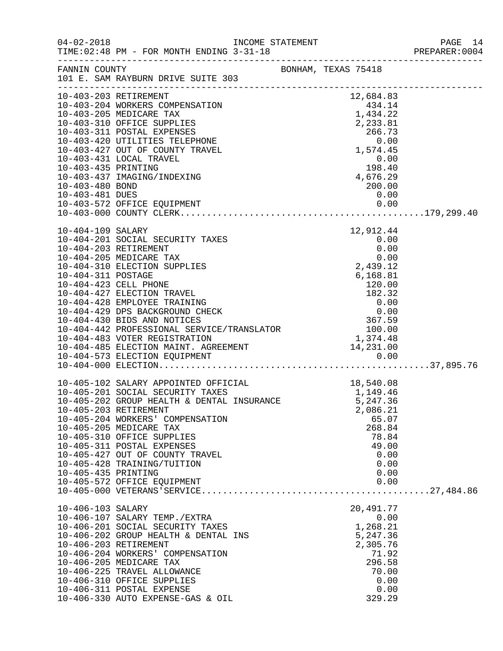|                     |                                                                                                                                                                                                                                     |                                                                                     |                                          | PAGE 14<br>PREPARER: 0004 |
|---------------------|-------------------------------------------------------------------------------------------------------------------------------------------------------------------------------------------------------------------------------------|-------------------------------------------------------------------------------------|------------------------------------------|---------------------------|
|                     | FANNIN COUNTY<br>101 E. SAM RAYBURN DRIVE SUITE 303                                                                                                                                                                                 | BONHAM, TEXAS 75418                                                                 |                                          |                           |
|                     | 10-403-203 RETIREMENT                                                                                                                                                                                                               |                                                                                     | 12,684.83                                |                           |
|                     | 10-403-204 WORKERS COMPENSATION                                                                                                                                                                                                     |                                                                                     |                                          |                           |
|                     | 10-403-205 MEDICARE TAX                                                                                                                                                                                                             | $434.14$<br>$1,434.22$<br>$2,233.81$<br>$266.73$                                    |                                          |                           |
|                     | 10-403-310 OFFICE SUPPLIES                                                                                                                                                                                                          |                                                                                     |                                          |                           |
|                     | 10-403-311 POSTAL EXPENSES                                                                                                                                                                                                          |                                                                                     |                                          |                           |
|                     | 10-403-420 UTILITIES TELEPHONE                                                                                                                                                                                                      |                                                                                     | 0.00                                     |                           |
|                     | 10-403-427 OUT OF COUNTY TRAVEL<br>10-403-431 LOCAL TRAVEL                                                                                                                                                                          |                                                                                     | 1,574.45                                 |                           |
| 10-403-435 PRINTING |                                                                                                                                                                                                                                     |                                                                                     | 0.00<br>$0.00$<br>$198.40$<br>$4,676.29$ |                           |
|                     | 10-403-437 IMAGING/INDEXING                                                                                                                                                                                                         |                                                                                     |                                          |                           |
| 10-403-480 BOND     |                                                                                                                                                                                                                                     |                                                                                     | 200.00                                   |                           |
| 10-403-481 DUES     |                                                                                                                                                                                                                                     |                                                                                     | 0.00                                     |                           |
|                     |                                                                                                                                                                                                                                     |                                                                                     |                                          |                           |
|                     |                                                                                                                                                                                                                                     |                                                                                     |                                          |                           |
| 10-404-109 SALARY   |                                                                                                                                                                                                                                     |                                                                                     | 12,912.44                                |                           |
|                     | 10-404-201 SOCIAL SECURITY TAXES                                                                                                                                                                                                    |                                                                                     | 0.00                                     |                           |
|                     | 10-404-203 RETIREMENT                                                                                                                                                                                                               |                                                                                     | 0.00                                     |                           |
|                     | 10-404-205 MEDICARE TAX                                                                                                                                                                                                             |                                                                                     | 0.00                                     |                           |
|                     | 10-404-310 ELECTION SUPPLIES                                                                                                                                                                                                        |                                                                                     | 2,439.12                                 |                           |
| 10-404-311 POSTAGE  |                                                                                                                                                                                                                                     |                                                                                     | 6,168.81                                 |                           |
|                     | 10-404-423 CELL PHONE                                                                                                                                                                                                               |                                                                                     |                                          |                           |
|                     | 10-404-427 ELECTION TRAVEL                                                                                                                                                                                                          |                                                                                     | $\frac{120.81}{120.00}$                  |                           |
|                     | 10-404-428 EMPLOYEE TRAINING                                                                                                                                                                                                        |                                                                                     |                                          |                           |
|                     | 10-404-429 DPS BACKGROUND CHECK<br>10-404-430 BIDS AND NOTICES<br>10-404-442 PROFESSIONAL SERVICE/TRANSLATOR<br>10-404-483 VOTER REGISTRATION<br>10-404-485 ELECTION MAINT. AGREEMENT<br>14,231.00<br>10-404-573 ELECTION EOUIPMENT | $\begin{array}{r} 120.01 \\ 120.00 \\ 182.32 \\ 0.00 \\ 0.00 \\ 367.59 \end{array}$ |                                          |                           |
|                     |                                                                                                                                                                                                                                     |                                                                                     |                                          |                           |
|                     |                                                                                                                                                                                                                                     |                                                                                     |                                          |                           |
|                     |                                                                                                                                                                                                                                     |                                                                                     |                                          |                           |
|                     |                                                                                                                                                                                                                                     |                                                                                     |                                          |                           |
|                     |                                                                                                                                                                                                                                     |                                                                                     |                                          |                           |
|                     | 10-405-102 SALARY APPOINTED OFFICIAL                                                                                                                                                                                                |                                                                                     |                                          |                           |
|                     | 10-405-201 SOCIAL SECURITY TAXES                                                                                                                                                                                                    |                                                                                     |                                          |                           |
|                     | 10-405-202 GROUP HEALTH & DENTAL INSURANCE                                                                                                                                                                                          | 18,540.08<br>1,149.46<br>1,149.46<br>5,247.36                                       |                                          |                           |
|                     | 10-405-203 RETIREMENT                                                                                                                                                                                                               |                                                                                     | 2,086.21                                 |                           |
|                     | 10-405-204 WORKERS' COMPENSATION                                                                                                                                                                                                    |                                                                                     | 65.07                                    |                           |
|                     | 10-405-205 MEDICARE TAX                                                                                                                                                                                                             |                                                                                     | 268.84                                   |                           |
|                     | 10-405-310 OFFICE SUPPLIES                                                                                                                                                                                                          |                                                                                     | 78.84                                    |                           |
|                     | 10-405-311 POSTAL EXPENSES                                                                                                                                                                                                          |                                                                                     | 49.00                                    |                           |
|                     | 10-405-427 OUT OF COUNTY TRAVEL                                                                                                                                                                                                     |                                                                                     | 0.00                                     |                           |
|                     | 10-405-428 TRAINING/TUITION                                                                                                                                                                                                         |                                                                                     | 0.00                                     |                           |
| 10-405-435 PRINTING |                                                                                                                                                                                                                                     |                                                                                     | 0.00                                     |                           |
|                     | 10-405-572 OFFICE EQUIPMENT                                                                                                                                                                                                         |                                                                                     | 0.00                                     |                           |
|                     |                                                                                                                                                                                                                                     |                                                                                     |                                          |                           |
| 10-406-103 SALARY   |                                                                                                                                                                                                                                     |                                                                                     | 20,491.77                                |                           |
|                     | 10-406-107 SALARY TEMP./EXTRA<br>10-406-201 SOCIAL SECURITY TAXES                                                                                                                                                                   |                                                                                     | 0.00<br>1,268.21                         |                           |
|                     | 10-406-202 GROUP HEALTH & DENTAL INS                                                                                                                                                                                                |                                                                                     | 5,247.36                                 |                           |
|                     | 10-406-203 RETIREMENT                                                                                                                                                                                                               |                                                                                     | 2,305.76                                 |                           |
|                     | 10-406-204 WORKERS' COMPENSATION                                                                                                                                                                                                    |                                                                                     | 71.92                                    |                           |
|                     | 10-406-205 MEDICARE TAX                                                                                                                                                                                                             |                                                                                     | 296.58                                   |                           |
|                     | 10-406-225 TRAVEL ALLOWANCE                                                                                                                                                                                                         |                                                                                     | 70.00                                    |                           |
|                     | 10-406-310 OFFICE SUPPLIES                                                                                                                                                                                                          |                                                                                     | 0.00                                     |                           |
|                     | 10-406-311 POSTAL EXPENSE                                                                                                                                                                                                           |                                                                                     | 0.00                                     |                           |
|                     | 10-406-330 AUTO EXPENSE-GAS & OIL                                                                                                                                                                                                   |                                                                                     | 329.29                                   |                           |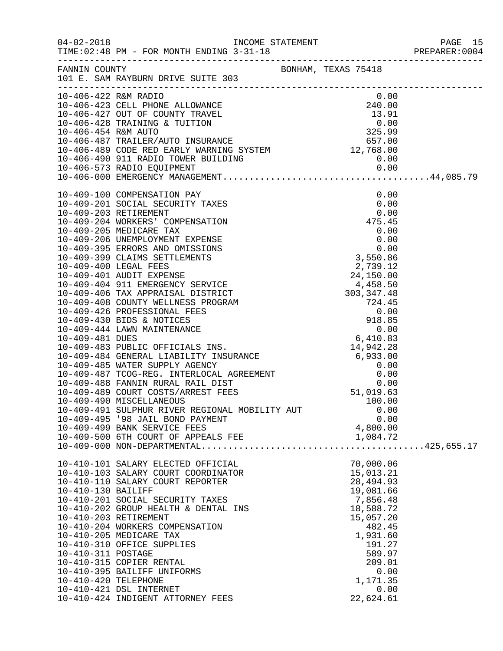|                      |                                                                                |                  | PREPARER: 0004 |
|----------------------|--------------------------------------------------------------------------------|------------------|----------------|
|                      | FANNIN COUNTY COUNTY BONHAM, TEXAS 75418<br>101 E. SAM RAYBURN DRIVE SUITE 303 |                  |                |
|                      |                                                                                |                  |                |
|                      |                                                                                |                  |                |
|                      |                                                                                |                  |                |
|                      |                                                                                |                  |                |
|                      |                                                                                |                  |                |
|                      |                                                                                |                  |                |
|                      |                                                                                |                  |                |
|                      |                                                                                |                  |                |
|                      |                                                                                |                  |                |
|                      |                                                                                |                  |                |
|                      |                                                                                |                  |                |
|                      |                                                                                |                  |                |
|                      |                                                                                |                  |                |
|                      |                                                                                |                  |                |
|                      |                                                                                |                  |                |
|                      |                                                                                |                  |                |
|                      |                                                                                |                  |                |
|                      |                                                                                |                  |                |
|                      |                                                                                |                  |                |
|                      |                                                                                |                  |                |
|                      |                                                                                |                  |                |
|                      |                                                                                |                  |                |
|                      |                                                                                |                  |                |
|                      |                                                                                |                  |                |
|                      |                                                                                |                  |                |
|                      |                                                                                |                  |                |
|                      |                                                                                |                  |                |
|                      |                                                                                |                  |                |
|                      |                                                                                |                  |                |
|                      |                                                                                |                  |                |
|                      |                                                                                |                  |                |
|                      |                                                                                |                  |                |
|                      | 10-409-495 '98 JAIL BOND PAYMENT                                               | 0.00             |                |
|                      | 10-409-499 BANK SERVICE FEES                                                   | 4,800.00         |                |
|                      |                                                                                |                  |                |
|                      | 10-410-101 SALARY ELECTED OFFICIAL                                             | 70,000.06        |                |
|                      | 10-410-103 SALARY COURT COORDINATOR                                            | 15,013.21        |                |
|                      | 10-410-110 SALARY COURT REPORTER                                               | 28, 494.93       |                |
| 10-410-130 BAILIFF   |                                                                                | 19,081.66        |                |
|                      | 10-410-201 SOCIAL SECURITY TAXES                                               | 7,856.48         |                |
|                      | 10-410-202 GROUP HEALTH & DENTAL INS                                           | 18,588.72        |                |
|                      | 10-410-203 RETIREMENT                                                          | 15,057.20        |                |
|                      | 10-410-204 WORKERS COMPENSATION                                                | 482.45           |                |
|                      | 10-410-205 MEDICARE TAX                                                        | 1,931.60         |                |
|                      | 10-410-310 OFFICE SUPPLIES                                                     | 191.27           |                |
| 10-410-311 POSTAGE   | 10-410-315 COPIER RENTAL                                                       | 589.97<br>209.01 |                |
|                      | 10-410-395 BAILIFF UNIFORMS                                                    | 0.00             |                |
| 10-410-420 TELEPHONE |                                                                                | 1,171.35         |                |
|                      | 10-410-421 DSL INTERNET                                                        | 0.00             |                |
|                      | 10-410-424 INDIGENT ATTORNEY FEES                                              | 22,624.61        |                |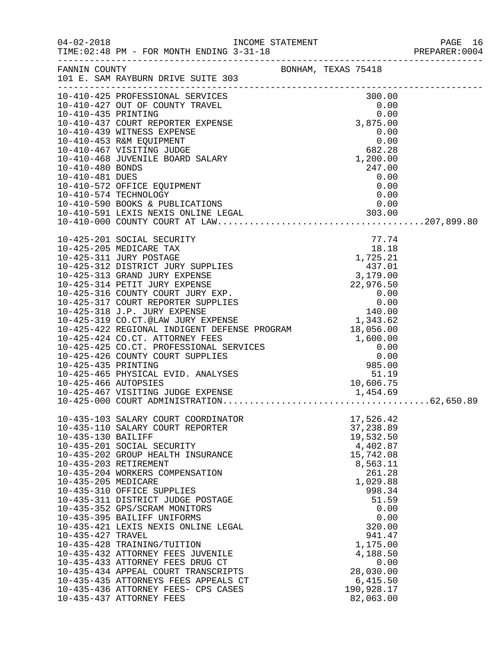| $04 - 02 - 2018$                                               | TIME: 02:48 PM - FOR MONTH ENDING 3-31-18                                                                                                                                                                                                                                                                                                                                                                                                                                                                                                                                                                                                  |                                                                                                                                                                                                                                           | PAGE 16<br>PREPARER:0004 |
|----------------------------------------------------------------|--------------------------------------------------------------------------------------------------------------------------------------------------------------------------------------------------------------------------------------------------------------------------------------------------------------------------------------------------------------------------------------------------------------------------------------------------------------------------------------------------------------------------------------------------------------------------------------------------------------------------------------------|-------------------------------------------------------------------------------------------------------------------------------------------------------------------------------------------------------------------------------------------|--------------------------|
|                                                                | FANNIN COUNTY BONHAM, TEXAS 75418<br>101 E. SAM RAYBURN DRIVE SUITE 303                                                                                                                                                                                                                                                                                                                                                                                                                                                                                                                                                                    |                                                                                                                                                                                                                                           |                          |
|                                                                |                                                                                                                                                                                                                                                                                                                                                                                                                                                                                                                                                                                                                                            |                                                                                                                                                                                                                                           |                          |
|                                                                |                                                                                                                                                                                                                                                                                                                                                                                                                                                                                                                                                                                                                                            |                                                                                                                                                                                                                                           |                          |
| 10-435-130 BAILIFF<br>10-435-205 MEDICARE<br>10-435-427 TRAVEL | 10-435-103 SALARY COURT COORDINATOR<br>10-435-110 SALARY COURT REPORTER<br>10-435-201 SOCIAL SECURITY<br>10-435-202 GROUP HEALTH INSURANCE<br>10-435-203 RETIREMENT<br>10-435-204 WORKERS COMPENSATION<br>10-435-310 OFFICE SUPPLIES<br>10-435-311 DISTRICT JUDGE POSTAGE<br>10-435-352 GPS/SCRAM MONITORS<br>10-435-395 BAILIFF UNIFORMS<br>10-435-421 LEXIS NEXIS ONLINE LEGAL<br>10-435-428 TRAINING/TUITION<br>10-435-432 ATTORNEY FEES JUVENILE<br>10-435-433 ATTORNEY FEES DRUG CT<br>10-435-434 APPEAL COURT TRANSCRIPTS<br>10-435-435 ATTORNEYS FEES APPEALS CT<br>10-435-436 ATTORNEY FEES- CPS CASES<br>10-435-437 ATTORNEY FEES | 17,526.42<br>37,238.89<br>19,532.50<br>4,402.87<br>15,742.08<br>8,563.11<br>261.28<br>1,029.88<br>998.34<br>51.59<br>0.00<br>0.00<br>320.00<br>941.47<br>1,175.00<br>4,188.50<br>0.00<br>28,030.00<br>6,415.50<br>190,928.17<br>82,063.00 |                          |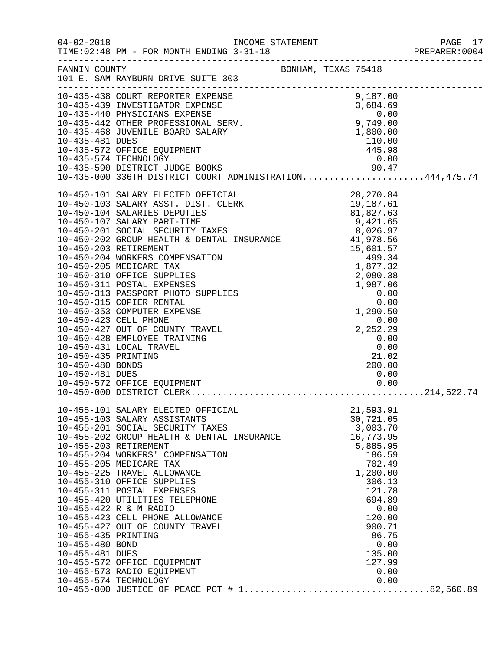|                                    |                                                                                                                                                                                                                                               |                                    | PREPARER: 0004 |
|------------------------------------|-----------------------------------------------------------------------------------------------------------------------------------------------------------------------------------------------------------------------------------------------|------------------------------------|----------------|
|                                    | FANNIN COUNTY BONHAM, TEXAS 75418<br>101 E. SAM RAYBURN DRIVE SUITE 303                                                                                                                                                                       |                                    |                |
|                                    | 101 E. SAM KAIBUNI<br>10-435-438 COURT REPORTER EXPENSE<br>10-435-439 INVESTIGATOR EXPENSE<br>10-435-440 PHYSICIANS EXPENSE<br>10-435-440 PHYSICIANS EXPENSE<br>10-435-468 JUVENILE BOARD SALARY<br>10-435-481 DUES<br>10-035-481 DUES<br>10. |                                    |                |
|                                    |                                                                                                                                                                                                                                               |                                    |                |
|                                    |                                                                                                                                                                                                                                               |                                    |                |
|                                    |                                                                                                                                                                                                                                               |                                    |                |
|                                    |                                                                                                                                                                                                                                               |                                    |                |
|                                    |                                                                                                                                                                                                                                               |                                    |                |
|                                    |                                                                                                                                                                                                                                               |                                    |                |
|                                    |                                                                                                                                                                                                                                               |                                    |                |
|                                    |                                                                                                                                                                                                                                               |                                    |                |
|                                    |                                                                                                                                                                                                                                               |                                    |                |
| 10-450-481 DUES                    |                                                                                                                                                                                                                                               | 0.00                               |                |
|                                    |                                                                                                                                                                                                                                               |                                    |                |
|                                    | 10-455-101 SALARY ELECTED OFFICIAL<br>10-455-103 SALARY ASSISTANTS<br>10-455-201 SOCIAL SECURITY TAXES                                                                                                                                        | 21,593.91<br>30,721.05<br>3,003.70 |                |
| 10-455-203 RETIREMENT              | 10-455-202 GROUP HEALTH & DENTAL INSURANCE<br>10-455-204 WORKERS' COMPENSATION                                                                                                                                                                | 16,773.95<br>5,885.95<br>186.59    |                |
|                                    | 10-455-205 MEDICARE TAX<br>10-455-225 TRAVEL ALLOWANCE<br>10-455-310 OFFICE SUPPLIES                                                                                                                                                          | 702.49<br>1,200.00<br>306.13       |                |
|                                    | 10-455-311 POSTAL EXPENSES<br>10-455-420 UTILITIES TELEPHONE<br>10-455-422 R & M RADIO                                                                                                                                                        | 121.78<br>694.89<br>0.00           |                |
| 10-455-435 PRINTING                | 10-455-423 CELL PHONE ALLOWANCE<br>10-455-427 OUT OF COUNTY TRAVEL                                                                                                                                                                            | 120.00<br>900.71<br>86.75          |                |
| 10-455-480 BOND<br>10-455-481 DUES | 10-455-572 OFFICE EQUIPMENT                                                                                                                                                                                                                   | 0.00<br>135.00<br>127.99           |                |
| 10-455-574 TECHNOLOGY              | 10-455-573 RADIO EQUIPMENT                                                                                                                                                                                                                    | 0.00<br>0.00                       |                |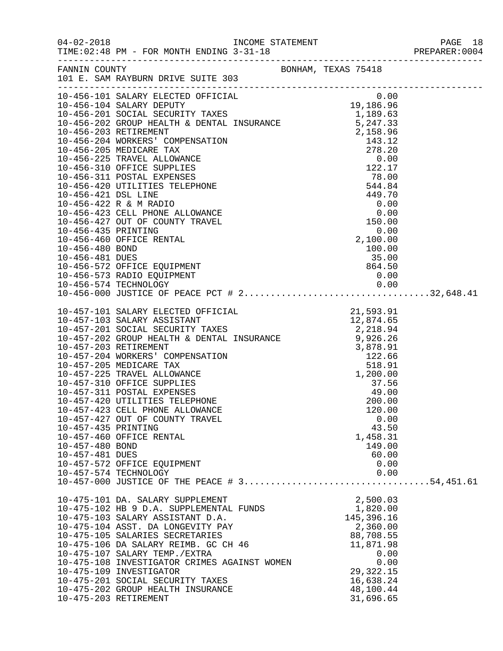| $04 - 02 - 2018$                                          | TIME: 02:48 PM - FOR MONTH ENDING 3-31-18<br>___________________________________                                                                                                                                                                                                                                                                                                                                                                                                                                                                                                                                         |  |                                                                                                                                                                    |  |
|-----------------------------------------------------------|--------------------------------------------------------------------------------------------------------------------------------------------------------------------------------------------------------------------------------------------------------------------------------------------------------------------------------------------------------------------------------------------------------------------------------------------------------------------------------------------------------------------------------------------------------------------------------------------------------------------------|--|--------------------------------------------------------------------------------------------------------------------------------------------------------------------|--|
| FANNIN COUNTY                                             | 101 E. SAM RAYBURN DRIVE SUITE 303                                                                                                                                                                                                                                                                                                                                                                                                                                                                                                                                                                                       |  | BONHAM, TEXAS 75418                                                                                                                                                |  |
| 10-456-435 PRINTING<br>10-456-480 BOND<br>10-456-481 DUES | 10-456-422 R & M RADIO<br>10-456-423 CELL PHONE ALLOWANCE<br>10-456-427 OUT OF COUNTY TRAVEL<br>10-456-460 OFFICE RENTAL<br>10-456-572 OFFICE EQUIPMENT<br>10-456-573 RADIO EQUIPMENT                                                                                                                                                                                                                                                                                                                                                                                                                                    |  | $\begin{array}{r} 119.700 \\ -0.000 \\ 0.00 \\ 150.00 \end{array}$<br>0.00<br>2,100.00<br>100.00<br>35.00<br>864.50<br>0.00                                        |  |
|                                                           |                                                                                                                                                                                                                                                                                                                                                                                                                                                                                                                                                                                                                          |  |                                                                                                                                                                    |  |
| 10-457-435 PRINTING<br>10-457-480 BOND<br>10-457-481 DUES | 10-457-101 SALARY ELECTED OFFICIAL 21,593.91<br>10-457-103 SALARY ASSISTANT 12,874.65<br>10-457-201 SOCIAL SECURITY TAXES 2,218.94<br>10-457-202 GROUP HEALTH & DENTAL INSURANCE 9,926.26<br>10-457-203 RETIREMENT<br>10-457-204 WORKERS' COMPENSATION<br>10-457-205 MEDICARE TAX<br>10-457-225 TRAVEL ALLOWANCE<br>10-457-310 OFFICE SUPPLIES<br>10-457-311 POSTAL EXPENSES<br>10-457-420 UTILITIES TELEPHONE<br>10-457-423 CELL PHONE ALLOWANCE<br>10-457-427 OUT OF COUNTY TRAVEL<br>10-457-460 OFFICE RENTAL<br>10-457-572 OFFICE EQUIPMENT<br>10-457-574 TECHNOLOGY<br>10-457-000 JUSTICE OF THE PEACE # 354,451.61 |  | $3,878.91$<br>$122.66$<br>$518.91$<br>$1,200.00$<br>1,200.00<br>37.56<br>49.00<br>200.00<br>120.00<br>0.00<br>43.50<br>1,458.31<br>149.00<br>60.00<br>0.00<br>0.00 |  |
|                                                           | 10-475-101 DA. SALARY SUPPLEMENT<br>10-475-102 HB 9 D.A. SUPPLEMENTAL FUNDS<br>10-475-103 SALARY ASSISTANT D.A.<br>10-475-104 ASST. DA LONGEVITY PAY<br>10-475-105 SALARIES SECRETARIES<br>10-475-106 DA SALARY REIMB. GC CH 46<br>10-475-107 SALARY TEMP./EXTRA<br>10-475-108 INVESTIGATOR CRIMES AGAINST WOMEN<br>10-475-109 INVESTIGATOR<br>10-475-201 SOCIAL SECURITY TAXES<br>10-475-202 GROUP HEALTH INSURANCE<br>10-475-203 RETIREMENT                                                                                                                                                                            |  | 2,500.03<br>1,820.00<br>145,396.16<br>2,360.00<br>88,708.55<br>11,871.98<br>0.00<br>0.00<br>29, 322. 15<br>16,638.24<br>48,100.44<br>31,696.65                     |  |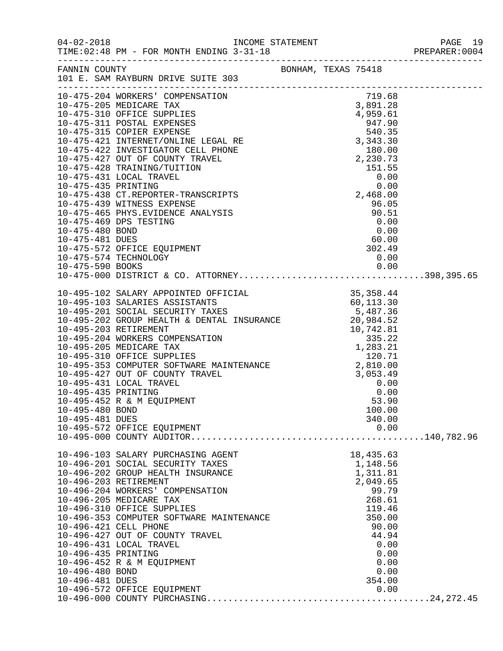| $04 - 02 - 2018$                                          | TIME: 02:48 PM - FOR MONTH ENDING 3-31-18                                                                                                                                                                                                                                                                                                                                                                                                                                                                                 |                     |  |                                                                                                                                                          |  |
|-----------------------------------------------------------|---------------------------------------------------------------------------------------------------------------------------------------------------------------------------------------------------------------------------------------------------------------------------------------------------------------------------------------------------------------------------------------------------------------------------------------------------------------------------------------------------------------------------|---------------------|--|----------------------------------------------------------------------------------------------------------------------------------------------------------|--|
| FANNIN COUNTY                                             | 101 E. SAM RAYBURN DRIVE SUITE 303                                                                                                                                                                                                                                                                                                                                                                                                                                                                                        | BONHAM, TEXAS 75418 |  |                                                                                                                                                          |  |
|                                                           | 10-475-204 WORKERS' COMPENSATION<br>10-475-439 WITNESS EXPENSE<br>10-475-465 PHYS.EVIDENCE ANALYSIS 96.05<br>10-475-469 DPS TESTING 0.00<br>10-475-480 BOND 0.00<br>10-475-572 OFFICE EQUIPMENT 302.49<br>10-475-572 OFFICE EQUIPMENT 302.49<br>10-475-574 TECHNOLOGY                                                                                                                                                                                                                                                     |                     |  | 719.68<br>96.05<br>0.00                                                                                                                                  |  |
| 10-475-590 BOOKS                                          |                                                                                                                                                                                                                                                                                                                                                                                                                                                                                                                           |                     |  |                                                                                                                                                          |  |
| 10-495-435 PRINTING<br>10-495-480 BOND<br>10-495-481 DUES | $\begin{tabular}{lllllllllllllllllllllllllllllllllllllllllllll} \multicolumn{3}{c}{10-495-102} & \multicolumn{3}{c}{\texttt{SALARIES}} & \multicolumn{3}{c}{\texttt{OFFICIAL}} & \multicolumn{3}{c}{35,358.44} \\ \multicolumn{3}{c}{10-495-103} & \multicolumn{3}{c}{\texttt{SALARIES}} & \multicolumn{3}{c}{\texttt{SCSITANTS}} & \multicolumn{3}{c}{60,113.30} \\ \multicolumn{3}{c}{10-495-201} & \multicolumn{3}{c}{\texttt$<br>10-495-431 LOCAL TRAVEL<br>10-495-452 R & M EQUIPMENT<br>10-495-572 OFFICE EQUIPMENT | $3,053.49$<br>0.00  |  | 340.00<br>0.00                                                                                                                                           |  |
| 10-496-435 PRINTING<br>10-496-480 BOND<br>10-496-481 DUES | 10-496-103 SALARY PURCHASING AGENT<br>10-496-201 SOCIAL SECURITY TAXES<br>10-496-202 GROUP HEALTH INSURANCE<br>10-496-203 RETIREMENT<br>10-496-204 WORKERS' COMPENSATION<br>10-496-205 MEDICARE TAX<br>10-496-310 OFFICE SUPPLIES<br>10-496-353 COMPUTER SOFTWARE MAINTENANCE<br>10-496-421 CELL PHONE<br>10-496-427 OUT OF COUNTY TRAVEL<br>10-496-431 LOCAL TRAVEL<br>10-496-452 R & M EQUIPMENT<br>10-496-572 OFFICE EQUIPMENT                                                                                         |                     |  | 18,435.63<br>1,148.56<br>1,311.81<br>2,049.65<br>99.79<br>268.61<br>119.46<br>350.00<br>90.00<br>44.94<br>0.00<br>0.00<br>0.00<br>0.00<br>354.00<br>0.00 |  |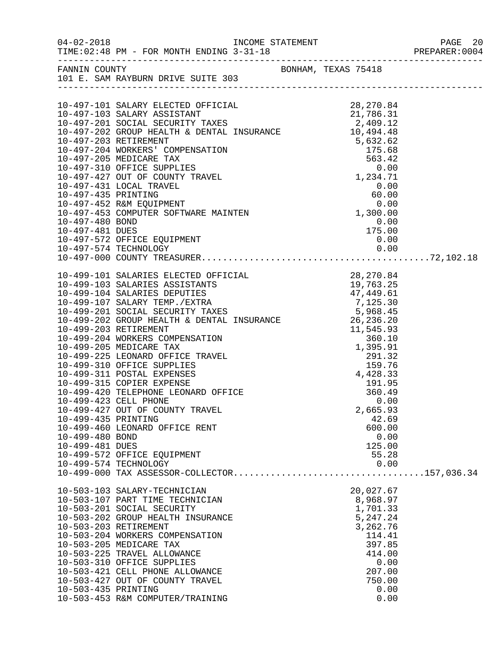|                     | FANNIN COUNTY<br>101 E. SAM RAYBURN DRIVE SUITE 303                                                                                                                                                                                                                                                     |                       |  |
|---------------------|---------------------------------------------------------------------------------------------------------------------------------------------------------------------------------------------------------------------------------------------------------------------------------------------------------|-----------------------|--|
|                     |                                                                                                                                                                                                                                                                                                         |                       |  |
|                     |                                                                                                                                                                                                                                                                                                         |                       |  |
|                     |                                                                                                                                                                                                                                                                                                         |                       |  |
|                     |                                                                                                                                                                                                                                                                                                         |                       |  |
|                     |                                                                                                                                                                                                                                                                                                         |                       |  |
|                     |                                                                                                                                                                                                                                                                                                         |                       |  |
|                     |                                                                                                                                                                                                                                                                                                         |                       |  |
|                     |                                                                                                                                                                                                                                                                                                         |                       |  |
|                     |                                                                                                                                                                                                                                                                                                         |                       |  |
|                     |                                                                                                                                                                                                                                                                                                         |                       |  |
|                     |                                                                                                                                                                                                                                                                                                         |                       |  |
|                     |                                                                                                                                                                                                                                                                                                         |                       |  |
|                     |                                                                                                                                                                                                                                                                                                         |                       |  |
|                     |                                                                                                                                                                                                                                                                                                         |                       |  |
|                     |                                                                                                                                                                                                                                                                                                         |                       |  |
|                     |                                                                                                                                                                                                                                                                                                         |                       |  |
|                     |                                                                                                                                                                                                                                                                                                         |                       |  |
|                     | 10-499-101 SALARIES ELECTED OFFICIAL<br>10-499-103 SALARIES ASSISTANTS<br>10-499-104 SALARIES DEPUTIES<br>10-499-107 SALARY TEMP./EXTRA<br>10-499-201 SOCIAL SECURITY TAXES<br>10-499-202 GROUP HEALTH & DENTAL INSURANCE<br>10-499-202 GR                                                              |                       |  |
|                     |                                                                                                                                                                                                                                                                                                         |                       |  |
|                     |                                                                                                                                                                                                                                                                                                         |                       |  |
|                     |                                                                                                                                                                                                                                                                                                         |                       |  |
|                     |                                                                                                                                                                                                                                                                                                         |                       |  |
|                     |                                                                                                                                                                                                                                                                                                         |                       |  |
|                     |                                                                                                                                                                                                                                                                                                         |                       |  |
|                     |                                                                                                                                                                                                                                                                                                         |                       |  |
|                     |                                                                                                                                                                                                                                                                                                         |                       |  |
|                     |                                                                                                                                                                                                                                                                                                         |                       |  |
|                     | 10-499-202 GROUP HEALIN & DENIAL INSURANCE<br>10-499-203 RETIREMENT<br>10-499-204 WORKERS COMPENSATION<br>10-499-205 MEDICARE TAX<br>10-499-225 LEONARD OFFICE TRAVEL<br>10-499-310 OFFICE SUPPLIES<br>10-499-311 POSTAL EXPENSES<br>10-499-<br>10-499-311 POSTAL EXPENSES<br>10-499-315 COPIER EXPENSE |                       |  |
|                     | 10-499-420 TELEPHONE LEONARD OFFICE                                                                                                                                                                                                                                                                     | $191.95$<br>$360.49$  |  |
|                     | 10-499-423 CELL PHONE                                                                                                                                                                                                                                                                                   | 0.00                  |  |
|                     | 10-499-427 OUT OF COUNTY TRAVEL                                                                                                                                                                                                                                                                         | 2,665.93              |  |
| 10-499-435 PRINTING |                                                                                                                                                                                                                                                                                                         | 42.69                 |  |
|                     | 10-499-460 LEONARD OFFICE RENT                                                                                                                                                                                                                                                                          | 600.00                |  |
| 10-499-480 BOND     |                                                                                                                                                                                                                                                                                                         | 0.00                  |  |
| 10-499-481 DUES     | 10-499-572 OFFICE EQUIPMENT                                                                                                                                                                                                                                                                             | 125.00<br>55.28       |  |
|                     | 10-499-574 TECHNOLOGY                                                                                                                                                                                                                                                                                   | 0.00                  |  |
|                     |                                                                                                                                                                                                                                                                                                         |                       |  |
|                     |                                                                                                                                                                                                                                                                                                         |                       |  |
|                     | 10-503-103 SALARY-TECHNICIAN<br>10-503-107 PART TIME TECHNICIAN                                                                                                                                                                                                                                         | 20,027.67<br>8,968.97 |  |
|                     | 10-503-201 SOCIAL SECURITY                                                                                                                                                                                                                                                                              | 1,701.33              |  |
|                     | 10-503-202 GROUP HEALTH INSURANCE                                                                                                                                                                                                                                                                       | 5,247.24              |  |
|                     | 10-503-203 RETIREMENT                                                                                                                                                                                                                                                                                   | 3,262.76              |  |
|                     | 10-503-204 WORKERS COMPENSATION                                                                                                                                                                                                                                                                         | 114.41                |  |
|                     | 10-503-205 MEDICARE TAX                                                                                                                                                                                                                                                                                 | 397.85                |  |
|                     | 10-503-225 TRAVEL ALLOWANCE<br>10-503-310 OFFICE SUPPLIES                                                                                                                                                                                                                                               | 414.00<br>0.00        |  |
|                     | 10-503-421 CELL PHONE ALLOWANCE                                                                                                                                                                                                                                                                         | 207.00                |  |
|                     | 10-503-427 OUT OF COUNTY TRAVEL                                                                                                                                                                                                                                                                         | 750.00                |  |
| 10-503-435 PRINTING |                                                                                                                                                                                                                                                                                                         | 0.00                  |  |
|                     | 10-503-453 R&M COMPUTER/TRAINING                                                                                                                                                                                                                                                                        | 0.00                  |  |
|                     |                                                                                                                                                                                                                                                                                                         |                       |  |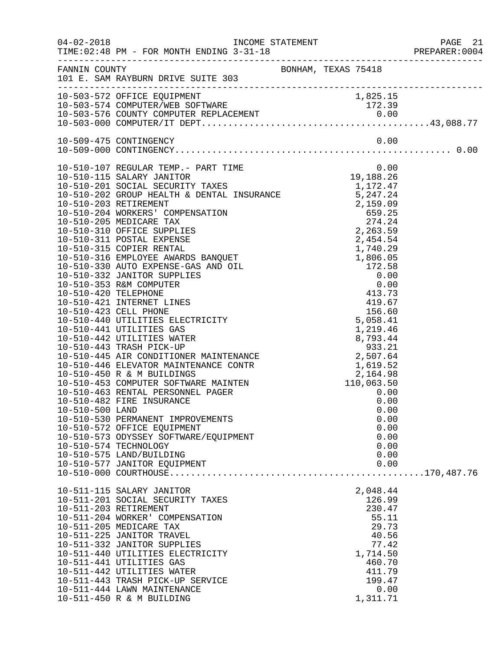|                 |                                                                                                                                                                                                                                                                                                                                                                                   |                                                                                                                    | PREPARER: 0004 |
|-----------------|-----------------------------------------------------------------------------------------------------------------------------------------------------------------------------------------------------------------------------------------------------------------------------------------------------------------------------------------------------------------------------------|--------------------------------------------------------------------------------------------------------------------|----------------|
|                 | FANNIN COUNTY<br>101 E. SAM RAYBURN DRIVE SUITE 303                                                                                                                                                                                                                                                                                                                               |                                                                                                                    |                |
|                 |                                                                                                                                                                                                                                                                                                                                                                                   |                                                                                                                    |                |
|                 |                                                                                                                                                                                                                                                                                                                                                                                   |                                                                                                                    |                |
| 10-510-500 LAND | 10-510-530 PERMANENT IMPROVEMENTS<br>10-510-572 OFFICE EQUIPMENT<br>10-510-573 ODYSSEY SOFTWARE/EQUIPMENT<br>10-510-574 TECHNOLOGY<br>10-510-575 LAND/BUILDING<br>10-510-577 JANITOR EQUIPMENT                                                                                                                                                                                    | 0.00<br>0.00<br>0.00<br>0.00<br>0.00<br>0.00<br>0.00                                                               |                |
|                 | 10-511-115 SALARY JANITOR                                                                                                                                                                                                                                                                                                                                                         | 2,048.44                                                                                                           |                |
|                 | 10-511-201 SOCIAL SECURITY TAXES<br>10-511-203 RETIREMENT<br>10-511-204 WORKER' COMPENSATION<br>10-511-205 MEDICARE TAX<br>10-511-225 JANITOR TRAVEL<br>10-511-332 JANITOR SUPPLIES<br>10-511-440 UTILITIES ELECTRICITY<br>10-511-441 UTILITIES GAS<br>10-511-442 UTILITIES WATER<br>10-511-443 TRASH PICK-UP SERVICE<br>10-511-444 LAWN MAINTENANCE<br>10-511-450 R & M BUILDING | 126.99<br>230.47<br>55.11<br>29.73<br>40.56<br>77.42<br>1,714.50<br>460.70<br>411.79<br>199.47<br>0.00<br>1,311.71 |                |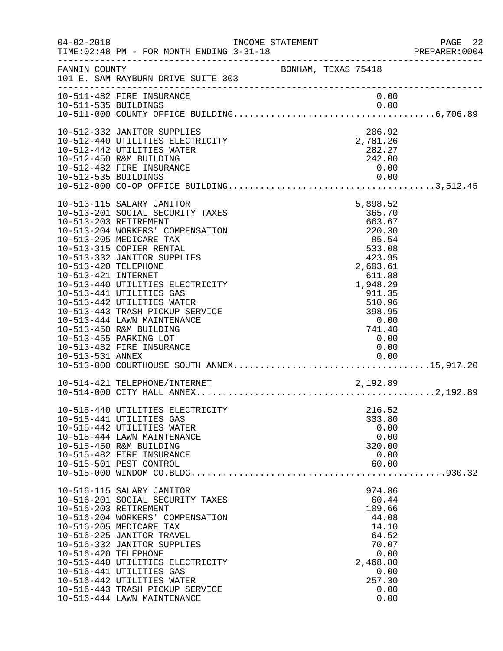| $04 - 02 - 2018$                                                     | INCOME STATEMENT<br>TIME: 02:48 PM - FOR MONTH ENDING 3-31-18                                                                                                                                                                                                                                                                                                                                                                             |                     |                                                                                                                                                               |                              | PAGE 22<br>PREPARER:0004 |
|----------------------------------------------------------------------|-------------------------------------------------------------------------------------------------------------------------------------------------------------------------------------------------------------------------------------------------------------------------------------------------------------------------------------------------------------------------------------------------------------------------------------------|---------------------|---------------------------------------------------------------------------------------------------------------------------------------------------------------|------------------------------|--------------------------|
| FANNIN COUNTY                                                        | 101 E. SAM RAYBURN DRIVE SUITE 303                                                                                                                                                                                                                                                                                                                                                                                                        | BONHAM, TEXAS 75418 |                                                                                                                                                               |                              |                          |
|                                                                      | 10-511-482 FIRE INSURANCE                                                                                                                                                                                                                                                                                                                                                                                                                 |                     |                                                                                                                                                               | 0.00                         |                          |
| 10-512-535 BUILDINGS                                                 | 10-512-332 JANITOR SUPPLIES<br>10-512-440 UTILITIES ELECTRICITY<br>10-512-442 UTILITIES WATER<br>10-512-450 R&M BUILDING<br>10-512-482 FIRE INSURANCE                                                                                                                                                                                                                                                                                     |                     | 206.92<br>2,781.26<br>282.27<br>242.00<br>0.00                                                                                                                | 0.00                         |                          |
| 10-513-203 RETIREMENT<br>10-513-420 TELEPHONE<br>10-513-421 INTERNET | 10-513-115 SALARY JANITOR<br>10-513-201 SOCIAL SECURITY TAXES<br>10-513-204 WORKERS' COMPENSATION<br>10-513-205 MEDICARE TAX<br>10-513-315 COPIER RENTAL<br>10-513-332 JANITOR SUPPLIES<br>10-513-440 UTILITIES ELECTRICITY<br>10-513-441 UTILITIES GAS<br>10-513-442 UTILITIES WATER<br>10-513-443 TRASH PICKUP SERVICE<br>10-513-444 LAWN MAINTENANCE<br>10-513-450 R&M BUILDING<br>10-513-455 PARKING LOT<br>10-513-482 FIRE INSURANCE |                     | 5,898.52<br>365.70<br>663.67<br>220.30<br>85.54<br>533.08<br>423.95<br>2,603.61<br>611.88<br>1,948.29<br>911.35<br>510.96<br>398.95<br>0.00<br>741.40<br>0.00 | 0.00                         |                          |
|                                                                      |                                                                                                                                                                                                                                                                                                                                                                                                                                           |                     |                                                                                                                                                               |                              |                          |
|                                                                      | 10-515-440 UTILITIES ELECTRICITY<br>10-515-441 UTILITIES GAS<br>10-515-442 UTILITIES WATER<br>10-515-444 LAWN MAINTENANCE<br>10-515-450 R&M BUILDING<br>10-515-482 FIRE INSURANCE<br>10-515-501 PEST CONTROL                                                                                                                                                                                                                              |                     | 216.52<br>333.80<br>320.00<br>60.00                                                                                                                           | 0.00<br>0.00<br>0.00         |                          |
| 10-516-203 RETIREMENT<br>10-516-420 TELEPHONE                        | 10-516-115 SALARY JANITOR<br>10-516-201 SOCIAL SECURITY TAXES<br>10-516-204 WORKERS' COMPENSATION<br>10-516-205 MEDICARE TAX<br>10-516-225 JANITOR TRAVEL<br>10-516-332 JANITOR SUPPLIES<br>10-516-440 UTILITIES ELECTRICITY<br>10-516-441 UTILITIES GAS<br>10-516-442 UTILITIES WATER<br>10-516-443 TRASH PICKUP SERVICE<br>10-516-444 LAWN MAINTENANCE                                                                                  |                     | 974.86<br>60.44<br>109.66<br>44.08<br>14.10<br>64.52<br>70.07<br>2,468.80<br>257.30                                                                           | 0.00<br>0.00<br>0.00<br>0.00 |                          |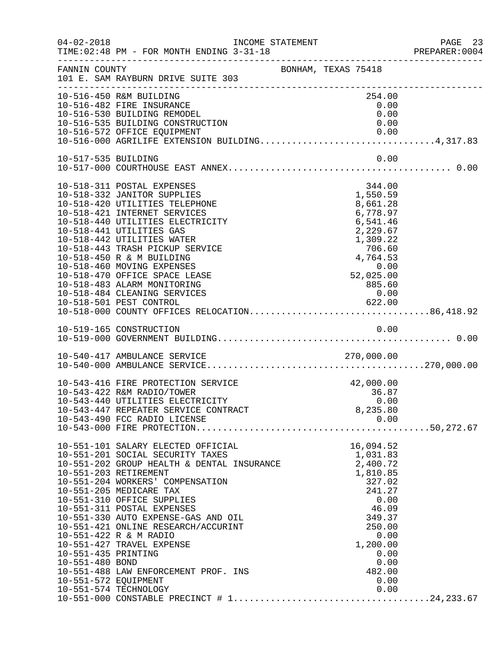| $04 - 02 - 2018$                                               | TIME: 02:48 PM - FOR MONTH ENDING 3-31-18                                                                                                                                                                                                                                                                                                                                                                                                                                      | INCOME STATEMENT    |                                                                                                                                                                      | PAGE 23<br>PREPARER:0004 |
|----------------------------------------------------------------|--------------------------------------------------------------------------------------------------------------------------------------------------------------------------------------------------------------------------------------------------------------------------------------------------------------------------------------------------------------------------------------------------------------------------------------------------------------------------------|---------------------|----------------------------------------------------------------------------------------------------------------------------------------------------------------------|--------------------------|
| FANNIN COUNTY                                                  | 101 E. SAM RAYBURN DRIVE SUITE 303                                                                                                                                                                                                                                                                                                                                                                                                                                             | BONHAM, TEXAS 75418 |                                                                                                                                                                      |                          |
|                                                                | 10-516-450 R&M BUILDING<br>10-516-482 FIRE INSURANCE<br>10-516-530 BUILDING REMODEL<br>10-516-535 BUILDING CONSTRUCTION<br>10-516-572 OFFICE EQUIPMENT<br>10-516-000 AGRILIFE EXTENSION BUILDING4,317.83                                                                                                                                                                                                                                                                       |                     | 254.00<br>0.00<br>0.00<br>0.00                                                                                                                                       |                          |
| 10-517-535 BUILDING                                            |                                                                                                                                                                                                                                                                                                                                                                                                                                                                                |                     | 0.00                                                                                                                                                                 |                          |
|                                                                | 10-518-311 POSTAL EXPENSES<br>10-518-332 JANITOR SUPPLIES<br>10-518-420 UTILITIES TELEPHONE<br>10-518-421 INTERNET SERVICES<br>10-518-440 UTILITIES ELECTRICITY<br>10-518-441 UTILITIES GAS<br>10-518-442 UTILITIES WATER<br>10-518-443 TRASH PICKUP SERVICE<br>10-518-450 R & M BUILDING<br>10-518-460 MOVING EXPENSES<br>10-518-470 OFFICE SPACE LEASE<br>10-518-483 ALARM MONITORING<br>10-518-484 CLEANING SERVICES                                                        |                     | 344.00<br>1,550.59<br>8,661.28<br>6,778.97<br>6,541.46<br>2,229.67<br>1,309.22<br>706.60<br>4,764.53<br>52,0.2<br>0.00<br>52,025.00<br>885.60<br>0.00                |                          |
|                                                                |                                                                                                                                                                                                                                                                                                                                                                                                                                                                                |                     |                                                                                                                                                                      |                          |
|                                                                |                                                                                                                                                                                                                                                                                                                                                                                                                                                                                |                     |                                                                                                                                                                      |                          |
|                                                                | 10-543-416 FIRE PROTECTION SERVICE<br>10-543-422 R&M RADIO/TOWER<br>10-543-440 UTILITIES ELECTRICITY<br>10-543-447 REPEATER SERVICE CONTRACT<br>10-543-490 FCC RADIO LICENSE                                                                                                                                                                                                                                                                                                   |                     | 42,000.00<br>36.87<br>0.00<br>8,235.80<br>0.00                                                                                                                       |                          |
| 10-551-435 PRINTING<br>10-551-480 BOND<br>10-551-572 EQUIPMENT | 10-551-101 SALARY ELECTED OFFICIAL<br>10-551-201 SOCIAL SECURITY TAXES<br>10-551-202 GROUP HEALTH & DENTAL INSURANCE<br>10-551-203 RETIREMENT<br>10-551-204 WORKERS' COMPENSATION<br>10-551-205 MEDICARE TAX<br>10-551-310 OFFICE SUPPLIES<br>10-551-311 POSTAL EXPENSES<br>10-551-330 AUTO EXPENSE-GAS AND OIL<br>10-551-421 ONLINE RESEARCH/ACCURINT<br>10-551-422 R & M RADIO<br>10-551-427 TRAVEL EXPENSE<br>10-551-488 LAW ENFORCEMENT PROF. INS<br>10-551-574 TECHNOLOGY |                     | 16,094.52<br>1,031.83<br>2,400.72<br>1,810.85<br>327.02<br>241.27<br>0.00<br>46.09<br>349.37<br>250.00<br>0.00<br>1,200.00<br>0.00<br>0.00<br>482.00<br>0.00<br>0.00 |                          |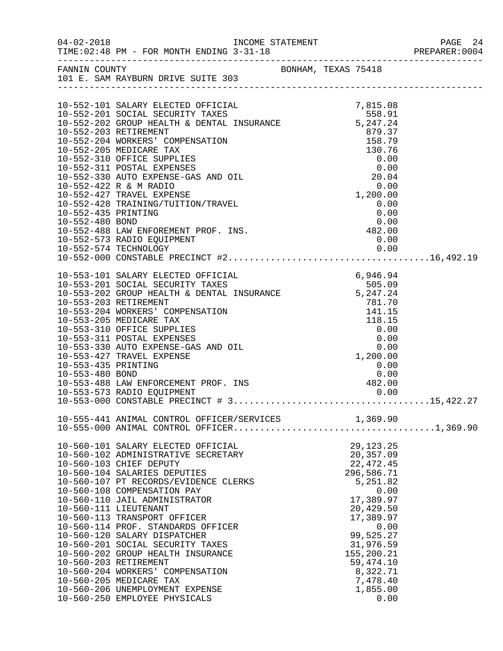|                     |                                                                                                                                                                               |                                                                                                |                                                                | PREPARER: 0004 |
|---------------------|-------------------------------------------------------------------------------------------------------------------------------------------------------------------------------|------------------------------------------------------------------------------------------------|----------------------------------------------------------------|----------------|
|                     | FANNIN COUNTY<br>101 E. SAM RAYBURN DRIVE SUITE 303                                                                                                                           |                                                                                                |                                                                |                |
|                     |                                                                                                                                                                               |                                                                                                |                                                                |                |
|                     |                                                                                                                                                                               |                                                                                                |                                                                |                |
|                     | 10-552-101 SALARY ELECTED OFFICIAL 7,815.08<br>10-552-201 SOCIAL SECURITY TAXES 558.91<br>10-552-202 GROUP HEALTH & DENTAL INSURANCE 5,247.24                                 |                                                                                                |                                                                |                |
|                     |                                                                                                                                                                               |                                                                                                |                                                                |                |
|                     | 10-552-203 RETIREMENT                                                                                                                                                         |                                                                                                |                                                                |                |
|                     | 10-552-204 WORKERS' COMPENSATION                                                                                                                                              |                                                                                                |                                                                |                |
|                     | 10-552-205 MEDICARE TAX                                                                                                                                                       |                                                                                                |                                                                |                |
|                     | 10-552-310 OFFICE SUPPLIES                                                                                                                                                    | 3, 247. 24<br>879. 37<br>158. 79<br>130. 76<br>0. 00<br>20. 04<br>0. 00<br>1, 200. 00<br>0. 00 |                                                                |                |
|                     | 10-552-311 POSTAL EXPENSES                                                                                                                                                    |                                                                                                |                                                                |                |
|                     | 10-552-330 AUTO EXPENSE-GAS AND OIL                                                                                                                                           |                                                                                                |                                                                |                |
|                     | 10-552-422 R & M RADIO                                                                                                                                                        |                                                                                                |                                                                |                |
|                     | 10-552-427 TRAVEL EXPENSE<br>10-552-428 TRAINING/TUITION/TRAVEL                                                                                                               |                                                                                                |                                                                |                |
| 10-552-435 PRINTING |                                                                                                                                                                               |                                                                                                | 0.00<br>0.00                                                   |                |
|                     |                                                                                                                                                                               |                                                                                                |                                                                |                |
|                     |                                                                                                                                                                               |                                                                                                |                                                                |                |
|                     |                                                                                                                                                                               |                                                                                                |                                                                |                |
|                     |                                                                                                                                                                               |                                                                                                |                                                                |                |
|                     |                                                                                                                                                                               |                                                                                                |                                                                |                |
|                     |                                                                                                                                                                               |                                                                                                |                                                                |                |
|                     |                                                                                                                                                                               |                                                                                                |                                                                |                |
|                     |                                                                                                                                                                               |                                                                                                |                                                                |                |
|                     | 10-553-101 SALARY ELECTED OFFICIAL 6,946.94<br>10-553-201 SOCIAL SECURITY TAXES 505.09<br>10-553-202 GROUP HEALTH & DENTAL INSURANCE 5,247.24<br>10-553-203 RETIREMENT 781.70 |                                                                                                |                                                                |                |
|                     | 10-553-204 WORKERS' COMPENSATION                                                                                                                                              |                                                                                                |                                                                |                |
|                     | 10-553-205 MEDICARE TAX                                                                                                                                                       |                                                                                                |                                                                |                |
|                     | 10-553-310 OFFICE SUPPLIES                                                                                                                                                    |                                                                                                |                                                                |                |
|                     | 10-553-311 POSTAL EXPENSES                                                                                                                                                    |                                                                                                |                                                                |                |
|                     | 10-553-330 AUTO EXPENSE-GAS AND OIL                                                                                                                                           |                                                                                                | $781.70$<br>$141.15$<br>$118.15$<br>$0.00$<br>$0.00$<br>$0.00$ |                |
|                     | 10-553-427 TRAVEL EXPENSE                                                                                                                                                     |                                                                                                | 1,200.00                                                       |                |
| 10-553-435 PRINTING |                                                                                                                                                                               |                                                                                                | 0.00                                                           |                |
|                     |                                                                                                                                                                               |                                                                                                |                                                                |                |
|                     |                                                                                                                                                                               |                                                                                                |                                                                |                |
|                     |                                                                                                                                                                               |                                                                                                |                                                                |                |
|                     |                                                                                                                                                                               |                                                                                                |                                                                |                |
|                     |                                                                                                                                                                               |                                                                                                |                                                                |                |
|                     |                                                                                                                                                                               |                                                                                                |                                                                |                |
|                     | 10-560-101 SALARY ELECTED OFFICIAL                                                                                                                                            |                                                                                                | 29, 123. 25                                                    |                |
|                     | 10-560-102 ADMINISTRATIVE SECRETARY                                                                                                                                           |                                                                                                | 20,357.09                                                      |                |
|                     | 10-560-103 CHIEF DEPUTY                                                                                                                                                       |                                                                                                | 22, 472.45                                                     |                |
|                     | 10-560-104 SALARIES DEPUTIES                                                                                                                                                  |                                                                                                | 296,586.71                                                     |                |
|                     | 10-560-107 PT RECORDS/EVIDENCE CLERKS                                                                                                                                         |                                                                                                | 5,251.82                                                       |                |
|                     | 10-560-108 COMPENSATION PAY                                                                                                                                                   |                                                                                                | 0.00                                                           |                |
|                     | 10-560-110 JAIL ADMINISTRATOR                                                                                                                                                 |                                                                                                | 17,389.97                                                      |                |
|                     | 10-560-111 LIEUTENANT                                                                                                                                                         |                                                                                                | 20,429.50                                                      |                |
|                     | 10-560-113 TRANSPORT OFFICER<br>10-560-114 PROF. STANDARDS OFFICER                                                                                                            |                                                                                                | 17,389.97<br>0.00                                              |                |
|                     | 10-560-120 SALARY DISPATCHER                                                                                                                                                  |                                                                                                | 99,525.27                                                      |                |
|                     | 10-560-201 SOCIAL SECURITY TAXES                                                                                                                                              |                                                                                                | 31,976.59                                                      |                |
|                     | 10-560-202 GROUP HEALTH INSURANCE                                                                                                                                             |                                                                                                | 155,200.21                                                     |                |
|                     | 10-560-203 RETIREMENT                                                                                                                                                         |                                                                                                | 59,474.10                                                      |                |
|                     | 10-560-204 WORKERS' COMPENSATION                                                                                                                                              |                                                                                                | 8,322.71                                                       |                |
|                     | 10-560-205 MEDICARE TAX                                                                                                                                                       |                                                                                                | 7,478.40                                                       |                |
|                     | 10-560-206 UNEMPLOYMENT EXPENSE                                                                                                                                               |                                                                                                | 1,855.00                                                       |                |
|                     | 10-560-250 EMPLOYEE PHYSICALS                                                                                                                                                 |                                                                                                | 0.00                                                           |                |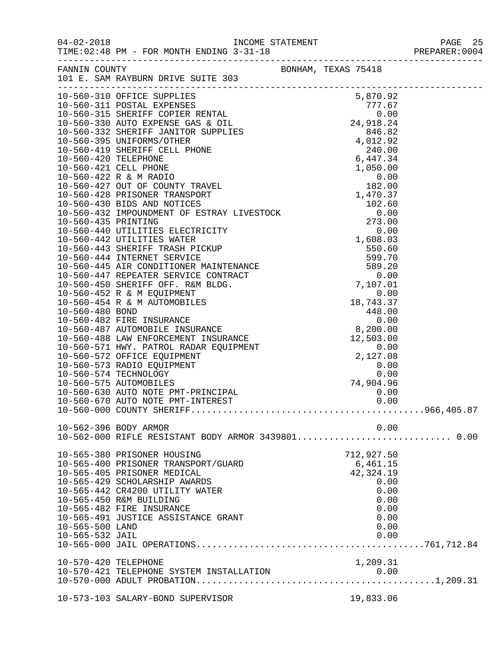|                                    |                                                                                                               |                     | PAGE 25 |
|------------------------------------|---------------------------------------------------------------------------------------------------------------|---------------------|---------|
|                                    | FANNIN COUNTY<br>101 E. SAM RAYBURN DRIVE SUITE 303                                                           | BONHAM, TEXAS 75418 |         |
|                                    |                                                                                                               |                     |         |
|                                    |                                                                                                               |                     |         |
|                                    |                                                                                                               |                     |         |
|                                    |                                                                                                               |                     |         |
|                                    |                                                                                                               |                     |         |
|                                    |                                                                                                               |                     |         |
|                                    |                                                                                                               |                     |         |
|                                    |                                                                                                               |                     |         |
|                                    |                                                                                                               |                     |         |
|                                    |                                                                                                               |                     |         |
|                                    |                                                                                                               |                     |         |
|                                    |                                                                                                               |                     |         |
|                                    |                                                                                                               |                     |         |
|                                    |                                                                                                               |                     |         |
|                                    |                                                                                                               |                     |         |
|                                    |                                                                                                               |                     |         |
|                                    |                                                                                                               |                     |         |
|                                    |                                                                                                               |                     |         |
|                                    |                                                                                                               |                     |         |
|                                    |                                                                                                               |                     |         |
|                                    |                                                                                                               |                     |         |
|                                    |                                                                                                               |                     |         |
|                                    |                                                                                                               |                     |         |
|                                    |                                                                                                               |                     |         |
|                                    |                                                                                                               |                     |         |
|                                    |                                                                                                               |                     |         |
|                                    |                                                                                                               |                     |         |
|                                    |                                                                                                               |                     |         |
|                                    |                                                                                                               |                     |         |
|                                    |                                                                                                               |                     |         |
|                                    |                                                                                                               |                     |         |
|                                    | 10-560-630 AUTO NOTE PMT-PRINCIPAL<br>10-560-630 AUTO NOTE PMT-PRINCIPAL<br>10-560-670 AUTO NOTE PMT-INTEREST | 0.00                |         |
|                                    |                                                                                                               | 0.00                |         |
|                                    |                                                                                                               |                     |         |
|                                    | 10-562-396 BODY ARMOR                                                                                         | 0.00                |         |
|                                    |                                                                                                               |                     |         |
|                                    | 10-565-380 PRISONER HOUSING                                                                                   | 712,927.50          |         |
|                                    | 10-565-400 PRISONER TRANSPORT/GUARD                                                                           | 6,461.15            |         |
|                                    | 10-565-405 PRISONER MEDICAL                                                                                   | 42,324.19           |         |
|                                    | 10-565-429 SCHOLARSHIP AWARDS                                                                                 | 0.00                |         |
|                                    | 10-565-442 CR4200 UTILITY WATER                                                                               | 0.00                |         |
|                                    | 10-565-450 R&M BUILDING                                                                                       | 0.00                |         |
|                                    | 10-565-482 FIRE INSURANCE                                                                                     | 0.00                |         |
|                                    | 10-565-491 JUSTICE ASSISTANCE GRANT                                                                           | 0.00                |         |
| 10-565-500 LAND<br>10-565-532 JAIL |                                                                                                               | 0.00<br>0.00        |         |
|                                    |                                                                                                               |                     |         |
|                                    |                                                                                                               |                     |         |
| 10-570-420 TELEPHONE               |                                                                                                               | 1,209.31            |         |
|                                    |                                                                                                               |                     |         |
|                                    |                                                                                                               |                     |         |
|                                    | 10-573-103 SALARY-BOND SUPERVISOR                                                                             | 19,833.06           |         |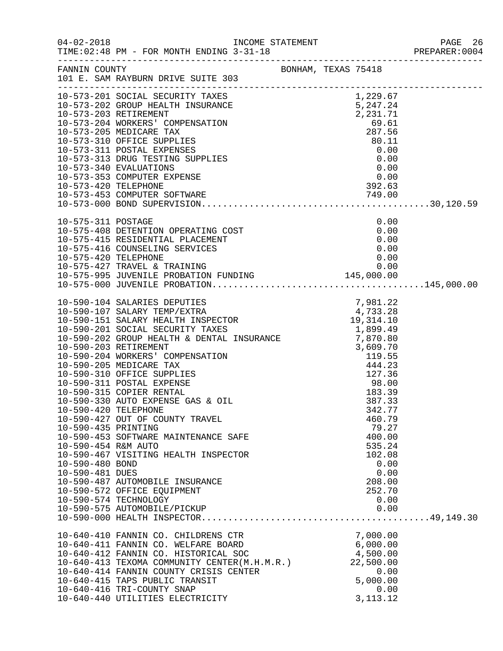| $04 - 02 - 2018$                                                                 | TIME: 02:48 PM - FOR MONTH ENDING 3-31-18                                                                                                                                                                                                                                                                         |                                                                                           | PAGE 26<br>PREPARER:0004 |
|----------------------------------------------------------------------------------|-------------------------------------------------------------------------------------------------------------------------------------------------------------------------------------------------------------------------------------------------------------------------------------------------------------------|-------------------------------------------------------------------------------------------|--------------------------|
|                                                                                  | FANNIN COUNTY BONHAM, TEXAS 75418<br>101 E. SAM RAYBURN DRIVE SUITE 303                                                                                                                                                                                                                                           |                                                                                           |                          |
|                                                                                  |                                                                                                                                                                                                                                                                                                                   |                                                                                           |                          |
|                                                                                  | 10-575-408 DETENTION OPERATING COST<br>10-575-415 RESIDENTIAL PLACEMENT<br>10-575-415 RESIDENTIAL PLACEMENT<br>10-575-416 COUNSELING SERVICES<br>10-575-420 TELEPHONE                                                                                                                                             | 0.00<br>0.00<br>0.00<br>0.00<br>0.00                                                      |                          |
| 10-590-435 PRINTING<br>10-590-454 R&M AUTO<br>10-590-480 BOND<br>10-590-481 DUES | 10-590-427 OUT OF COUNTY TRAVEL<br>10-590-453 SOFTWARE MAINTENANCE SAFE<br>10-590-467 VISITING HEALTH INSPECTOR<br>10-590-487 AUTOMOBILE INSURANCE<br>10-590-572 OFFICE EQUIPMENT<br>10-590-574 TECHNOLOGY                                                                                                        | 460.79<br>79.27<br>400.00<br>535.24<br>102.08<br>0.00<br>0.00<br>208.00<br>252.70<br>0.00 |                          |
|                                                                                  | 10-640-410 FANNIN CO. CHILDRENS CTR<br>10-640-411 FANNIN CO. WELFARE BOARD<br>10-640-412 FANNIN CO. HISTORICAL SOC<br>10-640-413 TEXOMA COMMUNITY CENTER (M.H.M.R.)<br>10-640-414 FANNIN COUNTY CRISIS CENTER<br>10-640-415 TAPS PUBLIC TRANSIT<br>10-640-416 TRI-COUNTY SNAP<br>10-640-440 UTILITIES ELECTRICITY | 7,000.00<br>6,000.00<br>4,500.00<br>22,500.00<br>0.00<br>5,000.00<br>0.00<br>3, 113. 12   |                          |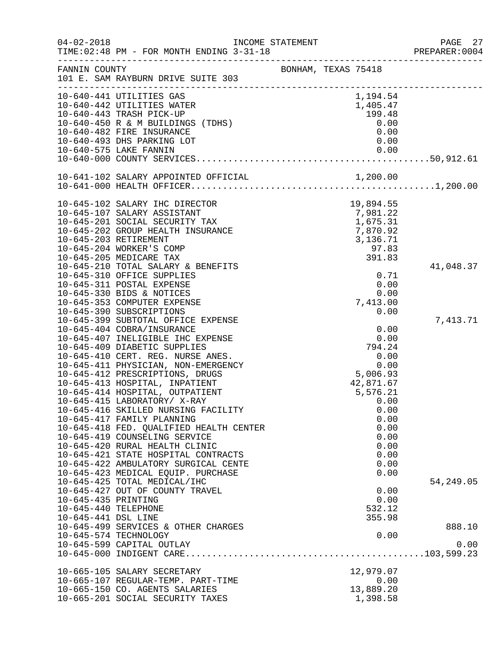| $04 - 02 - 2018$     | INCOME STATEMENT<br>TIME: 02:48 PM - FOR MONTH ENDING 3-31-18        |                     |                       | PAGE 27<br>PREPARER:0004 |
|----------------------|----------------------------------------------------------------------|---------------------|-----------------------|--------------------------|
| FANNIN COUNTY        | 101 E. SAM RAYBURN DRIVE SUITE 303                                   | BONHAM, TEXAS 75418 |                       |                          |
|                      | 10-640-441 UTILITIES GAS                                             |                     | 1,194.54              |                          |
|                      | 10-640-442 UTILITIES WATER                                           |                     | 1,405.47              |                          |
|                      | 10-640-443 TRASH PICK-UP                                             |                     | 199.48                |                          |
|                      | 10-640-450 R & M BUILDINGS (TDHS)                                    |                     | 0.00                  |                          |
|                      | 10-640-482 FIRE INSURANCE                                            |                     | 0.00                  |                          |
|                      | 10-640-493 DHS PARKING LOT                                           |                     | 0.00                  |                          |
|                      | 10-640-575 LAKE FANNIN                                               |                     | 0.00                  |                          |
|                      |                                                                      |                     |                       |                          |
|                      |                                                                      |                     |                       |                          |
|                      |                                                                      |                     |                       |                          |
|                      | 10-645-102 SALARY IHC DIRECTOR                                       |                     | 19,894.55             |                          |
|                      | 10-645-107 SALARY ASSISTANT                                          |                     | 7,981.22              |                          |
|                      | 10-645-201 SOCIAL SECURITY TAX                                       |                     | 1,675.31              |                          |
|                      | 10-645-202 GROUP HEALTH INSURANCE                                    |                     | 7,870.92              |                          |
|                      | 10-645-203 RETIREMENT                                                |                     | 3,136.71              |                          |
|                      | 10-645-204 WORKER'S COMP                                             |                     | 97.83                 |                          |
|                      | 10-645-205 MEDICARE TAX                                              |                     | 391.83                |                          |
|                      | 10-645-210 TOTAL SALARY & BENEFITS<br>10-645-310 OFFICE SUPPLIES     |                     |                       | 41,048.37                |
|                      | 10-645-311 POSTAL EXPENSE                                            |                     | 0.71<br>0.00          |                          |
|                      | 10-645-330 BIDS & NOTICES                                            |                     | 0.00                  |                          |
|                      | 10-645-353 COMPUTER EXPENSE                                          |                     | 7,413.00              |                          |
|                      | 10-645-390 SUBSCRIPTIONS                                             |                     | 0.00                  |                          |
|                      | 10-645-399 SUBTOTAL OFFICE EXPENSE                                   |                     |                       | 7,413.71                 |
|                      | 10-645-404 COBRA/INSURANCE                                           |                     | 0.00                  |                          |
|                      | 10-645-407 INELIGIBLE IHC EXPENSE                                    |                     | 0.00                  |                          |
|                      | 10-645-409 DIABETIC SUPPLIES                                         |                     | 794.24                |                          |
|                      | 10-645-410 CERT. REG. NURSE ANES.                                    |                     | 0.00                  |                          |
|                      | 10-645-411 PHYSICIAN, NON-EMERGENCY                                  |                     | 0.00                  |                          |
|                      | 10-645-412 PRESCRIPTIONS, DRUGS                                      |                     | 5,006.93              |                          |
|                      | 10-645-413 HOSPITAL, INPATIENT                                       |                     | 42,871.67             |                          |
|                      | 10-645-414 HOSPITAL, OUTPATIENT                                      |                     | 5,576.21              |                          |
|                      | 10-645-415 LABORATORY/ X-RAY                                         |                     | 0.00                  |                          |
|                      | 10-645-416 SKILLED NURSING FACILITY                                  |                     | 0.00                  |                          |
|                      | 10-645-417 FAMILY PLANNING                                           |                     | 0.00                  |                          |
|                      | 10-645-418 FED. QUALIFIED HEALTH CENTER                              |                     | 0.00                  |                          |
|                      | 10-645-419 COUNSELING SERVICE                                        |                     | 0.00                  |                          |
|                      | 10-645-420 RURAL HEALTH CLINIC                                       |                     | 0.00                  |                          |
|                      | 10-645-421 STATE HOSPITAL CONTRACTS                                  |                     | 0.00                  |                          |
|                      | 10-645-422 AMBULATORY SURGICAL CENTE                                 |                     | 0.00                  |                          |
|                      | 10-645-423 MEDICAL EQUIP. PURCHASE                                   |                     | 0.00                  |                          |
|                      | 10-645-425 TOTAL MEDICAL/IHC                                         |                     |                       | 54, 249.05               |
|                      | 10-645-427 OUT OF COUNTY TRAVEL                                      |                     | 0.00                  |                          |
| 10-645-435 PRINTING  |                                                                      |                     | 0.00                  |                          |
| 10-645-440 TELEPHONE |                                                                      |                     | 532.12                |                          |
| 10-645-441 DSL LINE  |                                                                      |                     | 355.98                |                          |
|                      | 10-645-499 SERVICES & OTHER CHARGES                                  |                     |                       | 888.10                   |
|                      | 10-645-574 TECHNOLOGY                                                |                     | 0.00                  |                          |
|                      | 10-645-599 CAPITAL OUTLAY                                            |                     |                       | 0.00                     |
|                      |                                                                      |                     |                       |                          |
|                      | 10-665-105 SALARY SECRETARY                                          |                     | 12,979.07             |                          |
|                      | 10-665-107 REGULAR-TEMP. PART-TIME<br>10-665-150 CO. AGENTS SALARIES |                     | 0.00                  |                          |
|                      | 10-665-201 SOCIAL SECURITY TAXES                                     |                     | 13,889.20<br>1,398.58 |                          |
|                      |                                                                      |                     |                       |                          |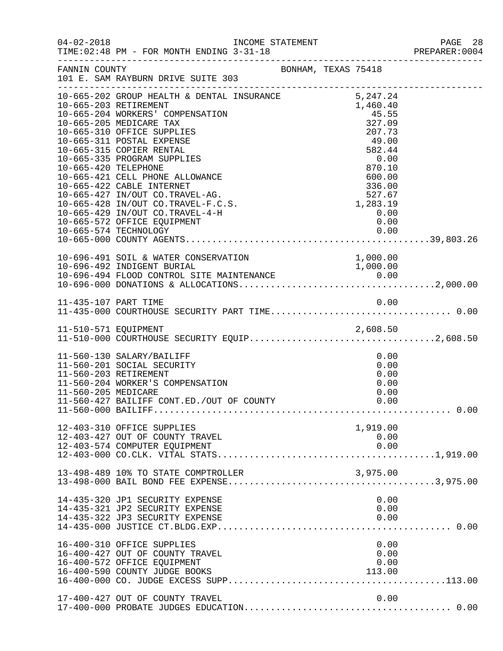|                     |                                                                                                                                                                   |  |                          |                                              | PAGE 28<br>PREPARER: 0004 |
|---------------------|-------------------------------------------------------------------------------------------------------------------------------------------------------------------|--|--------------------------|----------------------------------------------|---------------------------|
|                     |                                                                                                                                                                   |  |                          |                                              |                           |
|                     | 10-665-429 IN/OUT CO.TRAVEL-4-H<br>10-665-572 OFFICE EQUIPMENT                                                                                                    |  | 0.00<br>0.00             |                                              |                           |
|                     |                                                                                                                                                                   |  |                          |                                              |                           |
|                     |                                                                                                                                                                   |  |                          |                                              |                           |
|                     |                                                                                                                                                                   |  |                          |                                              |                           |
| 11-560-205 MEDICARE | 11-560-130 SALARY/BAILIFF<br>11-560-201 SOCIAL SECURITY<br>11-560-203 RETIREMENT<br>11-560-204 WORKER'S COMPENSATION<br>11-560-427 BAILIFF CONT.ED./OUT OF COUNTY |  |                          | 0.00<br>0.00<br>0.00<br>0.00<br>0.00<br>0.00 |                           |
|                     | 12-403-310 OFFICE SUPPLIES<br>12-403-427 OUT OF COUNTY TRAVEL<br>12-403-574 COMPUTER EQUIPMENT                                                                    |  | 1,919.00<br>0.00<br>0.00 |                                              |                           |
|                     | 13-498-489 10% TO STATE COMPTROLLER                                                                                                                               |  | 3,975.00                 |                                              |                           |
|                     | 14-435-320 JP1 SECURITY EXPENSE<br>14-435-321 JP2 SECURITY EXPENSE<br>14-435-322 JP3 SECURITY EXPENSE                                                             |  |                          | 0.00<br>0.00<br>0.00                         |                           |
|                     | 16-400-310 OFFICE SUPPLIES<br>16-400-427 OUT OF COUNTY TRAVEL<br>16-400-572 OFFICE EQUIPMENT<br>16-400-590 COUNTY JUDGE BOOKS                                     |  | 113.00                   | 0.00<br>0.00<br>0.00                         |                           |
|                     | 17-400-427 OUT OF COUNTY TRAVEL                                                                                                                                   |  |                          | 0.00                                         |                           |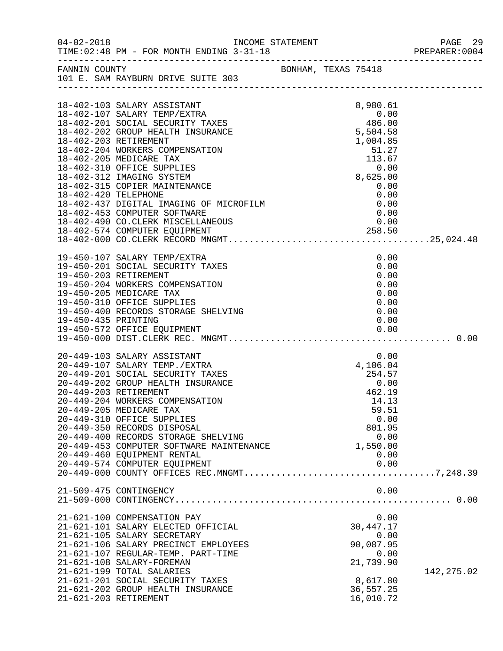|                      | INCOME STATEMENT                                                                                                                                                                                                                                                                                                                                                                                                                             |  |                                                                                                            | PREPARER: 0004 |
|----------------------|----------------------------------------------------------------------------------------------------------------------------------------------------------------------------------------------------------------------------------------------------------------------------------------------------------------------------------------------------------------------------------------------------------------------------------------------|--|------------------------------------------------------------------------------------------------------------|----------------|
|                      | FANNIN COUNTY BONHAM, TEXAS 75418<br>101 E. SAM RAYBURN DRIVE SUITE 303                                                                                                                                                                                                                                                                                                                                                                      |  |                                                                                                            |                |
|                      |                                                                                                                                                                                                                                                                                                                                                                                                                                              |  |                                                                                                            |                |
|                      | 18-402-103 SALARY ASSISTANT<br>18-402-107 SALARY TEMP/EXTRA<br>18-402-201 SOCIAL SECURITY TAXES<br>18-402-202 GROUP HEALTH INSURANCE<br>18-402-203 RETIREMENT<br>18-402-204 WORKERS COMPENSATION<br>18-402-205 MEDICARE TAX                                                                                                                                                                                                                  |  | 8,980.61<br>1,004.85<br>$-51.27$<br>$-113.67$<br>$-0.00$<br>$-8,625.00$                                    |                |
| 18-402-420 TELEPHONE | 18-402-310 OFFICE SUPPLIES<br>18-402-312 IMAGING SYSTEM<br>18-402-315 COPIER MAINTENANCE<br>18-402-420 TELEPHONE<br>18-402-437 DIGITAL IMAGING OF MICROFILM<br>18-402-453 COMPUTER SOFTWARE                                                                                                                                                                                                                                                  |  | $\begin{array}{c} 0.00 \\ 0.00 \end{array}$<br>0.00<br>0.00<br>0.00                                        |                |
|                      |                                                                                                                                                                                                                                                                                                                                                                                                                                              |  |                                                                                                            |                |
| 19-450-435 PRINTING  | 19-450-107 SALARY TEMP/EXTRA<br>19-450-201 SOCIAL SECURITY TAXES<br>19-450-203 RETIREMENT<br>19-450-204 WORKERS COMPENSATION<br>19-450-205 MEDICARE TAX<br>19-450-310 OFFICE SUPPLIES<br>19-450-400 RECORDS STORAGE SHELVING                                                                                                                                                                                                                 |  | 0.00<br>0.00<br>0.00<br>0.00<br>0.00<br>0.00<br>0.00<br>0.00                                               |                |
|                      | 20-449-103 SALARY ASSISTANT<br>20-449-107 SALARY TEMP./EXTRA<br>20-449-201 SOCIAL SECURITY TAXES<br>20-449-202 GROUP HEALTH INSURANCE<br>20-449-203 RETIREMENT<br>20-449-204 WORKERS COMPENSATION<br>20-449-205 MEDICARE TAX<br>20-449-310 OFFICE SUPPLIES<br>20-449-350 RECORDS DISPOSAL<br>20-449-400 RECORDS STORAGE SHELVING<br>20-449-453 COMPUTER SOFTWARE MAINTENANCE<br>20-449-460 EQUIPMENT RENTAL<br>20-449-574 COMPUTER EQUIPMENT |  | 0.00<br>$254.57$<br>0.00<br>462.19<br>14.13<br>59.51<br>0.00<br>801.95<br>0.00<br>1,550.00<br>0.00<br>0.00 |                |
|                      | 21-509-475 CONTINGENCY                                                                                                                                                                                                                                                                                                                                                                                                                       |  | 0.00                                                                                                       |                |
|                      | 21-621-100 COMPENSATION PAY<br>21-621-101 SALARY ELECTED OFFICIAL<br>21-621-105 SALARY SECRETARY<br>21-621-106 SALARY PRECINCT EMPLOYEES<br>21-621-107 REGULAR-TEMP. PART-TIME<br>21-621-108 SALARY-FOREMAN<br>21-621-199 TOTAL SALARIES<br>21-621-201 SOCIAL SECURITY TAXES<br>21-621-202 GROUP HEALTH INSURANCE<br>21-621-203 RETIREMENT                                                                                                   |  | 0.00<br>30, 447. 17<br>0.00<br>90,087.95<br>0.00<br>21,739.90<br>8,617.80<br>36,557.25<br>16,010.72        | 142, 275.02    |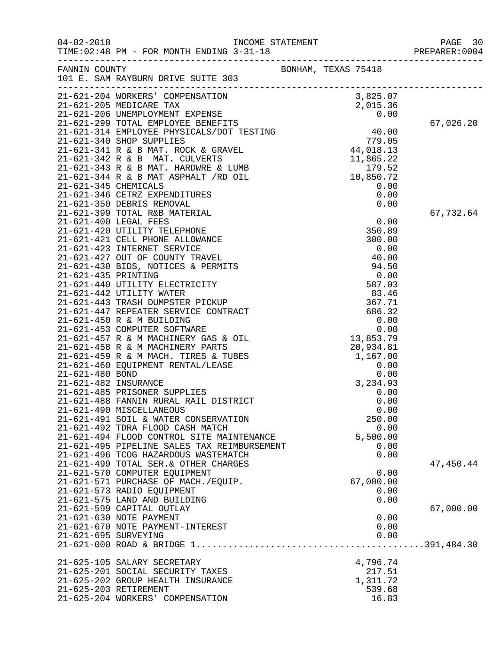| $04 - 02 - 2018$     | TIME: 02:48 PM - FOR MONTH ENDING 3-31-18                                     |                     |           | PAGE 30<br>PREPARER: 0004 |
|----------------------|-------------------------------------------------------------------------------|---------------------|-----------|---------------------------|
|                      | FANNIN COUNTY<br>101 E. SAM RAYBURN DRIVE SUITE 303                           | BONHAM, TEXAS 75418 |           |                           |
|                      |                                                                               |                     |           |                           |
|                      |                                                                               |                     |           |                           |
|                      |                                                                               |                     |           |                           |
|                      |                                                                               |                     |           |                           |
|                      |                                                                               |                     |           | 67,026.20                 |
|                      |                                                                               |                     |           |                           |
|                      |                                                                               |                     |           |                           |
|                      |                                                                               |                     |           |                           |
|                      |                                                                               |                     |           |                           |
|                      |                                                                               |                     |           |                           |
|                      |                                                                               |                     |           |                           |
|                      |                                                                               |                     |           |                           |
|                      |                                                                               |                     |           |                           |
|                      |                                                                               |                     |           | 67,732.64                 |
|                      |                                                                               |                     |           |                           |
|                      |                                                                               |                     |           |                           |
|                      |                                                                               |                     |           |                           |
|                      |                                                                               |                     |           |                           |
|                      |                                                                               |                     |           |                           |
|                      |                                                                               |                     |           |                           |
|                      |                                                                               |                     |           |                           |
|                      |                                                                               |                     |           |                           |
|                      |                                                                               |                     |           |                           |
|                      |                                                                               |                     |           |                           |
|                      |                                                                               |                     |           |                           |
|                      |                                                                               |                     |           |                           |
|                      |                                                                               |                     |           |                           |
|                      |                                                                               |                     |           |                           |
|                      |                                                                               |                     |           |                           |
|                      |                                                                               |                     |           |                           |
|                      |                                                                               |                     |           |                           |
|                      |                                                                               |                     |           |                           |
|                      |                                                                               |                     |           |                           |
|                      | 21-621-490 MISCELLANEOUS                                                      |                     | 0.00      |                           |
|                      | 21-621-491 SOIL & WATER CONSERVATION                                          |                     | 250.00    |                           |
|                      | 21-621-492 TDRA FLOOD CASH MATCH                                              |                     | 0.00      |                           |
|                      | 21-621-494 FLOOD CONTROL SITE MAINTENANCE                                     |                     | 5,500.00  |                           |
|                      | 21-621-495 PIPELINE SALES TAX REIMBURSEMENT                                   |                     | 0.00      |                           |
|                      | 21-621-496 TCOG HAZARDOUS WASTEMATCH<br>21-621-499 TOTAL SER. & OTHER CHARGES |                     | 0.00      | 47,450.44                 |
|                      | 21-621-570 COMPUTER EQUIPMENT                                                 |                     | 0.00      |                           |
|                      | 21-621-571 PURCHASE OF MACH./EQUIP.                                           |                     | 67,000.00 |                           |
|                      | 21-621-573 RADIO EQUIPMENT                                                    |                     | 0.00      |                           |
|                      | 21-621-575 LAND AND BUILDING                                                  |                     | 0.00      |                           |
|                      | 21-621-599 CAPITAL OUTLAY                                                     |                     |           | 67,000.00                 |
|                      | 21-621-630 NOTE PAYMENT                                                       |                     | 0.00      |                           |
|                      | 21-621-670 NOTE PAYMENT-INTEREST                                              |                     | 0.00      |                           |
| 21-621-695 SURVEYING |                                                                               |                     | 0.00      |                           |
|                      |                                                                               |                     |           |                           |
|                      | 21-625-105 SALARY SECRETARY                                                   |                     | 4,796.74  |                           |
|                      | 21-625-201 SOCIAL SECURITY TAXES                                              |                     | 217.51    |                           |
|                      | 21-625-202 GROUP HEALTH INSURANCE                                             |                     | 1,311.72  |                           |
|                      | 21-625-203 RETIREMENT                                                         |                     | 539.68    |                           |
|                      | 21-625-204 WORKERS' COMPENSATION                                              |                     | 16.83     |                           |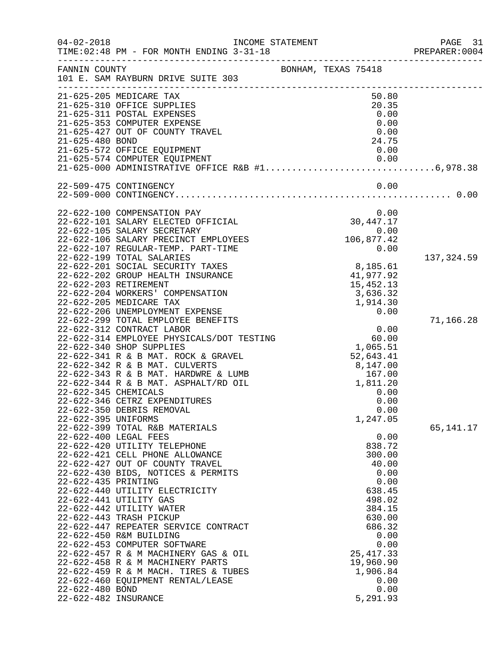| $04 - 02 - 2018$                                               | INCOME STATEMENT<br>TIME: 02:48 PM - FOR MONTH ENDING 3-31-18                                                                                                                                                                                                                                                                                                                                                                                                                                                                                    |                                                                                                                                                                                        | PAGE 31<br>PREPARER: 0004 |
|----------------------------------------------------------------|--------------------------------------------------------------------------------------------------------------------------------------------------------------------------------------------------------------------------------------------------------------------------------------------------------------------------------------------------------------------------------------------------------------------------------------------------------------------------------------------------------------------------------------------------|----------------------------------------------------------------------------------------------------------------------------------------------------------------------------------------|---------------------------|
| FANNIN COUNTY                                                  | 101 E. SAM RAYBURN DRIVE SUITE 303                                                                                                                                                                                                                                                                                                                                                                                                                                                                                                               | BONHAM, TEXAS 75418                                                                                                                                                                    |                           |
| 21-625-480 BOND                                                | 21-625-205 MEDICARE TAX<br>21-625-310 OFFICE SUPPLIES<br>21-625-311 POSTAL EXPENSES<br>21-625-353 COMPUTER EXPENSE<br>21-625-427 OUT OF COUNTY TRAVEL<br>21-625-572 OFFICE EQUIPMENT                                                                                                                                                                                                                                                                                                                                                             | 50.80<br>20.35<br>0.00<br>0.00<br>0.00<br>24.75<br>0.00                                                                                                                                |                           |
|                                                                | 21-625-574 COMPUTER EQUIPMENT<br>21-625-000 ADMINISTRATIVE OFFICE R&B #16,978.38                                                                                                                                                                                                                                                                                                                                                                                                                                                                 | 0.00                                                                                                                                                                                   |                           |
|                                                                | 22-509-475 CONTINGENCY                                                                                                                                                                                                                                                                                                                                                                                                                                                                                                                           | 0.00                                                                                                                                                                                   |                           |
|                                                                | 22-622-100 COMPENSATION PAY<br>22-622-101 SALARY ELECTED OFFICIAL<br>22-622-105 SALARY SECRETARY<br>22-622-106 SALARY PRECINCT EMPLOYEES<br>22-622-107 REGULAR-TEMP. PART-TIME                                                                                                                                                                                                                                                                                                                                                                   | 0.00<br>30,447.17<br>0.00<br>106,877.42<br>0.00                                                                                                                                        |                           |
|                                                                | 22-622-199 TOTAL SALARIES<br>22-622-201 SOCIAL SECURITY TAXES<br>22-622-202 GROUP HEALTH INSURANCE<br>22-622-203 RETIREMENT<br>22-622-204 WORKERS' COMPENSATION<br>22-622-205 MEDICARE TAX<br>22-622-206 UNEMPLOYMENT EXPENSE                                                                                                                                                                                                                                                                                                                    | 8,185.61<br>41,977.92<br>15, 452. 13<br>3,636.32<br>1,914.30<br>0.00                                                                                                                   | 137,324.59                |
| 22-622-345 CHEMICALS<br>22-622-395 UNIFORMS                    | 22-622-299 TOTAL EMPLOYEE BENEFITS<br>22-622-312 CONTRACT LABOR<br>22-622-314 EMPLOYEE PHYSICALS/DOT TESTING<br>22-622-340 SHOP SUPPLIES<br>22-622-341 R & B MAT. ROCK & GRAVEL<br>22-622-342 R & B MAT. CULVERTS<br>22-622-343 R & B MAT. HARDWRE & LUMB<br>22-622-344 R & B MAT. ASPHALT/RD OIL<br>22-622-346 CETRZ EXPENDITURES<br>22-622-350 DEBRIS REMOVAL<br>22-622-399 TOTAL R&B MATERIALS                                                                                                                                                | 0.00<br>60.00<br>1,065.51<br>52,643.41<br>8,147.00<br>167.00<br>1,811.20<br>0.00<br>0.00<br>0.00<br>1,247.05                                                                           | 71,166.28<br>65,141.17    |
| 22-622-435 PRINTING<br>22-622-480 BOND<br>22-622-482 INSURANCE | 22-622-400 LEGAL FEES<br>22-622-420 UTILITY TELEPHONE<br>22-622-421 CELL PHONE ALLOWANCE<br>22-622-427 OUT OF COUNTY TRAVEL<br>22-622-430 BIDS, NOTICES & PERMITS<br>22-622-440 UTILITY ELECTRICITY<br>22-622-441 UTILITY GAS<br>22-622-442 UTILITY WATER<br>22-622-443 TRASH PICKUP<br>22-622-447 REPEATER SERVICE CONTRACT<br>22-622-450 R&M BUILDING<br>22-622-453 COMPUTER SOFTWARE<br>22-622-457 R & M MACHINERY GAS & OIL<br>22-622-458 R & M MACHINERY PARTS<br>22-622-459 R & M MACH. TIRES & TUBES<br>22-622-460 EQUIPMENT RENTAL/LEASE | 0.00<br>838.72<br>300.00<br>40.00<br>0.00<br>0.00<br>638.45<br>498.02<br>384.15<br>630.00<br>686.32<br>0.00<br>0.00<br>25, 417.33<br>19,960.90<br>1,906.84<br>0.00<br>0.00<br>5,291.93 |                           |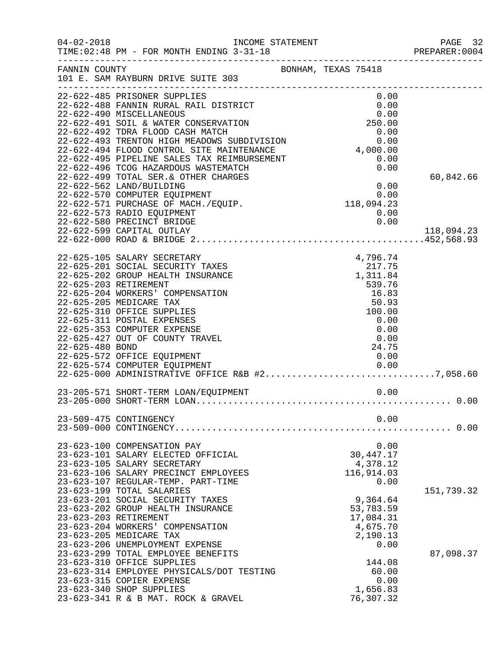| $04 - 02 - 2018$ | INCOME STATEMENT<br>TIME: 02:48 PM - FOR MONTH ENDING 3-31-18                                                                                                                                                                                                                                                                                                                                                                                                                                                                    |                                                                                                                                     | PAGE 32<br>PREPARER: 0004 |
|------------------|----------------------------------------------------------------------------------------------------------------------------------------------------------------------------------------------------------------------------------------------------------------------------------------------------------------------------------------------------------------------------------------------------------------------------------------------------------------------------------------------------------------------------------|-------------------------------------------------------------------------------------------------------------------------------------|---------------------------|
| FANNIN COUNTY    | 101 E. SAM RAYBURN DRIVE SUITE 303                                                                                                                                                                                                                                                                                                                                                                                                                                                                                               | BONHAM, TEXAS 75418                                                                                                                 |                           |
|                  | 22-622-485 PRISONER SUPPLIES<br>22-622-488 FANNIN RURAL RAIL DISTRICT<br>22-622-490 MISCELLANEOUS<br>22-622-491 SOIL & WATER CONSERVATION<br>22-622-492 TDRA FLOOD CASH MATCH<br>22-622-493 TRENTON HIGH MEADOWS SUBDIVISION 0.00<br>22-622-494 FLOOD CONTROL SITE MAINTENANCE 4,000.00<br>22-622-495 PIPELINE SALES TAX REIMBURSEMENT 0.00<br>22-622-496 TCOG HAZARDOUS WASTEMATCH<br>22-622-499 TOTAL SER. & OTHER CHARGES<br>22-622-562 LAND/BUILDING<br>22-622-570 COMPUTER EQUIPMENT<br>22-622-571 PURCHASE OF MACH./EQUIP. | 0.00<br>0.00<br>0.00<br>250.00<br>0.00<br>0.00<br>0.00<br>$0.00$<br>118,094.23                                                      | 60,842.66                 |
|                  | 22-622-573 RADIO EQUIPMENT<br>22-622-580 PRECINCT BRIDGE<br>22-622-599 CAPITAL OUTLAY                                                                                                                                                                                                                                                                                                                                                                                                                                            | 0.00<br>0.00                                                                                                                        | 118,094.23                |
| 22-625-480 BOND  | 22-625-105 SALARY SECRETARY<br>22-625-201 SOCIAL SECURITY TAXES<br>22-625-202 GROUP HEALTH INSURANCE<br>22-625-203 RETIREMENT<br>22-625-204 WORKERS' COMPENSATION<br>22-625-205 MEDICARE TAX<br>22-625-310 OFFICE SUPPLIES<br>22-625-311 POSTAL EXPENSES<br>22-625-353 COMPUTER EXPENSE<br>22-625-427 OUT OF COUNTY TRAVEL<br>22-625-572 OFFICE EQUIPMENT<br>22-625-574 COMPUTER EQUIPMENT<br>22-625-574 COMPUTER EQUIPMENT<br>22-625-000 ADMINISTRATIVE OFFICE R&B #27,058.60                                                   | 4,796.74<br>$217.75$<br>1.311.84<br>1,311.84<br>539.76<br>16.83<br>50.93<br>100.00<br>0.00<br>0.00<br>0.00<br>24.75<br>0.00<br>0.00 |                           |
|                  |                                                                                                                                                                                                                                                                                                                                                                                                                                                                                                                                  |                                                                                                                                     |                           |
|                  | 23-509-475 CONTINGENCY                                                                                                                                                                                                                                                                                                                                                                                                                                                                                                           | 0.00                                                                                                                                |                           |
|                  | 23-623-100 COMPENSATION PAY<br>23-623-101 SALARY ELECTED OFFICIAL<br>23-623-105 SALARY SECRETARY<br>23-623-106 SALARY PRECINCT EMPLOYEES<br>23-623-107 REGULAR-TEMP. PART-TIME                                                                                                                                                                                                                                                                                                                                                   | 0.00<br>30, 447. 17<br>4,378.12<br>116,914.03<br>0.00                                                                               |                           |
|                  | 23-623-199 TOTAL SALARIES<br>23-623-201 SOCIAL SECURITY TAXES<br>23-623-202 GROUP HEALTH INSURANCE<br>23-623-203 RETIREMENT<br>23-623-204 WORKERS' COMPENSATION<br>23-623-205 MEDICARE TAX<br>23-623-206 UNEMPLOYMENT EXPENSE                                                                                                                                                                                                                                                                                                    | 9,364.64<br>53,783.59<br>17,084.31<br>4,675.70<br>2,190.13<br>0.00                                                                  | 151,739.32                |
|                  | 23-623-299 TOTAL EMPLOYEE BENEFITS<br>23-623-310 OFFICE SUPPLIES<br>23-623-314 EMPLOYEE PHYSICALS/DOT TESTING<br>23-623-315 COPIER EXPENSE<br>23-623-340 SHOP SUPPLIES<br>23-623-341 R & B MAT. ROCK & GRAVEL                                                                                                                                                                                                                                                                                                                    | 144.08<br>60.00<br>0.00<br>1,656.83<br>76,307.32                                                                                    | 87,098.37                 |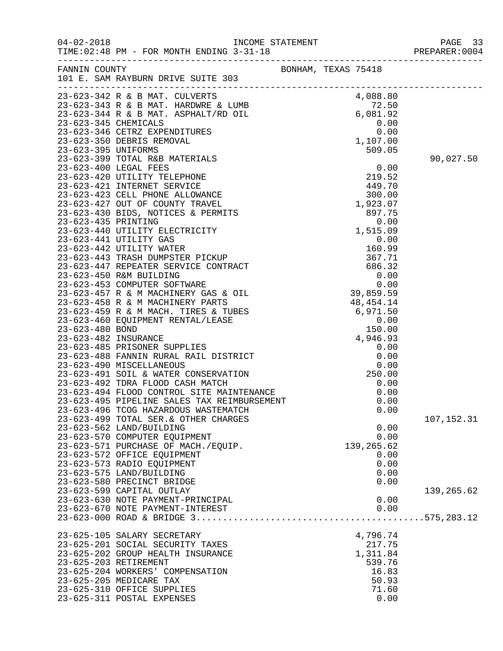|                          |                                                                                                                                                                                                                                            |                     |            |        | PREPARER:0004 |
|--------------------------|--------------------------------------------------------------------------------------------------------------------------------------------------------------------------------------------------------------------------------------------|---------------------|------------|--------|---------------|
|                          | FANNIN COUNTY<br>101 E. SAM RAYBURN DRIVE SUITE 303                                                                                                                                                                                        | BONHAM, TEXAS 75418 |            |        |               |
|                          | 23-623-342 R & B MAT. CULVERTS<br>23-623-343 R & B MAT. HARDWRE & LUMB<br>23-623-343 R & B MAT. HARDWRE & LUMB<br>23-623-344 R & B MAT. ASPHALT/RD OIL<br>23-623-345 CHEMICALS<br>23-623-346 CETRZ EXPENDITURES<br>23-623-350 DEBRIS REMOV |                     |            |        |               |
|                          |                                                                                                                                                                                                                                            |                     |            |        |               |
|                          |                                                                                                                                                                                                                                            |                     |            |        |               |
|                          |                                                                                                                                                                                                                                            |                     |            |        |               |
|                          |                                                                                                                                                                                                                                            |                     |            |        |               |
|                          |                                                                                                                                                                                                                                            |                     |            |        |               |
| 23-623-395 UNIFORMS      |                                                                                                                                                                                                                                            |                     |            | 509.05 |               |
|                          |                                                                                                                                                                                                                                            |                     |            |        | 90,027.50     |
|                          |                                                                                                                                                                                                                                            |                     |            |        |               |
|                          |                                                                                                                                                                                                                                            |                     |            |        |               |
|                          |                                                                                                                                                                                                                                            |                     |            |        |               |
|                          |                                                                                                                                                                                                                                            |                     |            |        |               |
|                          |                                                                                                                                                                                                                                            |                     |            |        |               |
|                          |                                                                                                                                                                                                                                            |                     |            |        |               |
|                          |                                                                                                                                                                                                                                            |                     |            |        |               |
|                          |                                                                                                                                                                                                                                            |                     |            |        |               |
|                          |                                                                                                                                                                                                                                            |                     |            |        |               |
|                          |                                                                                                                                                                                                                                            |                     |            |        |               |
|                          |                                                                                                                                                                                                                                            |                     |            |        |               |
|                          |                                                                                                                                                                                                                                            |                     |            |        |               |
|                          |                                                                                                                                                                                                                                            |                     |            |        |               |
|                          |                                                                                                                                                                                                                                            |                     |            |        |               |
|                          |                                                                                                                                                                                                                                            |                     |            |        |               |
|                          |                                                                                                                                                                                                                                            |                     |            |        |               |
|                          |                                                                                                                                                                                                                                            |                     |            |        |               |
|                          |                                                                                                                                                                                                                                            |                     |            |        |               |
|                          |                                                                                                                                                                                                                                            |                     |            |        |               |
|                          |                                                                                                                                                                                                                                            |                     |            |        |               |
|                          |                                                                                                                                                                                                                                            |                     |            |        |               |
|                          |                                                                                                                                                                                                                                            |                     |            |        |               |
|                          | 23-623-491 SOIL & WATER CONSERVATION<br>23-623-492 TDRA FLOOD CASH MATCH<br>23-623-492 TDRA FLOOD CASH MATCH<br>23-623-494 FLOOD CONTROL SITE MAINTENANCE<br>105-105 PERPETANE SALES TAX REIMBURSEMENT                                     |                     |            |        |               |
|                          |                                                                                                                                                                                                                                            |                     |            | 0.00   |               |
|                          |                                                                                                                                                                                                                                            |                     |            | 0.00   |               |
|                          |                                                                                                                                                                                                                                            |                     |            | 0.00   |               |
|                          | 23-623-496 TCOG HAZARDOUS WASTEMATCH                                                                                                                                                                                                       |                     |            | 0.00   |               |
|                          | 23-623-499 TOTAL SER. & OTHER CHARGES                                                                                                                                                                                                      |                     |            |        | 107,152.31    |
| 23-623-562 LAND/BUILDING |                                                                                                                                                                                                                                            |                     |            | 0.00   |               |
|                          | 23-623-570 COMPUTER EQUIPMENT                                                                                                                                                                                                              |                     |            | 0.00   |               |
|                          | 23-623-571 PURCHASE OF MACH./EQUIP.                                                                                                                                                                                                        |                     | 139,265.62 |        |               |
|                          | 23-623-572 OFFICE EQUIPMENT                                                                                                                                                                                                                |                     |            | 0.00   |               |
|                          | 23-623-573 RADIO EQUIPMENT                                                                                                                                                                                                                 |                     |            | 0.00   |               |
| 23-623-575 LAND/BUILDING |                                                                                                                                                                                                                                            |                     |            | 0.00   |               |
|                          | 23-623-580 PRECINCT BRIDGE                                                                                                                                                                                                                 |                     |            | 0.00   |               |
|                          | 23-623-599 CAPITAL OUTLAY<br>23-623-630 NOTE PAYMENT-PRINCIPAL                                                                                                                                                                             |                     |            | 0.00   | 139,265.62    |
|                          | 23-623-670 NOTE PAYMENT-INTEREST                                                                                                                                                                                                           |                     |            | 0.00   |               |
|                          |                                                                                                                                                                                                                                            |                     |            |        |               |
|                          | 23-625-105 SALARY SECRETARY                                                                                                                                                                                                                |                     | 4,796.74   |        |               |
|                          | 23-625-201 SOCIAL SECURITY TAXES                                                                                                                                                                                                           |                     |            | 217.75 |               |
|                          | 23-625-202 GROUP HEALTH INSURANCE                                                                                                                                                                                                          |                     | 1,311.84   |        |               |
| 23-625-203 RETIREMENT    |                                                                                                                                                                                                                                            |                     |            | 539.76 |               |
|                          | 23-625-204 WORKERS' COMPENSATION                                                                                                                                                                                                           |                     |            | 16.83  |               |
| 23-625-205 MEDICARE TAX  |                                                                                                                                                                                                                                            |                     |            | 50.93  |               |
|                          | 23-625-310 OFFICE SUPPLIES                                                                                                                                                                                                                 |                     |            | 71.60  |               |
|                          | 23-625-311 POSTAL EXPENSES                                                                                                                                                                                                                 |                     |            | 0.00   |               |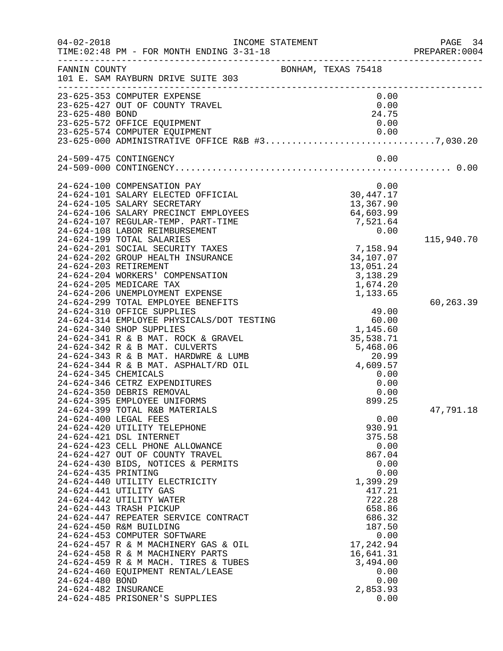| $04 - 02 - 2018$                                               | INCOME STATEMENT<br>TIME: 02:48 PM - FOR MONTH ENDING 3-31-18                                                                                                                                                                                                                                                                                                                                                                                                                                                                                                                                                                                                                   | _________________                                                                                                                                                                                                    | PAGE 34<br>PREPARER:0004 |
|----------------------------------------------------------------|---------------------------------------------------------------------------------------------------------------------------------------------------------------------------------------------------------------------------------------------------------------------------------------------------------------------------------------------------------------------------------------------------------------------------------------------------------------------------------------------------------------------------------------------------------------------------------------------------------------------------------------------------------------------------------|----------------------------------------------------------------------------------------------------------------------------------------------------------------------------------------------------------------------|--------------------------|
| FANNIN COUNTY                                                  | 101 E. SAM RAYBURN DRIVE SUITE 303                                                                                                                                                                                                                                                                                                                                                                                                                                                                                                                                                                                                                                              | BONHAM, TEXAS 75418                                                                                                                                                                                                  |                          |
| 23-625-480 BOND                                                | 23-625-353 COMPUTER EXPENSE<br>23-625-427 OUT OF COUNTY TRAVEL<br>23-625-572 OFFICE EQUIPMENT                                                                                                                                                                                                                                                                                                                                                                                                                                                                                                                                                                                   | 0.00<br>0.00<br>24.75<br>0.00                                                                                                                                                                                        |                          |
|                                                                | 24-509-475 CONTINGENCY                                                                                                                                                                                                                                                                                                                                                                                                                                                                                                                                                                                                                                                          | 0.00                                                                                                                                                                                                                 |                          |
|                                                                | 24-624-100 COMPENSATION PAY<br>24-624-101 SALARY ELECTED OFFICIAL<br>24-624-105 SALARY SECRETARY<br>24-624-106 SALARY PRECINCT EMPLOYEES<br>24-624-107 REGULAR-TEMP. PART-TIME<br>24-624-108 LABOR REIMBURSEMENT                                                                                                                                                                                                                                                                                                                                                                                                                                                                | 0.00<br>30, 447. 17<br>13,367.90<br>64,603.99<br>7,521.64<br>0.00                                                                                                                                                    |                          |
|                                                                | 24-624-199 TOTAL SALARIES<br>24-624-201 SOCIAL SECURITY TAXES<br>24-624-202 GROUP HEALTH INSURANCE<br>24-624-203 RETIREMENT<br>24-624-204 WORKERS' COMPENSATION<br>24-624-205 MEDICARE TAX<br>24-624-206 UNEMPLOYMENT EXPENSE                                                                                                                                                                                                                                                                                                                                                                                                                                                   | 7,158.94<br>34,107.07<br>13,051.24<br>3,138.29<br>1,674.20<br>1,133.65                                                                                                                                               | 115,940.70               |
| 24-624-345 CHEMICALS                                           | 24-624-299 TOTAL EMPLOYEE BENEFITS<br>24-624-310 OFFICE SUPPLIES<br>24-624-314 EMPLOYEE PHYSICALS/DOT TESTING<br>24-624-340 SHOP SUPPLIES<br>24-624-341 R & B MAT. ROCK & GRAVEL<br>24-624-342 R & B MAT. CULVERTS<br>24-624-343 R & B MAT. HARDWRE & LUMB<br>24-624-344 R & B MAT. ASPHALT/RD OIL<br>24-624-346 CETRZ EXPENDITURES<br>24-624-350 DEBRIS REMOVAL                                                                                                                                                                                                                                                                                                                | 49.00<br>$49.00$<br>$60.00$<br>$60.00$<br>1,145.60<br>35,538.71<br>5,468.06<br>20.99<br>4,609.57<br>0.00<br>0.00<br>0.00                                                                                             | 60,263.39                |
| 24-624-435 PRINTING<br>24-624-480 BOND<br>24-624-482 INSURANCE | 24-624-395 EMPLOYEE UNIFORMS<br>24-624-399 TOTAL R&B MATERIALS<br>24-624-400 LEGAL FEES<br>24-624-420 UTILITY TELEPHONE<br>24-624-421 DSL INTERNET<br>24-624-423 CELL PHONE ALLOWANCE<br>24-624-427 OUT OF COUNTY TRAVEL<br>24-624-430 BIDS, NOTICES & PERMITS<br>24-624-440 UTILITY ELECTRICITY<br>24-624-441 UTILITY GAS<br>24-624-442 UTILITY WATER<br>24-624-443 TRASH PICKUP<br>24-624-447 REPEATER SERVICE CONTRACT<br>24-624-450 R&M BUILDING<br>24-624-453 COMPUTER SOFTWARE<br>24-624-457 R & M MACHINERY GAS & OIL<br>24-624-458 R & M MACHINERY PARTS<br>24-624-459 R & M MACH. TIRES & TUBES<br>24-624-460 EQUIPMENT RENTAL/LEASE<br>24-624-485 PRISONER'S SUPPLIES | 899.25<br>0.00<br>930.91<br>375.58<br>0.00<br>867.04<br>0.00<br>0.00<br>1,399.29<br>417.21<br>722.28<br>658.86<br>686.32<br>187.50<br>0.00<br>17,242.94<br>16,641.31<br>3,494.00<br>0.00<br>0.00<br>2,853.93<br>0.00 | 47,791.18                |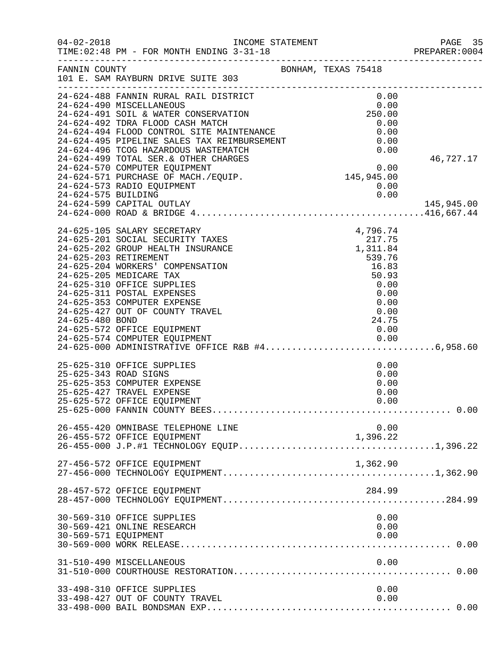| $04 - 02 - 2018$     | INCOME STATEMENT<br>TIME: 02:48 PM - FOR MONTH ENDING 3-31-18                                                                                                                                                                                                                                                                                                                                                                                                 |                                                                                                                         | PAGE 35<br>PREPARER: 0004 |
|----------------------|---------------------------------------------------------------------------------------------------------------------------------------------------------------------------------------------------------------------------------------------------------------------------------------------------------------------------------------------------------------------------------------------------------------------------------------------------------------|-------------------------------------------------------------------------------------------------------------------------|---------------------------|
|                      | FANNIN COUNTY<br>101 E. SAM RAYBURN DRIVE SUITE 303                                                                                                                                                                                                                                                                                                                                                                                                           | BONHAM, TEXAS 75418                                                                                                     |                           |
| 24-624-575 BUILDING  | 24-624-488 FANNIN RURAL RAIL DISTRICT<br>24-624-490 MISCELLANEOUS<br>24-624-491 SOIL & WATER CONSERVATION<br>24-624-492 TDRA FLOOD CASH MATCH<br>21-624-494 FLOOD CONTROL SITE MAINTENANCE<br>24-624-495 PIPELINE SALES TAX REIMBURSEMENT<br>24-624-496 TCOG HAZARDOUS WASTEMATCH<br>24-624-499 TOTAL SER. & OTHER CHARGES<br>24-624-570 COMPUTER EQUIPMENT<br>24-624-571 PURCHASE OF MACH./EQUIP.<br>24-624-573 RADIO EQUIPMENT<br>24-624-599 CAPITAL OUTLAY | $0.00$<br>0.00<br>250.00<br>0.00<br>0.00<br>0.00<br>0.00<br>S<br>$0.00$<br>$145,945.00$<br>0.00<br>0.00                 | 46,727.17<br>145,945.00   |
| 24-625-480 BOND      | 24-625-105 SALARY SECRETARY<br>24-625-201 SOCIAL SECURITY TAXES<br>24-625-202 GROUP HEALTH INSURANCE<br>24-625-203 RETIREMENT<br>24-625-204 WORKERS' COMPENSATION<br>24-625-205 MEDICARE TAX<br>24-625-310 OFFICE SUPPLIES<br>24-625-311 POSTAL EXPENSES<br>24-625-353 COMPUTER EXPENSE<br>24-625-427 OUT OF COUNTY TRAVEL<br>24-625-572 OFFICE EQUIPMENT                                                                                                     | 4,796.74<br>4,796.74<br>217.75<br>1,311.84<br>539.76<br>16.83<br>50.93<br>0.00<br>0.00<br>0.00<br>0.00<br>24.75<br>0.00 |                           |
|                      | 25-625-310 OFFICE SUPPLIES<br>25-625-343 ROAD SIGNS<br>25-625-353 COMPUTER EXPENSE<br>25-625-427 TRAVEL EXPENSE<br>25-625-572 OFFICE EQUIPMENT                                                                                                                                                                                                                                                                                                                | 0.00<br>0.00<br>0.00<br>0.00<br>0.00                                                                                    |                           |
|                      | 26-455-420 OMNIBASE TELEPHONE LINE                                                                                                                                                                                                                                                                                                                                                                                                                            | 0.00                                                                                                                    |                           |
|                      | 27-456-572 OFFICE EQUIPMENT                                                                                                                                                                                                                                                                                                                                                                                                                                   | 1,362.90                                                                                                                |                           |
|                      | 28-457-572 OFFICE EQUIPMENT                                                                                                                                                                                                                                                                                                                                                                                                                                   | 284.99                                                                                                                  |                           |
| 30-569-571 EQUIPMENT | 30-569-310 OFFICE SUPPLIES<br>30-569-421 ONLINE RESEARCH                                                                                                                                                                                                                                                                                                                                                                                                      | 0.00<br>0.00<br>0.00                                                                                                    |                           |
|                      | 31-510-490 MISCELLANEOUS                                                                                                                                                                                                                                                                                                                                                                                                                                      | 0.00                                                                                                                    |                           |
|                      | 33-498-310 OFFICE SUPPLIES<br>33-498-427 OUT OF COUNTY TRAVEL                                                                                                                                                                                                                                                                                                                                                                                                 | 0.00<br>0.00                                                                                                            |                           |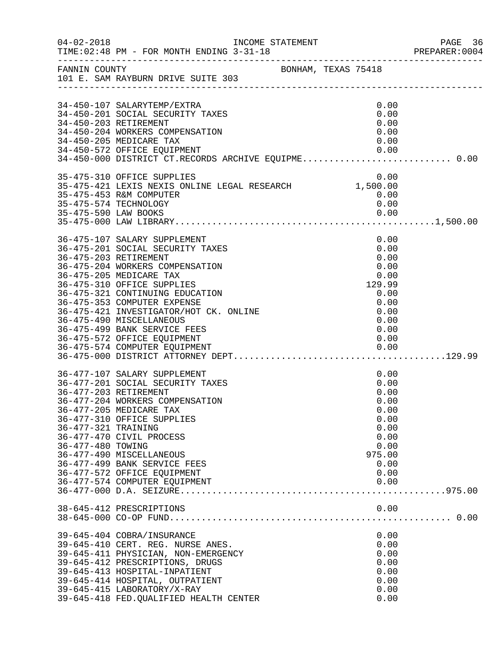| $04 - 02 - 2018$                         |                                                                                                                                                                                                                                                                                                                                               | INCOME STATEMENT    |                                                                                                        | PAGE 36<br>PREPARER: 0004 |
|------------------------------------------|-----------------------------------------------------------------------------------------------------------------------------------------------------------------------------------------------------------------------------------------------------------------------------------------------------------------------------------------------|---------------------|--------------------------------------------------------------------------------------------------------|---------------------------|
|                                          | FANNIN COUNTY<br>101 E. SAM RAYBURN DRIVE SUITE 303                                                                                                                                                                                                                                                                                           | BONHAM, TEXAS 75418 |                                                                                                        |                           |
|                                          | 34-450-107 SALARYTEMP/EXTRA<br>34-450-201 SOCIAL SECURITY TAXES<br>34-450-203 RETIREMENT<br>34-450-204 WORKERS COMPENSATION                                                                                                                                                                                                                   |                     | 0.00<br>0.00<br>0.00<br>0.00                                                                           |                           |
|                                          | 34-450-205 MEDICARE TAX<br>34-450-572 OFFICE EQUIPMENT<br>34-450-000 DISTRICT CT.RECORDS ARCHIVE EQUIPME 0.00                                                                                                                                                                                                                                 |                     | 0.00<br>0.00                                                                                           |                           |
|                                          | 35-475-310 OFFICE SUPPLIES<br>0.00 0.00<br>35-475-421 LEXIS NEXIS ONLINE LEGAL RESEARCH 1,500.00<br>35-475-453 R&M COMPUTER<br>35-475-574 TECHNOLOGY                                                                                                                                                                                          |                     | 0.00<br>0.00<br>0.00                                                                                   |                           |
|                                          | 36-475-107 SALARY SUPPLEMENT<br>36-475-201 SOCIAL SECURITY TAXES<br>36-475-203 RETIREMENT<br>36-475-204 WORKERS COMPENSATION<br>36-475-205 MEDICARE TAX<br>36-475-310 OFFICE SUPPLIES<br>36-475-321 CONTINUING EDUCATION                                                                                                                      |                     | 0.00<br>0.00<br>0.00<br>0.00<br>0.00<br>129.99<br>0.00                                                 |                           |
|                                          | 36-475-353 COMPUTER EXPENSE<br>36-475-421 INVESTIGATOR/HOT CK. ONLINE<br>36-475-490 MISCELLANEOUS<br>36-475-499 BANK SERVICE FEES<br>36-475-572 OFFICE EQUIPMENT<br>36-475-574 COMPUTER EQUIPMENT                                                                                                                                             |                     | 0.00<br>0.00<br>0.00<br>0.00<br>0.00<br>0.00                                                           |                           |
| 36-477-321 TRAINING<br>36-477-480 TOWING | 36-477-107 SALARY SUPPLEMENT<br>36-477-201 SOCIAL SECURITY TAXES<br>36-477-203 RETIREMENT<br>36-477-204 WORKERS COMPENSATION<br>36-477-205 MEDICARE TAX<br>36-477-310 OFFICE SUPPLIES<br>36-477-470 CIVIL PROCESS<br>36-477-490 MISCELLANEOUS<br>36-477-499 BANK SERVICE FEES<br>36-477-572 OFFICE EQUIPMENT<br>36-477-574 COMPUTER EQUIPMENT |                     | 0.00<br>0.00<br>0.00<br>0.00<br>0.00<br>0.00<br>0.00<br>0.00<br>0.00<br>975.00<br>0.00<br>0.00<br>0.00 |                           |
|                                          | 38-645-412 PRESCRIPTIONS                                                                                                                                                                                                                                                                                                                      |                     | 0.00                                                                                                   |                           |
|                                          | 39-645-404 COBRA/INSURANCE<br>39-645-410 CERT. REG. NURSE ANES.<br>39-645-411 PHYSICIAN, NON-EMERGENCY<br>39-645-412 PRESCRIPTIONS, DRUGS<br>39-645-413 HOSPITAL-INPATIENT<br>39-645-414 HOSPITAL, OUTPATIENT<br>39-645-415 LABORATORY/X-RAY<br>39-645-418 FED. QUALIFIED HEALTH CENTER                                                       |                     | 0.00<br>0.00<br>0.00<br>0.00<br>0.00<br>0.00<br>0.00<br>0.00                                           |                           |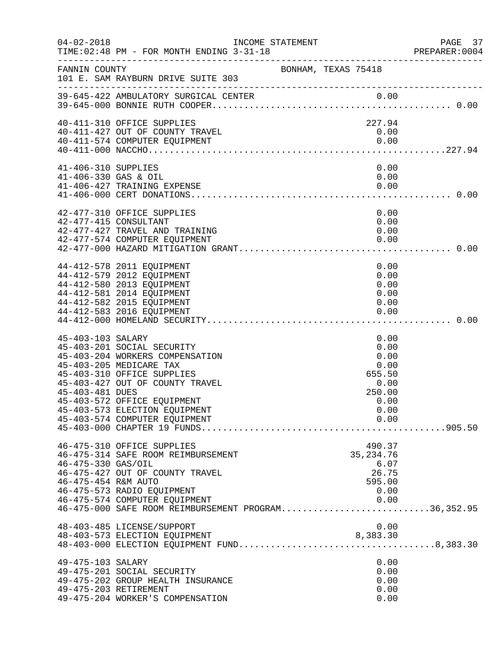| $04 - 02 - 2018$                            | INCOME STATEMENT<br>TIME: 02:48 PM - FOR MONTH ENDING 3-31-18                                                                                                                                                                                              |                     |                                                                                  | PAGE 37<br>PREPARER:0004 |
|---------------------------------------------|------------------------------------------------------------------------------------------------------------------------------------------------------------------------------------------------------------------------------------------------------------|---------------------|----------------------------------------------------------------------------------|--------------------------|
| FANNIN COUNTY                               | 101 E. SAM RAYBURN DRIVE SUITE 303                                                                                                                                                                                                                         | BONHAM, TEXAS 75418 |                                                                                  |                          |
|                                             |                                                                                                                                                                                                                                                            |                     |                                                                                  |                          |
|                                             | 40-411-310 OFFICE SUPPLIES<br>40-411-427 OUT OF COUNTY TRAVEL<br>40-411-574 COMPUTER EQUIPMENT                                                                                                                                                             |                     | 227.94<br>0.00<br>0.00                                                           |                          |
| 41-406-310 SUPPLIES<br>41-406-330 GAS & OIL | 41-406-427 TRAINING EXPENSE                                                                                                                                                                                                                                |                     | 0.00<br>0.00<br>0.00                                                             |                          |
|                                             | 42-477-310 OFFICE SUPPLIES<br>42-477-415 CONSULTANT<br>42-477-427 TRAVEL AND TRAINING<br>42-477-574 COMPUTER EQUIPMENT                                                                                                                                     |                     | 0.00<br>0.00<br>0.00<br>0.00                                                     |                          |
|                                             | 44-412-578 2011 EQUIPMENT<br>44-412-579 2012 EQUIPMENT<br>44-412-580 2013 EQUIPMENT<br>44-412-581 2014 EQUIPMENT<br>44-412-582 2015 EQUIPMENT<br>44-412-583 2016 EQUIPMENT                                                                                 |                     | 0.00<br>0.00<br>0.00<br>0.00<br>0.00<br>0.00                                     |                          |
| 45-403-103 SALARY<br>45-403-481 DUES        | 45-403-201 SOCIAL SECURITY<br>45-403-204 WORKERS COMPENSATION<br>45-403-205 MEDICARE TAX<br>45-403-310 OFFICE SUPPLIES<br>45-403-427 OUT OF COUNTY TRAVEL<br>45-403-572 OFFICE EQUIPMENT<br>45-403-573 ELECTION EQUIPMENT<br>45-403-574 COMPUTER EQUIPMENT |                     | 0.00<br>0.00<br>0.00<br>0.00<br>655.50<br>0.00<br>250.00<br>0.00<br>0.00<br>0.00 |                          |
| 46-475-330 GAS/OIL<br>46-475-454 R&M AUTO   | 46-475-310 OFFICE SUPPLIES<br>46-475-314 SAFE ROOM REIMBURSEMENT<br>46-475-427 OUT OF COUNTY TRAVEL<br>46-475-573 RADIO EQUIPMENT<br>46-475-574 COMPUTER EQUIPMENT<br>46-475-000 SAFE ROOM REIMBURSEMENT PROGRAM36,352.95                                  |                     | 490.37<br>35, 234. 76<br>6.07<br>26.75<br>595.00<br>0.00<br>0.00                 |                          |
| 49-475-103 SALARY                           | 48-403-485 LICENSE/SUPPORT<br>48-403-573 ELECTION EQUIPMENT<br>48-403-000 ELECTION EQUIPMENT FUND8,383.30                                                                                                                                                  |                     | 0.00<br>8,383.30<br>0.00                                                         |                          |
|                                             | 49-475-201 SOCIAL SECURITY<br>49-475-202 GROUP HEALTH INSURANCE<br>49-475-203 RETIREMENT<br>49-475-204 WORKER'S COMPENSATION                                                                                                                               |                     | 0.00<br>0.00<br>0.00<br>0.00                                                     |                          |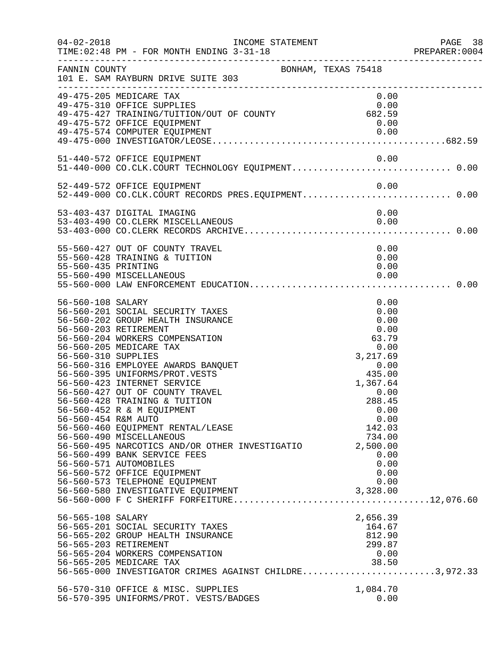| $04 - 02 - 2018$                                                | INCOME STATEMENT<br>TIME: 02:48 PM - FOR MONTH ENDING 3-31-18<br>-------------------------------                                                                                                                                                                                                                                                                                                                                                                                                                                                                                                                                                          |                                                                                                                                                                                                                 | PAGE 38<br>PREPARER: 0004 |
|-----------------------------------------------------------------|-----------------------------------------------------------------------------------------------------------------------------------------------------------------------------------------------------------------------------------------------------------------------------------------------------------------------------------------------------------------------------------------------------------------------------------------------------------------------------------------------------------------------------------------------------------------------------------------------------------------------------------------------------------|-----------------------------------------------------------------------------------------------------------------------------------------------------------------------------------------------------------------|---------------------------|
| FANNIN COUNTY                                                   | BONHAM, TEXAS 75418<br>101 E. SAM RAYBURN DRIVE SUITE 303                                                                                                                                                                                                                                                                                                                                                                                                                                                                                                                                                                                                 |                                                                                                                                                                                                                 |                           |
|                                                                 | 49-475-205 MEDICARE TAX<br>49-475-310 OFFICE SUPPLIES<br>$72-713-310$ Orpher Supplies<br>49-475-427 TRAINING/TUITION/OUT OF COUNTY 682.59<br>49-475-572 OFFICE EQUIPMENT                                                                                                                                                                                                                                                                                                                                                                                                                                                                                  | 0.00<br>0.00<br>0.00                                                                                                                                                                                            |                           |
|                                                                 | 51-440-572 OFFICE EQUIPMENT                                                                                                                                                                                                                                                                                                                                                                                                                                                                                                                                                                                                                               | 0.00                                                                                                                                                                                                            |                           |
|                                                                 | 52-449-572 OFFICE EQUIPMENT                                                                                                                                                                                                                                                                                                                                                                                                                                                                                                                                                                                                                               | 0.00                                                                                                                                                                                                            |                           |
|                                                                 | 53-403-437 DIGITAL IMAGING                                                                                                                                                                                                                                                                                                                                                                                                                                                                                                                                                                                                                                | 0.00                                                                                                                                                                                                            |                           |
| 55-560-435 PRINTING                                             | 55-560-427 OUT OF COUNTY TRAVEL<br>55-560-428 TRAINING & TUITION<br>55-560-490 MISCELLANEOUS                                                                                                                                                                                                                                                                                                                                                                                                                                                                                                                                                              | 0.00<br>0.00<br>0.00<br>0.00                                                                                                                                                                                    |                           |
| 56-560-108 SALARY<br>56-560-310 SUPPLIES<br>56-560-454 R&M AUTO | 56-560-201 SOCIAL SECURITY TAXES<br>56-560-202 GROUP HEALTH INSURANCE<br>56-560-203 RETIREMENT<br>56-560-204 WORKERS COMPENSATION<br>56-560-205 MEDICARE TAX<br>56-560-316 EMPLOYEE AWARDS BANQUET<br>56-560-395 UNIFORMS/PROT.VESTS<br>56-560-423 INTERNET SERVICE<br>56-560-427 OUT OF COUNTY TRAVEL<br>56-560-428 TRAINING & TUITION<br>56-560-452 R & M EQUIPMENT<br>56-560-460 EQUIPMENT RENTAL/LEASE<br>56-560-490 MISCELLANEOUS<br>56-560-495 NARCOTICS AND/OR OTHER INVESTIGATIO<br>56-560-499 BANK SERVICE FEES<br>56-560-571 AUTOMOBILES<br>56-560-572 OFFICE EQUIPMENT<br>56-560-573 TELEPHONE EQUIPMENT<br>56-560-580 INVESTIGATIVE EQUIPMENT | 0.00<br>0.00<br>0.00<br>0.00<br>$63.79$<br>$0.00$<br>$3,217.69$<br>$0.00$<br>$435.00$<br>1,367.64<br>0.00<br>288.45<br>0.00<br>0.00<br>142.03<br>734.00<br>2,500.00<br>0.00<br>0.00<br>0.00<br>0.00<br>3,328.00 |                           |
| 56-565-108 SALARY                                               | 56-565-201 SOCIAL SECURITY TAXES<br>56-565-202 GROUP HEALTH INSURANCE<br>56-565-203 RETIREMENT<br>56-565-204 WORKERS COMPENSATION<br>56-565-205 MEDICARE TAX<br>56-565-000 INVESTIGATOR CRIMES AGAINST CHILDRE3,972.33                                                                                                                                                                                                                                                                                                                                                                                                                                    | 2,656.39<br>164.67<br>812.90<br>299.87<br>0.00<br>38.50                                                                                                                                                         |                           |
|                                                                 | 56-570-310 OFFICE & MISC. SUPPLIES<br>56-570-395 UNIFORMS/PROT. VESTS/BADGES                                                                                                                                                                                                                                                                                                                                                                                                                                                                                                                                                                              | 1,084.70<br>0.00                                                                                                                                                                                                |                           |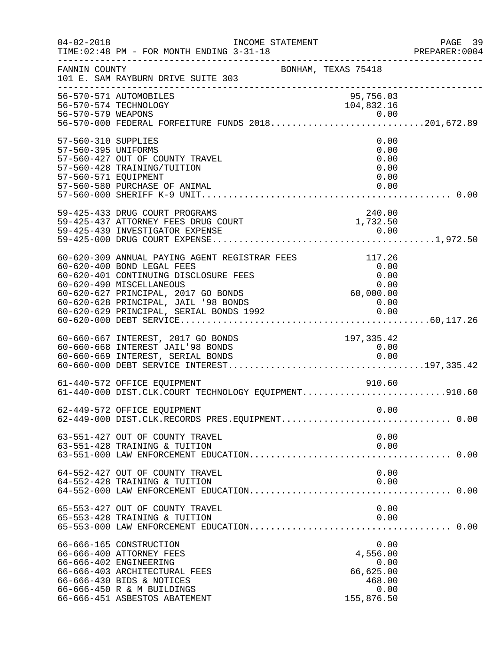| $04 - 02 - 2018$                                                   | INCOME STATEMENT<br>TIME: 02:48 PM - FOR MONTH ENDING 3-31-18<br>------------------------                                                                                                                                                                                  |                                                                       | PAGE 39<br>PREPARER: 0004 |
|--------------------------------------------------------------------|----------------------------------------------------------------------------------------------------------------------------------------------------------------------------------------------------------------------------------------------------------------------------|-----------------------------------------------------------------------|---------------------------|
| FANNIN COUNTY                                                      | BONHAM, TEXAS 75418<br>101 E. SAM RAYBURN DRIVE SUITE 303                                                                                                                                                                                                                  |                                                                       |                           |
|                                                                    | 56-570-571 AUTOMOBILES<br>56-570-574 TECHNOLOGY                                                                                                                                                                                                                            | 95,756.03<br>104,832.16                                               |                           |
| 57-560-310 SUPPLIES<br>57-560-395 UNIFORMS<br>57-560-571 EQUIPMENT | 57-560-427 OUT OF COUNTY TRAVEL<br>57-560-428 TRAINING/TUITION<br>57-560-580 PURCHASE OF ANIMAL                                                                                                                                                                            | 0.00<br>0.00<br>0.00<br>0.00<br>0.00<br>0.00                          |                           |
|                                                                    | 59-425-433 DRUG COURT PROGRAMS<br>59-425-437 ATTORNEY FEES DRUG COURT<br>59-425-439 INVESTIGATOR EXPENSE                                                                                                                                                                   | 240.00<br>1,732.50<br>0.00                                            |                           |
|                                                                    | 60-620-309 ANNUAL PAYING AGENT REGISTRAR FEES<br>60-620-400 BOND LEGAL FEES<br>60-620-401 CONTINUING DISCLOSURE FEES<br>60-620-490 MISCELLANEOUS<br>60-620-627 PRINCIPAL, 2017 GO BONDS<br>60-620-628 PRINCIPAL, JAIL '98 BONDS<br>60-620-629 PRINCIPAL, SERIAL BONDS 1992 | 117.26<br>0.00<br>0.00<br>0.00<br>60,000.00<br>0.00<br>0.00           |                           |
|                                                                    | 60-660-667 INTEREST, 2017 GO BONDS<br>60-660-668 INTEREST JAIL'98 BONDS                                                                                                                                                                                                    | 197,335.42<br>0.00                                                    |                           |
|                                                                    | 61-440-572 OFFICE EQUIPMENT<br>61-440-000 DIST.CLK.COURT TECHNOLOGY EQUIPMENT910.60                                                                                                                                                                                        | 910.60                                                                |                           |
|                                                                    | 62-449-572 OFFICE EQUIPMENT<br>62-449-000 DIST.CLK.RECORDS PRES.EQUIPMENT 0.00                                                                                                                                                                                             | 0.00                                                                  |                           |
|                                                                    | 63-551-427 OUT OF COUNTY TRAVEL<br>63-551-428 TRAINING & TUITION                                                                                                                                                                                                           | 0.00<br>0.00                                                          |                           |
|                                                                    | 64-552-427 OUT OF COUNTY TRAVEL<br>64-552-428 TRAINING & TUITION                                                                                                                                                                                                           | 0.00<br>0.00                                                          |                           |
|                                                                    | 65-553-427 OUT OF COUNTY TRAVEL<br>65-553-428 TRAINING & TUITION                                                                                                                                                                                                           | 0.00<br>0.00                                                          |                           |
|                                                                    | 66-666-165 CONSTRUCTION<br>66-666-400 ATTORNEY FEES<br>66-666-402 ENGINEERING<br>66-666-403 ARCHITECTURAL FEES<br>66-666-430 BIDS & NOTICES<br>66-666-450 R & M BUILDINGS<br>66-666-451 ASBESTOS ABATEMENT                                                                 | 0.00<br>4,556.00<br>0.00<br>66,625.00<br>468.00<br>0.00<br>155,876.50 |                           |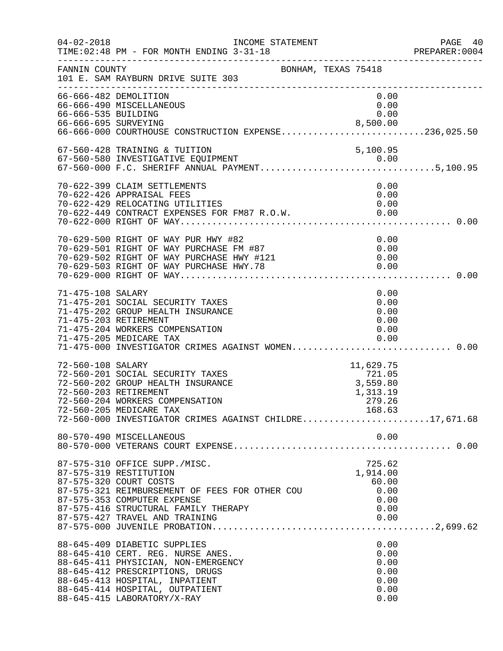| $04 - 02 - 2018$                            | INCOME STATEMENT<br>TIME: 02:48 PM - FOR MONTH ENDING 3-31-18                                                                                                                                                                                   |                                                                 | PAGE 40<br>PREPARER:0004 |
|---------------------------------------------|-------------------------------------------------------------------------------------------------------------------------------------------------------------------------------------------------------------------------------------------------|-----------------------------------------------------------------|--------------------------|
| FANNIN COUNTY                               | BONHAM, TEXAS 75418<br>101 E. SAM RAYBURN DRIVE SUITE 303                                                                                                                                                                                       |                                                                 |                          |
| 66-666-535 BUILDING<br>66-666-695 SURVEYING | 66-666-482 DEMOLITION<br>66-666-490 MISCELLANEOUS<br>66-666-000 COURTHOUSE CONSTRUCTION EXPENSE236,025.50                                                                                                                                       | 0.00<br>0.00<br>0.00<br>8,500.00                                |                          |
|                                             | 67-560-428 TRAINING & TUITION<br>67-560-580 INVESTIGATIVE EQUIPMENT                                                                                                                                                                             | 5,100.95                                                        |                          |
|                                             | 70-622-399 CLAIM SETTLEMENTS<br>70-622-426 APPRAISAL FEES<br>70-622-429 RELOCATING UTILITIES<br>70-622-449 CONTRACT EXPENSES FOR FM87 R.O.W. 0.00                                                                                               | 0.00<br>0.00<br>0.00                                            |                          |
|                                             | 70-629-500 RIGHT OF WAY PUR HWY #82<br>70-629-501 RIGHT OF WAY PURCHASE FM #87<br>70-629-502 RIGHT OF WAY PURCHASE HWY #121<br>70-629-503 RIGHT OF WAY PURCHASE HWY.78<br>70-629-000 RIGHT OF WAY                                               | 0.00<br>0.00<br>0.00<br>0.00                                    |                          |
| 71-475-108 SALARY                           | 71-475-201 SOCIAL SECURITY TAXES<br>71-475-202 GROUP HEALTH INSURANCE<br>71-475-203 RETIREMENT<br>71-475-204 WORKERS COMPENSATION<br>71-475-205 MEDICARE TAX<br>71-475-000 INVESTIGATOR CRIMES AGAINST WOMEN 0.00                               | 0.00<br>0.00<br>0.00<br>0.00<br>0.00<br>0.00                    |                          |
| 72-560-108 SALARY                           | 72-560-201 SOCIAL SECURITY TAXES<br>72-560-202 GROUP HEALTH INSURANCE<br>72-560-203 RETIREMENT<br>72-560-204 WORKERS COMPENSATION<br>72-560-205 MEDICARE TAX<br>72-560-000 INVESTIGATOR CRIMES AGAINST CHILDRE17,671.68                         | 11,629.75<br>721.05<br>3,559.80<br>1,313.19<br>279.26<br>168.63 |                          |
|                                             | 80-570-490 MISCELLANEOUS                                                                                                                                                                                                                        | 0.00                                                            |                          |
|                                             | 87-575-310 OFFICE SUPP./MISC.<br>87-575-319 RESTITUTION<br>87-575-320 COURT COSTS<br>87-575-321 REIMBURSEMENT OF FEES FOR OTHER COU<br>87-575-353 COMPUTER EXPENSE<br>87-575-416 STRUCTURAL FAMILY THERAPY<br>87-575-427 TRAVEL AND TRAINING    | 725.62<br>1,914.00<br>60.00<br>0.00<br>0.00<br>0.00<br>0.00     |                          |
|                                             | 88-645-409 DIABETIC SUPPLIES<br>88-645-410 CERT. REG. NURSE ANES.<br>88-645-411 PHYSICIAN, NON-EMERGENCY<br>88-645-412 PRESCRIPTIONS, DRUGS<br>88-645-413 HOSPITAL, INPATIENT<br>88-645-414 HOSPITAL, OUTPATIENT<br>88-645-415 LABORATORY/X-RAY | 0.00<br>0.00<br>0.00<br>0.00<br>0.00<br>0.00<br>0.00            |                          |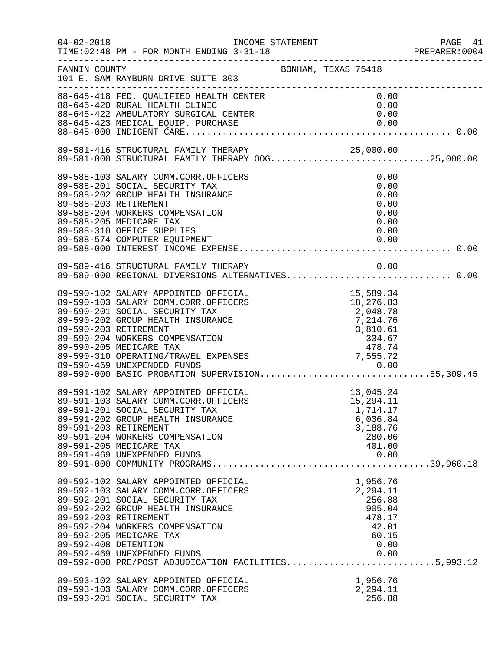| $04 - 02 - 2018$                              | TIME: 02:48 PM - FOR MONTH ENDING 3-31-18<br>-----------------------                                                                                                                                                                                                                                    |                                                                                                         |  |
|-----------------------------------------------|---------------------------------------------------------------------------------------------------------------------------------------------------------------------------------------------------------------------------------------------------------------------------------------------------------|---------------------------------------------------------------------------------------------------------|--|
| FANNIN COUNTY                                 | 101 E. SAM RAYBURN DRIVE SUITE 303                                                                                                                                                                                                                                                                      | BONHAM, TEXAS 75418                                                                                     |  |
|                                               | 88-645-418 FED. QUALIFIED HEALTH CENTER<br>88-645-420 RURAL HEALTH CLINIC<br>88-645-420 RURAL HEALTH CLINIC<br>88-645-422 AMBULATORY SURGICAL CENTER                                                                                                                                                    | 0.00<br>0.00<br>0.00                                                                                    |  |
|                                               | 89-581-416 STRUCTURAL FAMILY THERAPY 25,000.00<br>89-581-000 STRUCTURAL FAMILY THERAPY OOG25,000.00                                                                                                                                                                                                     |                                                                                                         |  |
|                                               | 89-588-103 SALARY COMM.CORR.OFFICERS<br>89-588-201 SOCIAL SECURITY TAX<br>89-588-202 GROUP HEALTH INSURANCE<br>89-588-203 RETIREMENT<br>89-588-204 WORKERS COMPENSATION<br>89-588-205 MEDICARE TAX<br>89-588-310 OFFICE SUPPLIES                                                                        | 0.00<br>0.00<br>0.00<br>0.00<br>0.00<br>0.00<br>0.00                                                    |  |
|                                               | 89-589-416 STRUCTURAL FAMILY THERAPY                                                                                                                                                                                                                                                                    | 0.00                                                                                                    |  |
|                                               |                                                                                                                                                                                                                                                                                                         |                                                                                                         |  |
| 89-591-203 RETIREMENT                         | 89-591-102 SALARY APPOINTED OFFICIAL<br>89-591-103 SALARY COMM.CORR.OFFICERS<br>89-591-201 SOCIAL SECURITY TAX<br>89-591-202 GROUP HEALTH INSURANCE<br>89-591-204 WORKERS COMPENSATION<br>89-591-205 MEDICARE TAX<br>89-591-469 UNEXPENDED FUNDS                                                        | $13,045.24$<br>$15.294.11$<br>15,294.11<br>1,714.17<br>6,036.84<br>3,188.76<br>280.06<br>401.00<br>0.00 |  |
| 89-592-203 RETIREMENT<br>89-592-408 DETENTION | 89-592-102 SALARY APPOINTED OFFICIAL<br>89-592-103 SALARY COMM.CORR.OFFICERS<br>89-592-201 SOCIAL SECURITY TAX<br>89-592-202 GROUP HEALTH INSURANCE<br>89-592-204 WORKERS COMPENSATION<br>89-592-205 MEDICARE TAX<br>89-592-469 UNEXPENDED FUNDS<br>89-592-000 PRE/POST ADJUDICATION FACILITIES5,993.12 | 1,956.76<br>2,294.11<br>256.88<br>905.04<br>478.17<br>42.01<br>60.15<br>0.00<br>0.00                    |  |
|                                               | 89-593-102 SALARY APPOINTED OFFICIAL<br>89-593-103 SALARY COMM.CORR.OFFICERS<br>89-593-201 SOCIAL SECURITY TAX                                                                                                                                                                                          | 1,956.76<br>2,294.11<br>256.88                                                                          |  |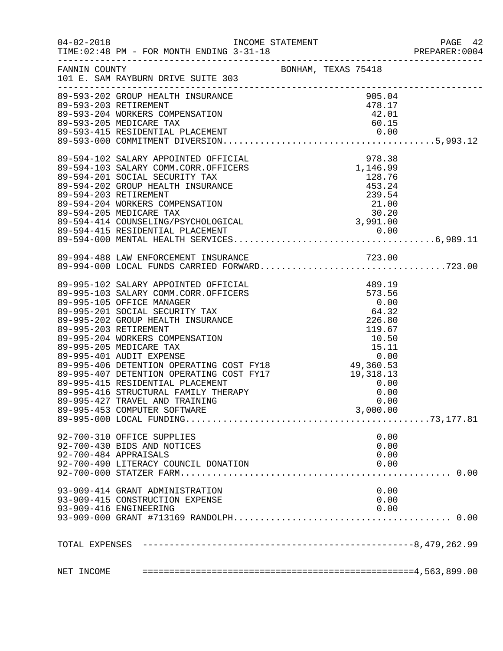| $04 - 02 - 2018$ | TIME: 02:48 PM - FOR MONTH ENDING 3-31-18                                                                                                                                                                                                    |  |  |      |  |
|------------------|----------------------------------------------------------------------------------------------------------------------------------------------------------------------------------------------------------------------------------------------|--|--|------|--|
| FANNIN COUNTY    | BONHAM, TEXAS 75418<br>101 E. SAM RAYBURN DRIVE SUITE 303                                                                                                                                                                                    |  |  |      |  |
|                  | 905.04<br>89-593-202 GROUP HEALTH INSURANCE<br>89-593-203 RETIREMENT<br>89-593-204 WORKERS COMPENSATION<br>89-593-205 MEDICARE TAX<br>89-593-415 RESIDENTIAL PLACEMENT<br>89-593-415 RESIDENTIAL PLACEMENT<br>89-593-000 COMMITMENT DIVERSIO |  |  |      |  |
|                  |                                                                                                                                                                                                                                              |  |  |      |  |
|                  |                                                                                                                                                                                                                                              |  |  |      |  |
|                  |                                                                                                                                                                                                                                              |  |  |      |  |
|                  |                                                                                                                                                                                                                                              |  |  |      |  |
|                  |                                                                                                                                                                                                                                              |  |  |      |  |
|                  |                                                                                                                                                                                                                                              |  |  |      |  |
|                  |                                                                                                                                                                                                                                              |  |  |      |  |
|                  |                                                                                                                                                                                                                                              |  |  |      |  |
|                  |                                                                                                                                                                                                                                              |  |  |      |  |
|                  |                                                                                                                                                                                                                                              |  |  |      |  |
|                  |                                                                                                                                                                                                                                              |  |  |      |  |
|                  |                                                                                                                                                                                                                                              |  |  |      |  |
|                  |                                                                                                                                                                                                                                              |  |  |      |  |
|                  |                                                                                                                                                                                                                                              |  |  |      |  |
|                  |                                                                                                                                                                                                                                              |  |  |      |  |
|                  |                                                                                                                                                                                                                                              |  |  |      |  |
|                  |                                                                                                                                                                                                                                              |  |  |      |  |
|                  |                                                                                                                                                                                                                                              |  |  |      |  |
|                  |                                                                                                                                                                                                                                              |  |  |      |  |
|                  |                                                                                                                                                                                                                                              |  |  |      |  |
|                  |                                                                                                                                                                                                                                              |  |  |      |  |
|                  |                                                                                                                                                                                                                                              |  |  |      |  |
|                  |                                                                                                                                                                                                                                              |  |  |      |  |
|                  |                                                                                                                                                                                                                                              |  |  |      |  |
|                  |                                                                                                                                                                                                                                              |  |  |      |  |
|                  |                                                                                                                                                                                                                                              |  |  |      |  |
|                  |                                                                                                                                                                                                                                              |  |  |      |  |
|                  |                                                                                                                                                                                                                                              |  |  |      |  |
|                  |                                                                                                                                                                                                                                              |  |  |      |  |
|                  |                                                                                                                                                                                                                                              |  |  |      |  |
|                  |                                                                                                                                                                                                                                              |  |  |      |  |
|                  |                                                                                                                                                                                                                                              |  |  |      |  |
|                  | 92-700-310 OFFICE SUPPLIES                                                                                                                                                                                                                   |  |  | 0.00 |  |
|                  | 92-700-430 BIDS AND NOTICES                                                                                                                                                                                                                  |  |  | 0.00 |  |
|                  | 92-700-484 APPRAISALS                                                                                                                                                                                                                        |  |  | 0.00 |  |
|                  | 92-700-490 LITERACY COUNCIL DONATION                                                                                                                                                                                                         |  |  | 0.00 |  |
|                  |                                                                                                                                                                                                                                              |  |  |      |  |
|                  |                                                                                                                                                                                                                                              |  |  |      |  |
|                  | 93-909-414 GRANT ADMINISTRATION                                                                                                                                                                                                              |  |  | 0.00 |  |
|                  | 93-909-415 CONSTRUCTION EXPENSE                                                                                                                                                                                                              |  |  | 0.00 |  |
|                  | 93-909-416 ENGINEERING                                                                                                                                                                                                                       |  |  | 0.00 |  |
|                  |                                                                                                                                                                                                                                              |  |  |      |  |
|                  |                                                                                                                                                                                                                                              |  |  |      |  |
|                  |                                                                                                                                                                                                                                              |  |  |      |  |
|                  |                                                                                                                                                                                                                                              |  |  |      |  |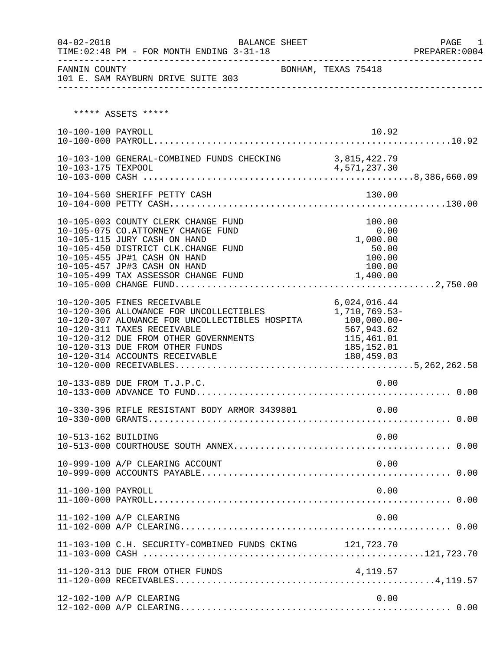| $04 - 02 - 2018$    | BALANCE SHEET<br>TIME: 02:48 PM - FOR MONTH ENDING 3-31-18                                                                                                                                                                                                                                     | -------------------------------------                                                                | PAGE<br>1<br>PREPARER: 0004 |
|---------------------|------------------------------------------------------------------------------------------------------------------------------------------------------------------------------------------------------------------------------------------------------------------------------------------------|------------------------------------------------------------------------------------------------------|-----------------------------|
| FANNIN COUNTY       | 101 E. SAM RAYBURN DRIVE SUITE 303                                                                                                                                                                                                                                                             | BONHAM, TEXAS 75418                                                                                  |                             |
|                     | ***** ASSETS *****                                                                                                                                                                                                                                                                             |                                                                                                      |                             |
| 10-100-100 PAYROLL  |                                                                                                                                                                                                                                                                                                | 10.92                                                                                                |                             |
|                     | 10-103-100 GENERAL-COMBINED FUNDS CHECKING 3,815,422.79                                                                                                                                                                                                                                        |                                                                                                      |                             |
|                     | 10-104-560 SHERIFF PETTY CASH                                                                                                                                                                                                                                                                  | 130.00                                                                                               |                             |
|                     | 10-105-003 COUNTY CLERK CHANGE FUND<br>10-105-075 CO.ATTORNEY CHANGE FUND<br>10-105-115 JURY CASH ON HAND<br>10-105-450 DISTRICT CLK.CHANGE FUND<br>10-105-455 JP#1 CASH ON HAND<br>10-105-457 JP#3 CASH ON HAND<br>10-105-499 TAX ASSESSOR CHANGE FUND                                        | 100.00<br>0.00<br>1,000.00<br>50.00<br>100.00<br>100.00<br>1,400.00                                  |                             |
|                     | 10-120-305 FINES RECEIVABLE<br>10-120-306 ALLOWANCE FOR UNCOLLECTIBLES<br>10-120-307 ALOWANCE FOR UNCOLLECTIBLES HOSPITA<br>10-120-311 TAXES RECEIVABLE<br>10-120-312 DUE FROM OTHER GOVERNMENTS<br>10-120-313 DUE FROM OTHER FUNDS<br>10-120-314 ACCOUNTS RECEIVABLE<br>10-120-000 RECEIVABLE | 6,024,016.44<br>1,710,769.53-<br>100,000.00-<br>567,943.62<br>115,461.01<br>185,152.01<br>180,459.03 |                             |
|                     | 10-133-089 DUE FROM T.J.P.C.                                                                                                                                                                                                                                                                   | 0.00                                                                                                 |                             |
|                     | 10-330-396 RIFLE RESISTANT BODY ARMOR 3439801                                                                                                                                                                                                                                                  | 0.00                                                                                                 |                             |
| 10-513-162 BUILDING |                                                                                                                                                                                                                                                                                                | 0.00                                                                                                 |                             |
|                     | 10-999-100 A/P CLEARING ACCOUNT                                                                                                                                                                                                                                                                | 0.00                                                                                                 |                             |
| 11-100-100 PAYROLL  |                                                                                                                                                                                                                                                                                                | 0.00                                                                                                 |                             |
|                     | 11-102-100 A/P CLEARING                                                                                                                                                                                                                                                                        | 0.00                                                                                                 |                             |
|                     | 11-103-100 C.H. SECURITY-COMBINED FUNDS CKING 121,723.70                                                                                                                                                                                                                                       |                                                                                                      |                             |
|                     | 11-120-313 DUE FROM OTHER FUNDS                                                                                                                                                                                                                                                                | 4,119.57                                                                                             |                             |
|                     | 12-102-100 A/P CLEARING                                                                                                                                                                                                                                                                        | 0.00                                                                                                 |                             |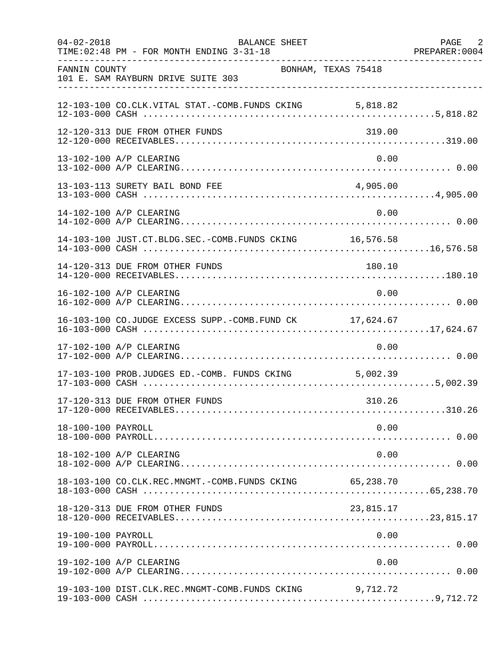| $04 - 02 - 2018$   | BALANCE SHEET<br>TIME: 02:48 PM - FOR MONTH ENDING 3-31-18 |                     | PAGE 2 |
|--------------------|------------------------------------------------------------|---------------------|--------|
| FANNIN COUNTY      | 101 E. SAM RAYBURN DRIVE SUITE 303                         | BONHAM, TEXAS 75418 |        |
|                    | 12-103-100 CO.CLK.VITAL STAT.-COMB.FUNDS CKING 5,818.82    |                     |        |
|                    | 12-120-313 DUE FROM OTHER FUNDS                            | 319.00              |        |
|                    | 13-102-100 A/P CLEARING                                    | 0.00                |        |
|                    | 13-103-113 SURETY BAIL BOND FEE                            | 4,905.00            |        |
|                    | 14-102-100 A/P CLEARING                                    | 0.00                |        |
|                    | 14-103-100 JUST.CT.BLDG.SEC.-COMB.FUNDS CKING 16,576.58    |                     |        |
|                    | 14-120-313 DUE FROM OTHER FUNDS                            | 180.10              |        |
|                    | 16-102-100 A/P CLEARING                                    | 0.00                |        |
|                    | 16-103-100 CO.JUDGE EXCESS SUPP.-COMB.FUND CK 17,624.67    |                     |        |
|                    | 17-102-100 A/P CLEARING                                    | 0.00                |        |
|                    | 17-103-100 PROB.JUDGES ED.-COMB. FUNDS CKING 5,002.39      |                     |        |
|                    | 17-120-313 DUE FROM OTHER FUNDS                            | 310.26              |        |
| 18-100-100 PAYROLL |                                                            | 0.00                |        |
|                    | 18-102-100 A/P CLEARING                                    | 0.00                |        |
|                    | 18-103-100 CO.CLK.REC.MNGMT.-COMB.FUNDS CKING 65,238.70    |                     |        |
|                    | 18-120-313 DUE FROM OTHER FUNDS                            | 23,815.17           |        |
| 19-100-100 PAYROLL |                                                            | 0.00                |        |
|                    | 19-102-100 A/P CLEARING                                    | 0.00                |        |
|                    | 19-103-100 DIST.CLK.REC.MNGMT-COMB.FUNDS CKING             | 9,712.72            |        |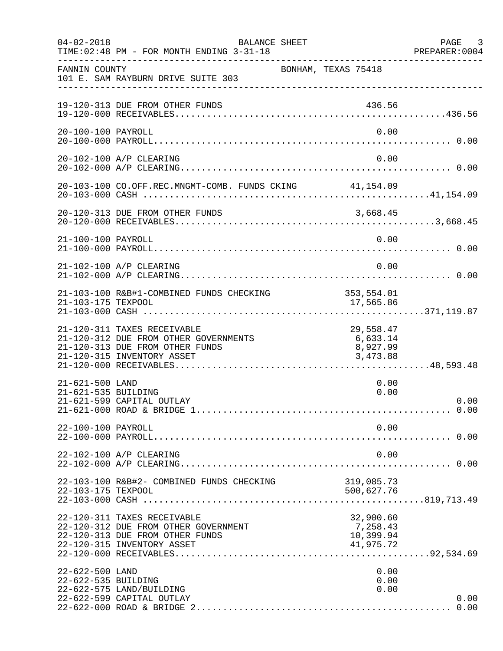| $04 - 02 - 2018$                       | <b>BALANCE SHEET</b><br>TIME: 02:48 PM - FOR MONTH ENDING 3-31-18                                                                     |                                                 | PAGE 3<br>PREPARER:0004 |
|----------------------------------------|---------------------------------------------------------------------------------------------------------------------------------------|-------------------------------------------------|-------------------------|
| FANNIN COUNTY                          | 101 E. SAM RAYBURN DRIVE SUITE 303                                                                                                    | BONHAM, TEXAS 75418                             |                         |
|                                        | 19-120-313 DUE FROM OTHER FUNDS                                                                                                       | 436.56                                          |                         |
| 20-100-100 PAYROLL                     |                                                                                                                                       | 0.00                                            |                         |
|                                        | 20-102-100 A/P CLEARING                                                                                                               | 0.00                                            |                         |
|                                        | 20-103-100 CO.OFF.REC.MNGMT-COMB. FUNDS CKING 41,154.09                                                                               |                                                 |                         |
|                                        | 20-120-313 DUE FROM OTHER FUNDS                                                                                                       |                                                 |                         |
| 21-100-100 PAYROLL                     |                                                                                                                                       | 0.00                                            |                         |
|                                        | 21-102-100 A/P CLEARING                                                                                                               | 0.00                                            |                         |
| 21-103-175 TEXPOOL                     | 21-103-100 R&B#1-COMBINED FUNDS CHECKING                                                                                              | 353, 554.01<br>17,565.86                        |                         |
|                                        | 21-120-311 TAXES RECEIVABLE<br>21-120-312 DUE FROM OTHER GOVERNMENTS<br>21-120-313 DUE FROM OTHER FUNDS<br>21-120-315 INVENTORY ASSET | 29,558.47<br>6,633.14<br>8,927.99<br>3,473.88   |                         |
| 21-621-500 LAND<br>21-621-535 BUILDING | 21-621-599 CAPITAL OUTLAY                                                                                                             | 0.00<br>0.00                                    | 0.00                    |
| 22-100-100 PAYROLL                     |                                                                                                                                       | 0.00                                            |                         |
|                                        | 22-102-100 A/P CLEARING                                                                                                               | 0.00                                            |                         |
| 22-103-175 TEXPOOL                     | 22-103-100 R&B#2- COMBINED FUNDS CHECKING                                                                                             | 319,085.73<br>500,627.76                        |                         |
|                                        | 22-120-311 TAXES RECEIVABLE<br>22-120-312 DUE FROM OTHER GOVERNMENT<br>22-120-313 DUE FROM OTHER FUNDS<br>22-120-315 INVENTORY ASSET  | 32,900.60<br>7,258.43<br>10,399.94<br>41,975.72 |                         |
| 22-622-500 LAND<br>22-622-535 BUILDING | 22-622-575 LAND/BUILDING<br>22-622-599 CAPITAL OUTLAY                                                                                 | 0.00<br>0.00<br>0.00                            | 0.00<br>0.00            |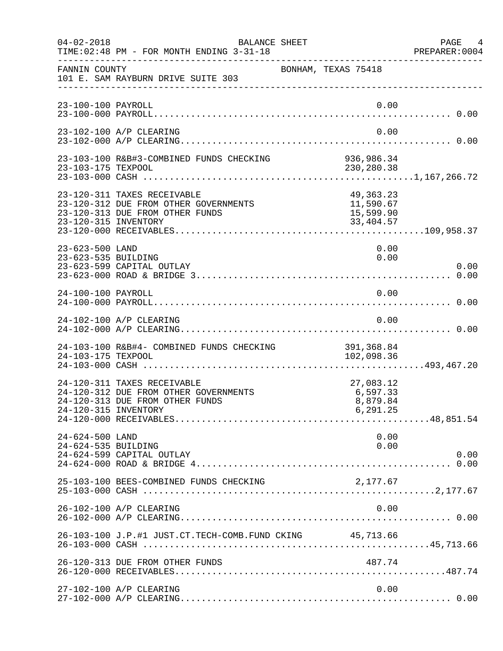| $04 - 02 - 2018$                       | BALANCE SHEET<br>TIME: 02:48 PM - FOR MONTH ENDING 3-31-18                                              |                                                  | PAGE<br>4<br>PREPARER: 0004 |
|----------------------------------------|---------------------------------------------------------------------------------------------------------|--------------------------------------------------|-----------------------------|
| FANNIN COUNTY                          | 101 E. SAM RAYBURN DRIVE SUITE 303                                                                      | BONHAM, TEXAS 75418                              |                             |
| 23-100-100 PAYROLL                     |                                                                                                         | 0.00                                             |                             |
|                                        | 23-102-100 A/P CLEARING                                                                                 | 0.00                                             |                             |
| 23-103-175 TEXPOOL                     | 23-103-100 R&B#3-COMBINED FUNDS CHECKING                                                                | 936,986.34<br>230,280.38                         |                             |
| 23-120-315 INVENTORY                   | 23-120-311 TAXES RECEIVABLE<br>23-120-312 DUE FROM OTHER GOVERNMENTS<br>23-120-313 DUE FROM OTHER FUNDS | 49,363.23<br>11,590.67<br>15,599.90<br>33,404.57 |                             |
| 23-623-500 LAND<br>23-623-535 BUILDING | 23-623-599 CAPITAL OUTLAY                                                                               | 0.00<br>0.00                                     | 0.00                        |
| 24-100-100 PAYROLL                     |                                                                                                         | 0.00                                             |                             |
|                                        | 24-102-100 A/P CLEARING                                                                                 | 0.00                                             |                             |
| 24-103-175 TEXPOOL                     | 24-103-100 R&B#4- COMBINED FUNDS CHECKING                                                               | 391,368.84<br>102,098.36                         |                             |
| 24-120-315 INVENTORY                   | 24-120-311 TAXES RECEIVABLE<br>24-120-312 DUE FROM OTHER GOVERNMENTS<br>24-120-313 DUE FROM OTHER FUNDS | 27,083.12<br>6,597.33<br>8,879.84<br>6,291.25    |                             |
| 24-624-500 LAND<br>24-624-535 BUILDING | 24-624-599 CAPITAL OUTLAY                                                                               | 0.00<br>0.00                                     | 0.00                        |
|                                        | 25-103-100 BEES-COMBINED FUNDS CHECKING                                                                 | 2,177.67                                         |                             |
|                                        | 26-102-100 A/P CLEARING                                                                                 | 0.00                                             |                             |
|                                        | 26-103-100 J.P.#1 JUST.CT.TECH-COMB.FUND CKING 45,713.66                                                |                                                  |                             |
|                                        | 26-120-313 DUE FROM OTHER FUNDS                                                                         | 487.74                                           |                             |
|                                        | 27-102-100 A/P CLEARING                                                                                 | 0.00                                             |                             |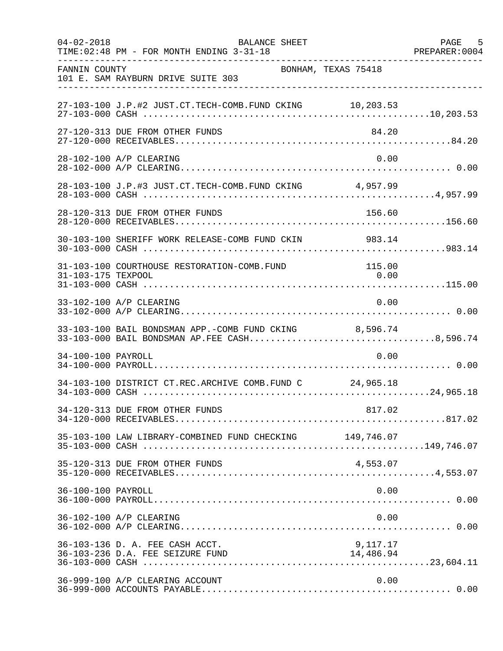| $04 - 02 - 2018$   | <b>BALANCE SHEET</b><br>TIME: 02:48 PM - FOR MONTH ENDING 3-31-18                                      |                       | 5<br>PAGE<br>PREPARER: 0004 |
|--------------------|--------------------------------------------------------------------------------------------------------|-----------------------|-----------------------------|
| FANNIN COUNTY      | BONHAM, TEXAS 75418<br>101 E. SAM RAYBURN DRIVE SUITE 303                                              |                       |                             |
|                    | 27-103-100 J.P.#2 JUST.CT.TECH-COMB.FUND CKING 10,203.53                                               |                       |                             |
|                    | 27-120-313 DUE FROM OTHER FUNDS                                                                        | 84.20                 |                             |
|                    | 28-102-100 A/P CLEARING                                                                                | 0.00                  |                             |
|                    | 28-103-100 J.P.#3 JUST.CT.TECH-COMB.FUND CKING 4,957.99                                                |                       |                             |
|                    | 28-120-313 DUE FROM OTHER FUNDS                                                                        | 156.60                |                             |
|                    | 30-103-100 SHERIFF WORK RELEASE-COMB FUND CKIN                                                         | 983.14                |                             |
| 31-103-175 TEXPOOL | 31-103-100 COURTHOUSE RESTORATION-COMB.FUND                                                            | 115.00<br>0.00        |                             |
|                    | 33-102-100 A/P CLEARING                                                                                | 0.00                  |                             |
|                    | 33-103-100 BAIL BONDSMAN APP.-COMB FUND CKING 8,596.74<br>33-103-000 BAIL BONDSMAN AP.FEE CASH8,596.74 |                       |                             |
| 34-100-100 PAYROLL |                                                                                                        | 0.00                  |                             |
|                    | 34-103-100 DISTRICT CT.REC.ARCHIVE COMB.FUND C 24,965.18                                               |                       |                             |
|                    | 34-120-313 DUE FROM OTHER FUNDS                                                                        |                       |                             |
|                    | 35-103-100 LAW LIBRARY-COMBINED FUND CHECKING 149,746.07                                               |                       |                             |
|                    | 35-120-313 DUE FROM OTHER FUNDS                                                                        | 4,553.07              |                             |
| 36-100-100 PAYROLL |                                                                                                        | 0.00                  |                             |
|                    | 36-102-100 A/P CLEARING                                                                                | 0.00                  |                             |
|                    | 36-103-136 D. A. FEE CASH ACCT.<br>36-103-236 D.A. FEE SEIZURE FUND                                    | 9,117.17<br>14,486.94 |                             |
|                    | 36-999-100 A/P CLEARING ACCOUNT                                                                        | 0.00                  |                             |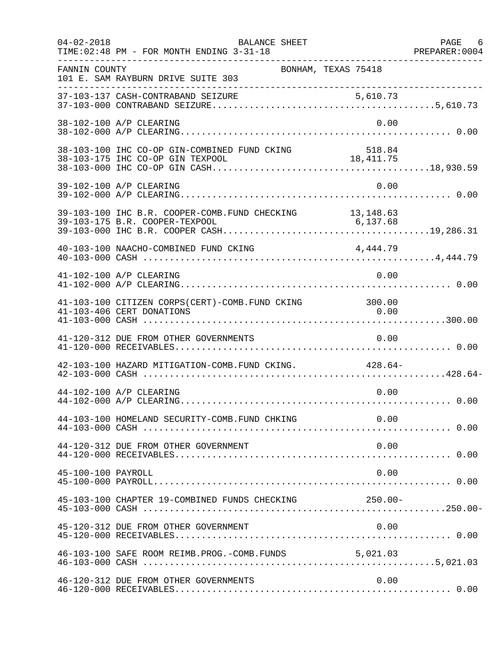| $04 - 02 - 2018$   | BALANCE SHEET<br>TIME: 02:48 PM - FOR MONTH ENDING 3-31-18                       |                     | PAGE 6 |
|--------------------|----------------------------------------------------------------------------------|---------------------|--------|
| FANNIN COUNTY      | BONHAM, TEXAS 75418<br>101 E. SAM RAYBURN DRIVE SUITE 303                        |                     |        |
|                    |                                                                                  |                     |        |
|                    | 38-102-100 A/P CLEARING                                                          | 0.00                |        |
|                    | 38-103-100 IHC CO-OP GIN-COMBINED FUND CKING<br>38-103-175 IHC CO-OP GIN TEXPOOL | 518.84<br>18,411.75 |        |
|                    | 39-102-100 A/P CLEARING                                                          | 0.00                |        |
|                    | 39-103-100 IHC B.R. COOPER-COMB. FUND CHECKING $13,148.63$                       |                     |        |
|                    |                                                                                  |                     |        |
|                    | 41-102-100 A/P CLEARING                                                          | 0.00                |        |
|                    | 41-103-100 CITIZEN CORPS(CERT)-COMB.FUND CKING<br>41-103-406 CERT DONATIONS      | 300.00<br>0.00      |        |
|                    | 41-120-312 DUE FROM OTHER GOVERNMENTS                                            | 0.00                |        |
|                    | 42-103-100 HAZARD MITIGATION-COMB.FUND CKING. 428.64-                            |                     |        |
|                    | 44-102-100 A/P CLEARING                                                          | 0.00                |        |
|                    | 44-103-100 HOMELAND SECURITY-COMB.FUND CHKING                                    | 0.00                |        |
|                    | 44-120-312 DUE FROM OTHER GOVERNMENT                                             | 0.00                |        |
| 45-100-100 PAYROLL |                                                                                  | 0.00                |        |
|                    | 45-103-100 CHAPTER 19-COMBINED FUNDS CHECKING                                    | 250.00-             |        |
|                    | 45-120-312 DUE FROM OTHER GOVERNMENT                                             | 0.00                |        |
|                    | 46-103-100 SAFE ROOM REIMB. PROG. - COMB. FUNDS 5,021.03                         |                     |        |
|                    | 46-120-312 DUE FROM OTHER GOVERNMENTS                                            | 0.00                |        |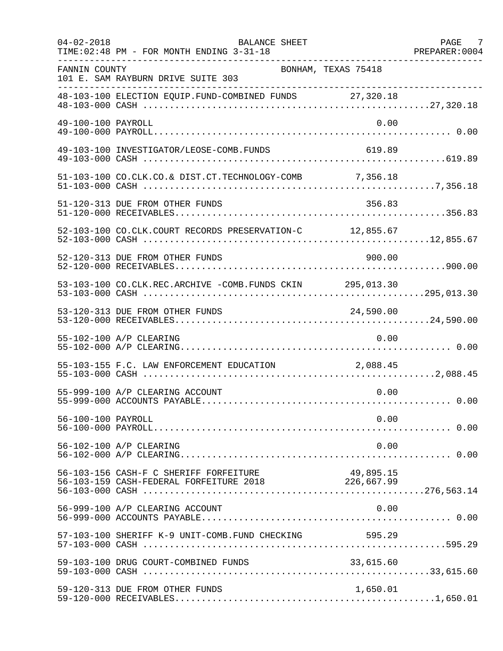| $04 - 02 - 2018$   | BALANCE SHEET<br>TIME: 02:48 PM - FOR MONTH ENDING 3-31-18                                        |           | PAGE 7<br>PREPARER: 0004 |
|--------------------|---------------------------------------------------------------------------------------------------|-----------|--------------------------|
| FANNIN COUNTY      | BONHAM, TEXAS 75418<br>101 E. SAM RAYBURN DRIVE SUITE 303                                         |           |                          |
|                    | 48-103-100 ELECTION EQUIP.FUND-COMBINED FUNDS 27,320.18                                           |           |                          |
| 49-100-100 PAYROLL |                                                                                                   | 0.00      |                          |
|                    | 49-103-100 INVESTIGATOR/LEOSE-COMB.FUNDS                                                          | 619.89    |                          |
|                    | 51-103-100 CO.CLK.CO.& DIST.CT.TECHNOLOGY-COMB 7,356.18                                           |           |                          |
|                    | 51-120-313 DUE FROM OTHER FUNDS                                                                   | 356.83    |                          |
|                    | 52-103-100 CO.CLK.COURT RECORDS PRESERVATION-C 12,855.67                                          |           |                          |
|                    | 52-120-313 DUE FROM OTHER FUNDS                                                                   | 900.00    |                          |
|                    | 53-103-100 CO.CLK.REC.ARCHIVE -COMB.FUNDS CKIN 295,013.30                                         |           |                          |
|                    |                                                                                                   |           |                          |
|                    | 55-102-100 A/P CLEARING                                                                           | 0.00      |                          |
|                    | 55-103-155 F.C. LAW ENFORCEMENT EDUCATION 2,088.45                                                |           |                          |
|                    | 55-999-100 A/P CLEARING ACCOUNT                                                                   | 0.00      |                          |
| 56-100-100 PAYROLL |                                                                                                   | 0.00      |                          |
|                    | 56-102-100 A/P CLEARING                                                                           | 0.00      |                          |
|                    | 56-103-156 CASH-F C SHERIFF FORFEITURE<br>56-103-159 CASH-FEDERAL FORFEITURE 2018 2018 226,667.99 | 49,895.15 |                          |
|                    | 56-999-100 A/P CLEARING ACCOUNT                                                                   | 0.00      |                          |
|                    | 57-103-100 SHERIFF K-9 UNIT-COMB.FUND CHECKING 595.29                                             |           |                          |
|                    | 59-103-100 DRUG COURT-COMBINED FUNDS                                                              | 33,615.60 |                          |
|                    | 59-120-313 DUE FROM OTHER FUNDS                                                                   | 1,650.01  |                          |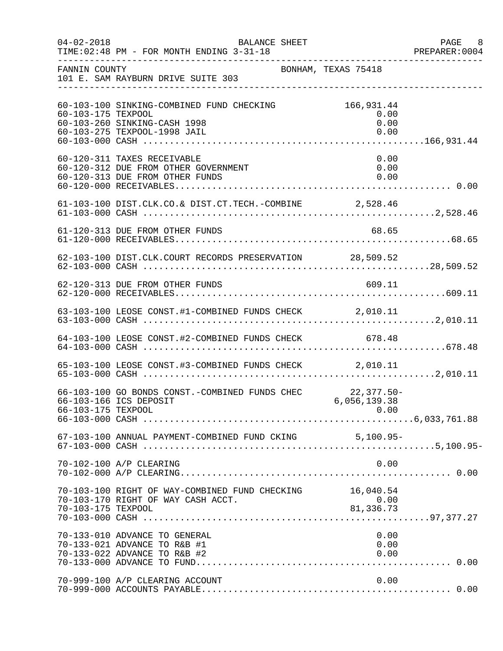| $04 - 02 - 2018$   | BALANCE SHEET<br>TIME: 02:48 PM - FOR MONTH ENDING 3-31-18                                                |                                    | PAGE 8<br>PREPARER:0004 |
|--------------------|-----------------------------------------------------------------------------------------------------------|------------------------------------|-------------------------|
| FANNIN COUNTY      | BONHAM, TEXAS 75418<br>101 E. SAM RAYBURN DRIVE SUITE 303                                                 |                                    |                         |
| 60-103-175 TEXPOOL | 60-103-100 SINKING-COMBINED FUND CHECKING<br>60-103-260 SINKING-CASH 1998<br>60-103-275 TEXPOOL-1998 JAIL | 166,931.44<br>0.00<br>0.00<br>0.00 |                         |
|                    | 60-120-311 TAXES RECEIVABLE<br>60-120-312 DUE FROM OTHER GOVERNMENT<br>60-120-313 DUE FROM OTHER FUNDS    | 0.00<br>0.00<br>0.00               |                         |
|                    | 61-103-100 DIST.CLK.CO.& DIST.CT.TECH.-COMBINE 2,528.46                                                   |                                    |                         |
|                    | 61-120-313 DUE FROM OTHER FUNDS                                                                           | 68.65                              |                         |
|                    | 62-103-100 DIST.CLK.COURT RECORDS PRESERVATION 28,509.52                                                  |                                    |                         |
|                    |                                                                                                           |                                    |                         |
|                    |                                                                                                           |                                    |                         |
|                    | 64-103-100 LEOSE CONST.#2-COMBINED FUNDS CHECK 678.48                                                     |                                    |                         |
|                    | 65-103-100 LEOSE CONST.#3-COMBINED FUNDS CHECK 2,010.11                                                   |                                    |                         |
| 66-103-175 TEXPOOL | 66-103-100 GO BONDS CONST.-COMBINED FUNDS CHEC 22,377.50-<br>66-103-166 ICS DEPOSIT 6,056,139.38          | 0.00                               |                         |
|                    | 67-103-100 ANNUAL PAYMENT-COMBINED FUND CKING 5,100.95-                                                   |                                    |                         |
|                    | 70-102-100 A/P CLEARING                                                                                   | 0.00                               |                         |
| 70-103-175 TEXPOOL | 70-103-100 RIGHT OF WAY-COMBINED FUND CHECKING<br>70-103-170 RIGHT OF WAY CASH ACCT.                      | 16,040.54<br>$81222$<br>0.00<br>81 |                         |
|                    | 70-133-010 ADVANCE TO GENERAL<br>70-133-021 ADVANCE TO R&B #1<br>70-133-022 ADVANCE TO R&B #2             | 0.00<br>0.00<br>0.00               |                         |
|                    | 70-999-100 A/P CLEARING ACCOUNT                                                                           | 0.00                               |                         |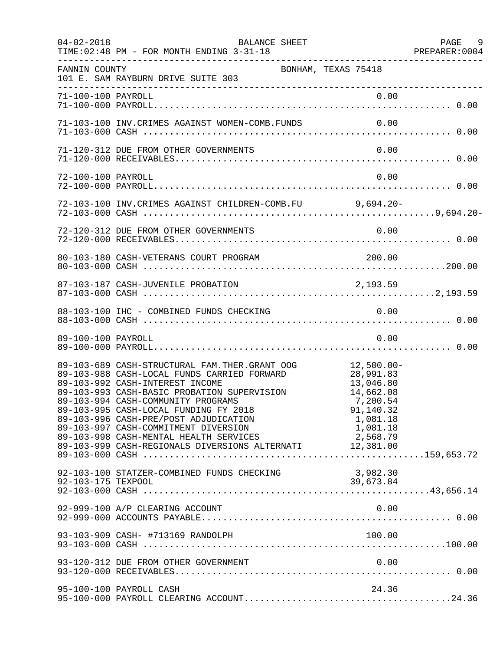| $04 - 02 - 2018$   | BALANCE SHEET<br>TIME: 02:48 PM - FOR MONTH ENDING 3-31-18<br>------------------                                                                                                                                                                                                                                                                                                                                                                                |                                                                                                   | PAGE 9<br>PREPARER: 0004 |
|--------------------|-----------------------------------------------------------------------------------------------------------------------------------------------------------------------------------------------------------------------------------------------------------------------------------------------------------------------------------------------------------------------------------------------------------------------------------------------------------------|---------------------------------------------------------------------------------------------------|--------------------------|
| FANNIN COUNTY      | 101 E. SAM RAYBURN DRIVE SUITE 303<br>--------------------------------                                                                                                                                                                                                                                                                                                                                                                                          | BONHAM, TEXAS 75418                                                                               |                          |
| 71-100-100 PAYROLL |                                                                                                                                                                                                                                                                                                                                                                                                                                                                 | 0.00                                                                                              |                          |
|                    | 71-103-100 INV. CRIMES AGAINST WOMEN-COMB. FUNDS 0.00                                                                                                                                                                                                                                                                                                                                                                                                           |                                                                                                   |                          |
|                    | 71-120-312 DUE FROM OTHER GOVERNMENTS                                                                                                                                                                                                                                                                                                                                                                                                                           | 0.00                                                                                              |                          |
| 72-100-100 PAYROLL |                                                                                                                                                                                                                                                                                                                                                                                                                                                                 | 0.00                                                                                              |                          |
|                    | 72-103-100 INV. CRIMES AGAINST CHILDREN-COMB. FU 9,694.20-                                                                                                                                                                                                                                                                                                                                                                                                      |                                                                                                   |                          |
|                    |                                                                                                                                                                                                                                                                                                                                                                                                                                                                 |                                                                                                   |                          |
|                    |                                                                                                                                                                                                                                                                                                                                                                                                                                                                 |                                                                                                   |                          |
|                    | 87-103-187 CASH-JUVENILE PROBATION 2,193.59                                                                                                                                                                                                                                                                                                                                                                                                                     |                                                                                                   |                          |
|                    | 88-103-100 IHC - COMBINED FUNDS CHECKING 6.00                                                                                                                                                                                                                                                                                                                                                                                                                   |                                                                                                   |                          |
| 89-100-100 PAYROLL |                                                                                                                                                                                                                                                                                                                                                                                                                                                                 | 0.00                                                                                              |                          |
|                    | 89-103-689 CASH-STRUCTURAL FAM.THER.GRANT OOG 12,500.00-<br>89-103-988 CASH-LOCAL FUNDS CARRIED FORWARD<br>89-103-992 CASH-INTEREST INCOME<br>89-103-993 CASH-BASIC PROBATION SUPERVISION<br>89-103-994 CASH-COMMUNITY PROGRAMS<br>89-103-995 CASH-LOCAL FUNDING FY 2018<br>89-103-996 CASH-PRE/POST ADJUDICATION<br>89-103-997 CASH-COMMITMENT DIVERSION<br>89-103-998 CASH-MENTAL HEALTH SERVICES<br>89-103-999 CASH-REGIONALS DIVERSIONS ALTERNATI 12,381.00 | 28,991.83<br>13,046.80<br>14,662.08<br>7, 200.54<br>91,140.32<br>1,081.18<br>1,081.18<br>2,568.79 |                          |
| 92-103-175 TEXPOOL | 92-103-100 STATZER-COMBINED FUNDS CHECKING                                                                                                                                                                                                                                                                                                                                                                                                                      | 3,982.30<br>39,673.84                                                                             |                          |
|                    | 92-999-100 A/P CLEARING ACCOUNT                                                                                                                                                                                                                                                                                                                                                                                                                                 | 0.00                                                                                              |                          |
|                    | 93-103-909 CASH- #713169 RANDOLPH                                                                                                                                                                                                                                                                                                                                                                                                                               | 100.00                                                                                            |                          |
|                    | 93-120-312 DUE FROM OTHER GOVERNMENT                                                                                                                                                                                                                                                                                                                                                                                                                            | 0.00                                                                                              |                          |
|                    | 95-100-100 PAYROLL CASH                                                                                                                                                                                                                                                                                                                                                                                                                                         | 24.36                                                                                             |                          |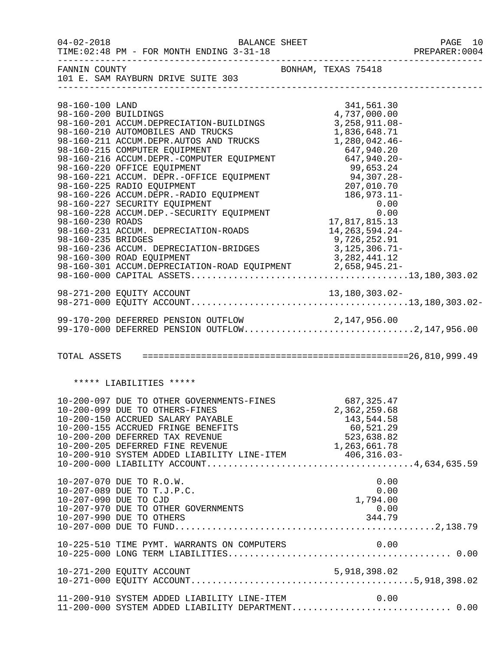| $04 - 02 - 2018$                                                                  | BALANCE SHEET<br>TIME: 02:48 PM - FOR MONTH ENDING 3-31-18                                                                                                                                                                                                                                                                                                                                                                                                                                                                                                                     |                                                                                                                                                              | PAGE 10<br>PREPARER: 0004 |
|-----------------------------------------------------------------------------------|--------------------------------------------------------------------------------------------------------------------------------------------------------------------------------------------------------------------------------------------------------------------------------------------------------------------------------------------------------------------------------------------------------------------------------------------------------------------------------------------------------------------------------------------------------------------------------|--------------------------------------------------------------------------------------------------------------------------------------------------------------|---------------------------|
|                                                                                   | FANNIN COUNTY<br>101 E. SAM RAYBURN DRIVE SUITE 303                                                                                                                                                                                                                                                                                                                                                                                                                                                                                                                            | BONHAM, TEXAS 75418                                                                                                                                          |                           |
| 98-160-100 LAND<br>98-160-200 BUILDINGS<br>98-160-230 ROADS<br>98-160-235 BRIDGES | 98-160-201 ACCUM.DEPRECIATION-BUILDINGS 3, 258, 911.08-<br>98-160-210 AUTOMOBILES AND TRUCKS<br>98-160-211 ACCUM.DEPR.AUTOS AND TRUCKS<br>98-160-216 COMPUTER EQUIPMENT<br>98-160-216 ACCUM.DEPR.-COMPUTER EQUIPMENT<br>98-160-220 OFFICE EQUIPMENT<br>99,653.24<br>98-160-221 ACCUM.DEPR.-OFFICE EQUIPMENT<br>99,653.24<br>98-160-225 RADIO EQUIPMENT<br>98-160-226 ACCUM.DEPR.-RADIO<br>98-160-228 ACCUM.DEP.-SECURITY EQUIPMENT<br>98-160-231 ACCUM. DEPRECIATION-ROADS<br>98-160-236 ACCUM. DEPRECIATION-BRIDGES<br>98-160-300 ROAD EOUIPMENT<br>98-160-300 ROAD EQUIPMENT | 341,561.30<br>4,737,000.00<br>1,836,648.71<br>1,280,042.46-<br>0.00<br>17,817,815.13<br>14, 263, 594. 24-<br>9,726,252.91<br>3,125,306.71-<br>3, 282, 441.12 |                           |
|                                                                                   |                                                                                                                                                                                                                                                                                                                                                                                                                                                                                                                                                                                |                                                                                                                                                              |                           |
|                                                                                   | 99-170-200 DEFERRED PENSION OUTFLOW 2,147,956.00<br>99-170-000 DEFERRED PENSION OUTFLOW2,147,956.00                                                                                                                                                                                                                                                                                                                                                                                                                                                                            |                                                                                                                                                              |                           |
|                                                                                   |                                                                                                                                                                                                                                                                                                                                                                                                                                                                                                                                                                                |                                                                                                                                                              |                           |
|                                                                                   | ***** LIABILITIES *****                                                                                                                                                                                                                                                                                                                                                                                                                                                                                                                                                        |                                                                                                                                                              |                           |
|                                                                                   | 10-200-097 DUE TO OTHER GOVERNMENTS-FINES 687,325.47<br>10-200-099 DUE TO OTHERS-FINES<br>10-200-150 ACCRUED SALARY PAYABLE<br>10-200-155 ACCRUED FRINGE BENEFITS<br>10-200-200 DEFERRED TAX REVENUE<br>10-200-205 DEFERRED FINE REVENUE<br>10-200-910 SYSTEM ADDED LIABILITY LINE-ITEM 406,316.03-                                                                                                                                                                                                                                                                            | 2,362,259.68<br>143,544.58<br>60,521.29<br>523,638.82<br>1,263,661.78                                                                                        |                           |
| 10-207-090 DUE TO CJD                                                             | 10-207-070 DUE TO R.O.W.<br>10-207-089 DUE TO T.J.P.C.<br>10-207-970 DUE TO OTHER GOVERNMENTS<br>10-207-990 DUE TO OTHERS                                                                                                                                                                                                                                                                                                                                                                                                                                                      | 0.00<br>0.00<br>1,794.00<br>0.00<br>344.79                                                                                                                   |                           |
|                                                                                   |                                                                                                                                                                                                                                                                                                                                                                                                                                                                                                                                                                                | 0.00                                                                                                                                                         |                           |
|                                                                                   | 10-271-200 EQUITY ACCOUNT                                                                                                                                                                                                                                                                                                                                                                                                                                                                                                                                                      | 5, 918, 398.02                                                                                                                                               |                           |
|                                                                                   | 11-200-910 SYSTEM ADDED LIABILITY LINE-ITEM<br>11-200-000 SYSTEM ADDED LIABILITY DEPARTMENT 0.00                                                                                                                                                                                                                                                                                                                                                                                                                                                                               | 0.00                                                                                                                                                         |                           |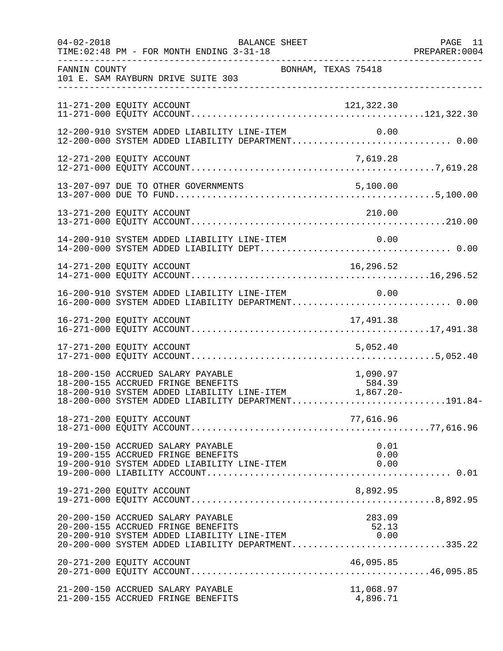| $04 - 02 - 2018$ | BALANCE SHEET<br>TIME: 02:48 PM - FOR MONTH ENDING 3-31-18                                                                                                                                                                                       | PAGE 11 |
|------------------|--------------------------------------------------------------------------------------------------------------------------------------------------------------------------------------------------------------------------------------------------|---------|
| FANNIN COUNTY    | BONHAM, TEXAS 75418<br>101 E. SAM RAYBURN DRIVE SUITE 303                                                                                                                                                                                        |         |
|                  | 11-271-200 EQUITY ACCOUNT<br>121,322.30                                                                                                                                                                                                          |         |
|                  | 12-200-910 SYSTEM ADDED LIABILITY LINE-ITEM<br>0.00                                                                                                                                                                                              |         |
|                  |                                                                                                                                                                                                                                                  |         |
|                  |                                                                                                                                                                                                                                                  |         |
|                  |                                                                                                                                                                                                                                                  |         |
|                  | 14-200-910 SYSTEM ADDED LIABILITY LINE-ITEM<br>0.00                                                                                                                                                                                              |         |
|                  | 16,296.52<br>14-271-200 EQUITY ACCOUNT                                                                                                                                                                                                           |         |
|                  | 16-200-910 SYSTEM ADDED LIABILITY LINE-ITEM 0.00<br>16-200-000 SYSTEM ADDED LIABILITY DEPARTMENT0.00                                                                                                                                             |         |
|                  |                                                                                                                                                                                                                                                  |         |
|                  | 17-271-200 EQUITY ACCOUNT<br>5,052.40                                                                                                                                                                                                            |         |
|                  | 18-200-150 ACCRUED SALARY PAYABLE<br>18-200-155 ACCRUED FRINGE BENEFITS<br>18-200-910 SYSTEM ADDED LIABILITY LINE-ITEM<br>18-200-000 SYSTEM ADDED LIABILITY DEPARTMENT191.84-                                                                    |         |
|                  | 18-271-200 EQUITY ACCOUNT<br>77,616.96                                                                                                                                                                                                           |         |
|                  | 19-200-150 ACCRUED SALARY PAYABLE<br>0.01<br>19-200-155 ACCRUED FRINGE BENEFITS<br>0.00<br>19-200-910 SYSTEM ADDED LIABILITY LINE-ITEM<br>0.00                                                                                                   |         |
|                  | 19-271-200 EQUITY ACCOUNT<br>8,892.95                                                                                                                                                                                                            |         |
|                  | 20-200-150 ACCRUED SALARY PAYABLE<br>283.09<br>20-200-155 ACCRUED FRINGE BENEFITS<br>52.13<br>20-200-155 ACCRUED FRINGE BENEFITS 52.13<br>20-200-910 SYSTEM ADDED LIABILITY LINE-ITEM 0.00<br>20-200-000 SYSTEM ADDED LIABILITY DEPARTMENT335.22 |         |
|                  | 20-271-200 EQUITY ACCOUNT<br>46,095.85                                                                                                                                                                                                           |         |
|                  | 21-200-150 ACCRUED SALARY PAYABLE<br>11,068.97<br>21-200-155 ACCRUED FRINGE BENEFITS<br>4,896.71                                                                                                                                                 |         |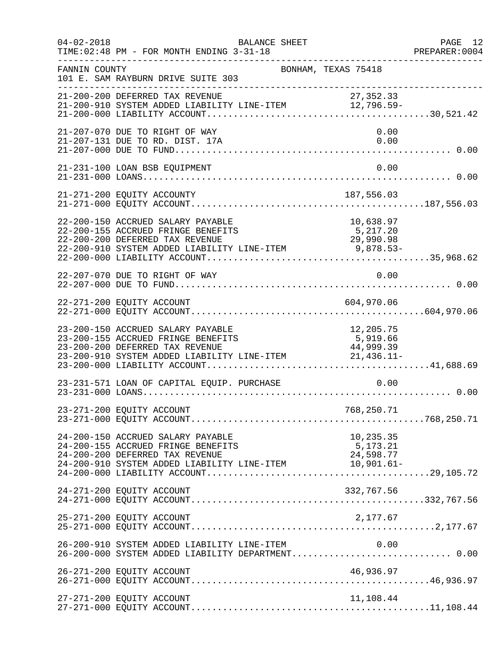| $04 - 02 - 2018$ | BALANCE SHEET<br>TIME: 02:48 PM - FOR MONTH ENDING 3-31-18                                                                                                           |                                    | PAGE 12<br>PREPARER:0004 |
|------------------|----------------------------------------------------------------------------------------------------------------------------------------------------------------------|------------------------------------|--------------------------|
| FANNIN COUNTY    | BONHAM, TEXAS 75418<br>101 E. SAM RAYBURN DRIVE SUITE 303                                                                                                            |                                    |                          |
|                  | 21-200-200 DEFERRED TAX REVENUE<br>21-200-200 DEFERRED TAA REVENUE<br>21-200-910 SYSTEM ADDED LIABILITY LINE-ITEM $12,796.59-$                                       | 27, 352.33                         |                          |
|                  | 21-207-070 DUE TO RIGHT OF WAY<br>21-207-131 DUE TO RD. DIST. 17A                                                                                                    | 0.00<br>0.00                       |                          |
|                  | 21-231-100 LOAN BSB EQUIPMENT                                                                                                                                        | 0.00                               |                          |
|                  | 21-271-200 EQUITY ACCOUNTY                                                                                                                                           |                                    |                          |
|                  | 22-200-150 ACCRUED SALARY PAYABLE<br>22-200-155 ACCRUED FRINGE BENEFITS<br>22-200-200 DEFERRED TAX REVENUE                                                           | 10,638.97<br>5,217.20<br>29,990.98 |                          |
|                  | 22-207-070 DUE TO RIGHT OF WAY                                                                                                                                       | 0.00                               |                          |
|                  | 22-271-200 EQUITY ACCOUNT                                                                                                                                            | 604,970.06                         |                          |
|                  | 23-200-150 ACCRUED SALARY PAYABLE<br>23-200-155 ACCRUED FRINGE BENEFITS                                                                                              | 12,205.75<br>5,919.66              |                          |
|                  | 23-231-571 LOAN OF CAPITAL EQUIP. PURCHASE                                                                                                                           | 0.00                               |                          |
|                  |                                                                                                                                                                      |                                    |                          |
|                  | 24-200-150 ACCRUED SALARY PAYABLE<br>24-200-155 ACCRUED FRINGE BENEFITS<br>24-200-200 DEFERRED TAX REVENUE<br>24-200-910 SYSTEM ADDED LIABILITY LINE-ITEM 10,901.61- | 10,235.35<br>5,173.21<br>24,598.77 |                          |
|                  | 24-271-200 EQUITY ACCOUNT                                                                                                                                            | 332,767.56                         |                          |
|                  | 25-271-200 EQUITY ACCOUNT                                                                                                                                            | 2,177.67                           |                          |
|                  | 26-200-910 SYSTEM ADDED LIABILITY LINE-ITEM $0.00$<br>26-200-000 SYSTEM ADDED LIABILITY DEPARTMENT0.00                                                               |                                    |                          |
|                  | 26-271-200 EQUITY ACCOUNT                                                                                                                                            | 46,936.97                          |                          |
|                  | 27-271-200 EQUITY ACCOUNT                                                                                                                                            | 11,108.44                          |                          |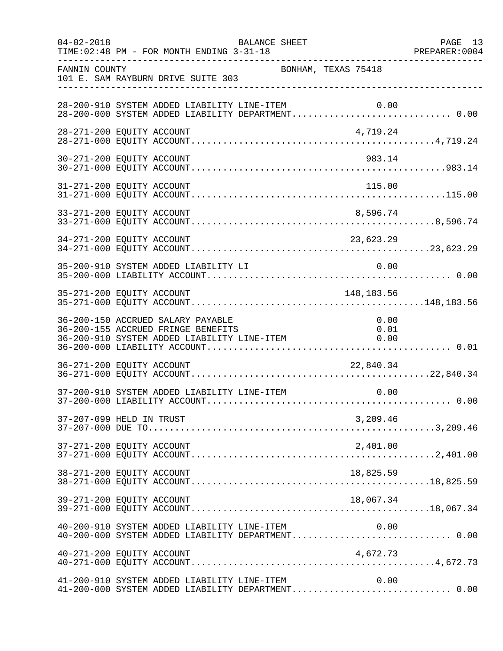| $04 - 02 - 2018$ | BALANCE SHEET<br>TIME: 02:48 PM - FOR MONTH ENDING 3-31-18                                                                                     | PAGE 13<br>PREPARER: 0004 |
|------------------|------------------------------------------------------------------------------------------------------------------------------------------------|---------------------------|
| FANNIN COUNTY    | BONHAM, TEXAS 75418<br>101 E. SAM RAYBURN DRIVE SUITE 303                                                                                      |                           |
|                  | 28-200-910 SYSTEM ADDED LIABILITY LINE-ITEM $0.00$<br>28-200-000 SYSTEM ADDED LIABILITY DEPARTMENT0.00                                         |                           |
|                  | 28-271-200 EQUITY ACCOUNT<br>4,719.24                                                                                                          |                           |
|                  | 30-271-200 EQUITY ACCOUNT<br>983.14                                                                                                            |                           |
|                  | 31-271-200 EQUITY ACCOUNT<br>115.00                                                                                                            |                           |
|                  | 33-271-200 EQUITY ACCOUNT<br>8,596.74                                                                                                          |                           |
|                  |                                                                                                                                                |                           |
|                  | 35-200-910 SYSTEM ADDED LIABILITY LI<br>0.00                                                                                                   |                           |
|                  | 148,183.56<br>35-271-200 EQUITY ACCOUNT                                                                                                        |                           |
|                  | 36-200-150 ACCRUED SALARY PAYABLE<br>0.00<br>36-200-155 ACCRUED FRINGE BENEFITS<br>0.01<br>36-200-910 SYSTEM ADDED LIABILITY LINE-ITEM<br>0.00 |                           |
|                  | 36-271-200 EQUITY ACCOUNT<br>22,840.34                                                                                                         |                           |
|                  | 0.00<br>37-200-910 SYSTEM ADDED LIABILITY LINE-ITEM                                                                                            |                           |
|                  | 37-207-099 HELD IN TRUST<br>3,209.46                                                                                                           |                           |
|                  | 2,401.00<br>37-271-200 EQUITY ACCOUNT                                                                                                          |                           |
|                  | 38-271-200 EQUITY ACCOUNT<br>18,825.59                                                                                                         |                           |
|                  | 39-271-200 EQUITY ACCOUNT<br>18,067.34                                                                                                         |                           |
|                  | 0.00<br>40-200-910 SYSTEM ADDED LIABILITY LINE-ITEM<br>40-200-000 SYSTEM ADDED LIABILITY DEPARTMENT 0.00                                       |                           |
|                  | 40-271-200 EQUITY ACCOUNT<br>4,672.73                                                                                                          |                           |
|                  | 41-200-910 SYSTEM ADDED LIABILITY LINE-ITEM<br>0.00<br>41-200-000 SYSTEM ADDED LIABILITY DEPARTMENT 0.00                                       |                           |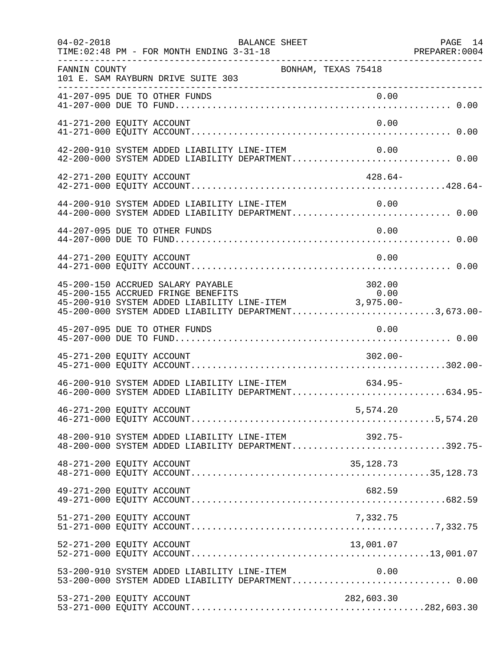| $04 - 02 - 2018$          | TIME: 02:48 PM - FOR MONTH ENDING 3-31-18<br>. _ _ _ _ _ _ _ _ _ _ _ _ _ _ | BALANCE SHEET                                                                                                                                                                                    |            | PAGE 14 |
|---------------------------|----------------------------------------------------------------------------|--------------------------------------------------------------------------------------------------------------------------------------------------------------------------------------------------|------------|---------|
| FANNIN COUNTY             | 101 E. SAM RAYBURN DRIVE SUITE 303<br>____________________________________ | BONHAM, TEXAS 75418                                                                                                                                                                              |            |         |
|                           |                                                                            |                                                                                                                                                                                                  |            |         |
| 41-271-200 EQUITY ACCOUNT |                                                                            |                                                                                                                                                                                                  | 0.00       |         |
|                           |                                                                            | 42-200-910 SYSTEM ADDED LIABILITY LINE-ITEM<br>42-200-000 SYSTEM ADDED LIABILITY DEPARTMENT 0.00                                                                                                 | 0.00       |         |
| 42-271-200 EQUITY ACCOUNT |                                                                            |                                                                                                                                                                                                  | $428.64-$  |         |
|                           |                                                                            | 44-200-910 SYSTEM ADDED LIABILITY LINE-ITEM 0.00<br>44-200-000 SYSTEM ADDED LIABILITY DEPARTMENT 0.00                                                                                            |            |         |
|                           | 44-207-095 DUE TO OTHER FUNDS                                              |                                                                                                                                                                                                  | 0.00       |         |
| 44-271-200 EQUITY ACCOUNT |                                                                            |                                                                                                                                                                                                  | 0.00       |         |
|                           | 45-200-150 ACCRUED SALARY PAYABLE                                          | $45-200-150$ ACCRUED SALARY PAYABLE<br>45-200-155 ACCRUED FRINGE BENEFITS 0.00<br>45-200-910 SYSTEM ADDED LIABILITY LINE-ITEM 3,975.00-<br>45-200-000 SYSTEM ADDED LIABILITY DEPARTMENT3,673.00- | 302.00     |         |
|                           | 45-207-095 DUE TO OTHER FUNDS                                              |                                                                                                                                                                                                  | 0.00       |         |
| 45-271-200 EQUITY ACCOUNT |                                                                            |                                                                                                                                                                                                  | $302.00 -$ |         |
|                           |                                                                            | 46-200-910 SYSTEM ADDED LIABILITY LINE-ITEM<br>46-200-000 SYSTEM ADDED LIABILITY DEPARTMENT634.95-                                                                                               | 634.95-    |         |
| 46-271-200 EQUITY ACCOUNT |                                                                            |                                                                                                                                                                                                  | 5,574.20   |         |
|                           |                                                                            | 48-200-910 SYSTEM ADDED LIABILITY LINE-ITEM 392.75-<br>48-200-000 SYSTEM ADDED LIABILITY DEPARTMENT392.75-                                                                                       |            |         |
| 48-271-200 EQUITY ACCOUNT |                                                                            |                                                                                                                                                                                                  | 35, 128.73 |         |
| 49-271-200 EQUITY ACCOUNT |                                                                            |                                                                                                                                                                                                  | 682.59     |         |
| 51-271-200 EQUITY ACCOUNT |                                                                            |                                                                                                                                                                                                  | 7,332.75   |         |
| 52-271-200 EQUITY ACCOUNT |                                                                            |                                                                                                                                                                                                  | 13,001.07  |         |
|                           |                                                                            | 53-200-910 SYSTEM ADDED LIABILITY LINE-ITEM                                                                                                                                                      | 0.00       |         |
| 53-271-200 EQUITY ACCOUNT |                                                                            |                                                                                                                                                                                                  | 282,603.30 |         |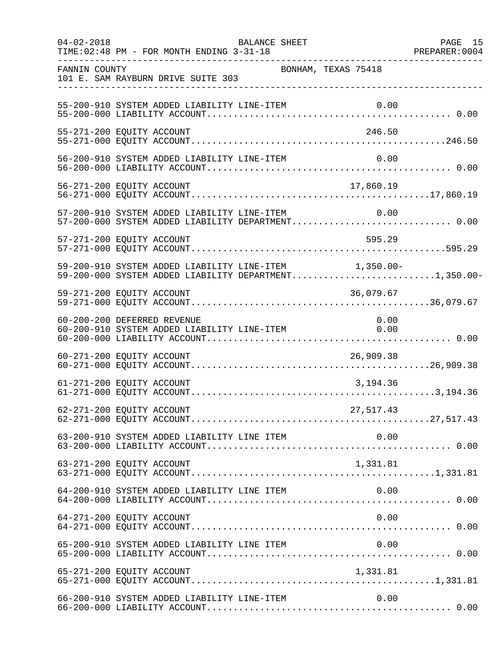| $04 - 02 - 2018$ | BALANCE SHEET<br>TIME: 02:48 PM - FOR MONTH ENDING 3-31-18                                                     |           | PAGE 15 |
|------------------|----------------------------------------------------------------------------------------------------------------|-----------|---------|
| FANNIN COUNTY    | BONHAM, TEXAS 75418<br>101 E. SAM RAYBURN DRIVE SUITE 303                                                      |           |         |
|                  | 55-200-910 SYSTEM ADDED LIABILITY LINE-ITEM                                                                    |           |         |
|                  | 55-271-200 EQUITY ACCOUNT                                                                                      | 246.50    |         |
|                  | 56-200-910 SYSTEM ADDED LIABILITY LINE-ITEM                                                                    | 0.00      |         |
|                  | 56-271-200 EQUITY ACCOUNT                                                                                      | 17,860.19 |         |
|                  | 57-200-910 SYSTEM ADDED LIABILITY LINE-ITEM 0.00<br>57-200-000 SYSTEM ADDED LIABILITY DEPARTMENT 0.00          |           |         |
|                  | 57-271-200 EQUITY ACCOUNT                                                                                      | 595.29    |         |
|                  | 59-200-910 SYSTEM ADDED LIABILITY LINE-ITEM 1,350.00-<br>59-200-000 SYSTEM ADDED LIABILITY DEPARTMENT1,350.00- |           |         |
|                  | 59-271-200 EQUITY ACCOUNT                                                                                      | 36,079.67 |         |
|                  | 60-200-200 DEFERRED REVENUE<br>$60-200-910$ SYSTEM ADDED LIABILITY LINE-ITEM $0.000$                           | 0.00      |         |
|                  | 60-271-200 EQUITY ACCOUNT                                                                                      | 26,909.38 |         |
|                  | 61-271-200 EQUITY ACCOUNT                                                                                      | 3,194.36  |         |
|                  | 62-271-200 EQUITY ACCOUNT                                                                                      | 27,517.43 |         |
|                  |                                                                                                                |           |         |
|                  | 63-271-200 EQUITY ACCOUNT                                                                                      | 1,331.81  |         |
|                  | 64-200-910 SYSTEM ADDED LIABILITY LINE ITEM                                                                    | 0.00      |         |
|                  | 64-271-200 EQUITY ACCOUNT                                                                                      | 0.00      |         |
|                  |                                                                                                                |           |         |
|                  | 65-271-200 EQUITY ACCOUNT                                                                                      | 1,331.81  |         |
|                  | 66-200-910 SYSTEM ADDED LIABILITY LINE-ITEM                                                                    | 0.00      |         |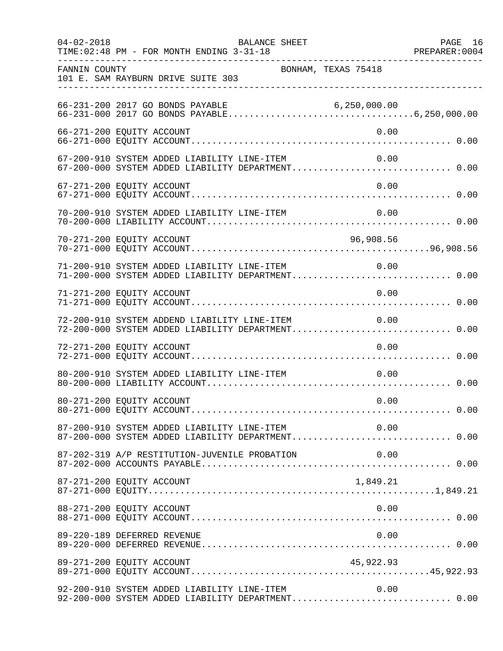| $04 - 02 - 2018$ | BALANCE SHEET<br>TIME: 02:48 PM - FOR MONTH ENDING 3-31-18                                            |                     | PAGE 16<br>PREPARER: 0004 |
|------------------|-------------------------------------------------------------------------------------------------------|---------------------|---------------------------|
| FANNIN COUNTY    | 101 E. SAM RAYBURN DRIVE SUITE 303                                                                    | BONHAM, TEXAS 75418 |                           |
|                  |                                                                                                       |                     |                           |
|                  | 66-271-200 EQUITY ACCOUNT                                                                             | 0.00                |                           |
|                  | 67-200-910 SYSTEM ADDED LIABILITY LINE-ITEM<br>67-200-000 SYSTEM ADDED LIABILITY DEPARTMENT 0.00      | 0.00                |                           |
|                  | 67-271-200 EQUITY ACCOUNT                                                                             | 0.00                |                           |
|                  | 70-200-910 SYSTEM ADDED LIABILITY LINE-ITEM                                                           | 0.00                |                           |
|                  | 70-271-200 EQUITY ACCOUNT                                                                             | 96,908.56           |                           |
|                  | 71-200-910 SYSTEM ADDED LIABILITY LINE-ITEM<br>71-200-000 SYSTEM ADDED LIABILITY DEPARTMENT 0.00      | 0.00                |                           |
|                  | 71-271-200 EQUITY ACCOUNT                                                                             | 0.00                |                           |
|                  | 72-200-910 SYSTEM ADDEND LIABILITY LINE-ITEM                                                          | 0.00                |                           |
|                  | 72-271-200 EQUITY ACCOUNT                                                                             | 0.00                |                           |
|                  | 80-200-910 SYSTEM ADDED LIABILITY LINE-ITEM                                                           | 0.00                |                           |
|                  | 80-271-200 EQUITY ACCOUNT                                                                             | 0.00                |                           |
|                  | 87-200-910 SYSTEM ADDED LIABILITY LINE-ITEM 0.00<br>87-200-000 SYSTEM ADDED LIABILITY DEPARTMENT 0.00 |                     |                           |
|                  | 87-202-319 A/P RESTITUTION-JUVENILE PROBATION                                                         | 0.00                |                           |
|                  | 87-271-200 EQUITY ACCOUNT                                                                             | 1,849.21            |                           |
|                  | 88-271-200 EQUITY ACCOUNT                                                                             | 0.00                |                           |
|                  | 89-220-189 DEFERRED REVENUE                                                                           | 0.00                |                           |
|                  | 89-271-200 EQUITY ACCOUNT                                                                             | 45,922.93           |                           |
|                  | 92-200-910 SYSTEM ADDED LIABILITY LINE-ITEM<br>92-200-000 SYSTEM ADDED LIABILITY DEPARTMENT 0.00      | 0.00                |                           |